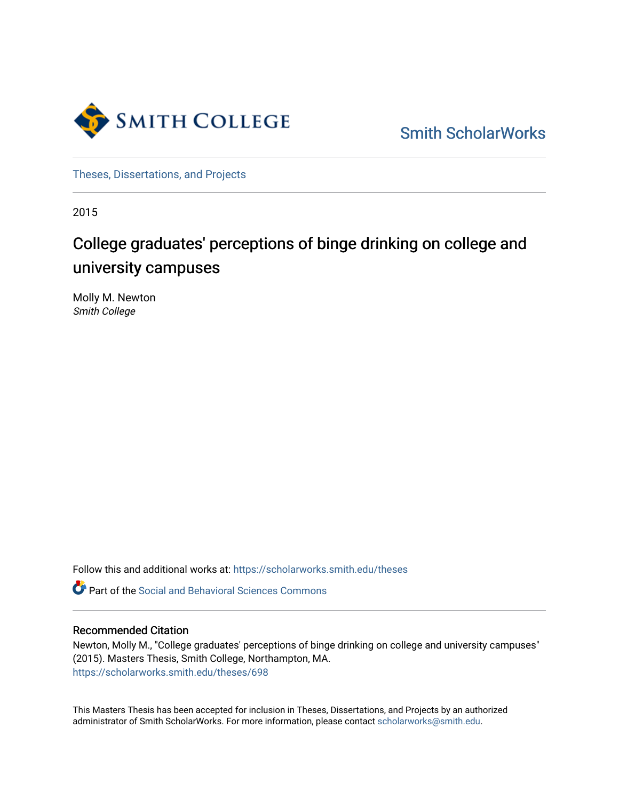

[Smith ScholarWorks](https://scholarworks.smith.edu/) 

[Theses, Dissertations, and Projects](https://scholarworks.smith.edu/theses) 

2015

# College graduates' perceptions of binge drinking on college and university campuses

Molly M. Newton Smith College

Follow this and additional works at: [https://scholarworks.smith.edu/theses](https://scholarworks.smith.edu/theses?utm_source=scholarworks.smith.edu%2Ftheses%2F698&utm_medium=PDF&utm_campaign=PDFCoverPages) 

**C** Part of the Social and Behavioral Sciences Commons

#### Recommended Citation

Newton, Molly M., "College graduates' perceptions of binge drinking on college and university campuses" (2015). Masters Thesis, Smith College, Northampton, MA. [https://scholarworks.smith.edu/theses/698](https://scholarworks.smith.edu/theses/698?utm_source=scholarworks.smith.edu%2Ftheses%2F698&utm_medium=PDF&utm_campaign=PDFCoverPages) 

This Masters Thesis has been accepted for inclusion in Theses, Dissertations, and Projects by an authorized administrator of Smith ScholarWorks. For more information, please contact [scholarworks@smith.edu](mailto:scholarworks@smith.edu).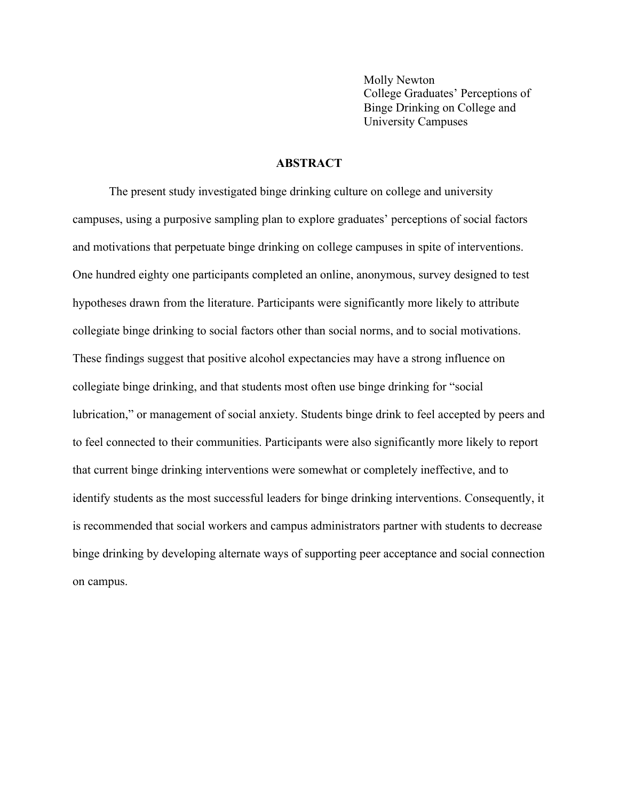Molly Newton College Graduates' Perceptions of Binge Drinking on College and University Campuses

#### **ABSTRACT**

The present study investigated binge drinking culture on college and university campuses, using a purposive sampling plan to explore graduates' perceptions of social factors and motivations that perpetuate binge drinking on college campuses in spite of interventions. One hundred eighty one participants completed an online, anonymous, survey designed to test hypotheses drawn from the literature. Participants were significantly more likely to attribute collegiate binge drinking to social factors other than social norms, and to social motivations. These findings suggest that positive alcohol expectancies may have a strong influence on collegiate binge drinking, and that students most often use binge drinking for "social lubrication," or management of social anxiety. Students binge drink to feel accepted by peers and to feel connected to their communities. Participants were also significantly more likely to report that current binge drinking interventions were somewhat or completely ineffective, and to identify students as the most successful leaders for binge drinking interventions. Consequently, it is recommended that social workers and campus administrators partner with students to decrease binge drinking by developing alternate ways of supporting peer acceptance and social connection on campus.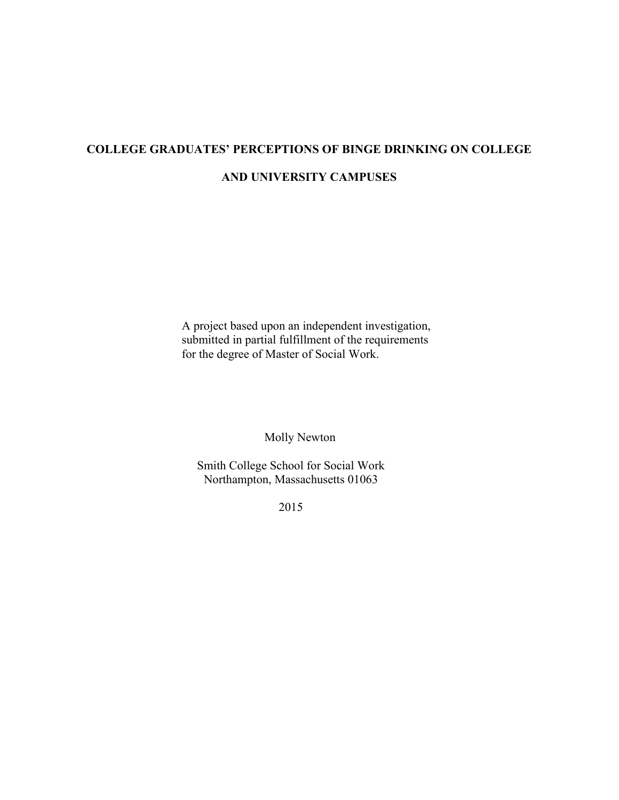# **COLLEGE GRADUATES' PERCEPTIONS OF BINGE DRINKING ON COLLEGE**

#### **AND UNIVERSITY CAMPUSES**

A project based upon an independent investigation, submitted in partial fulfillment of the requirements for the degree of Master of Social Work.

Molly Newton

Smith College School for Social Work Northampton, Massachusetts 01063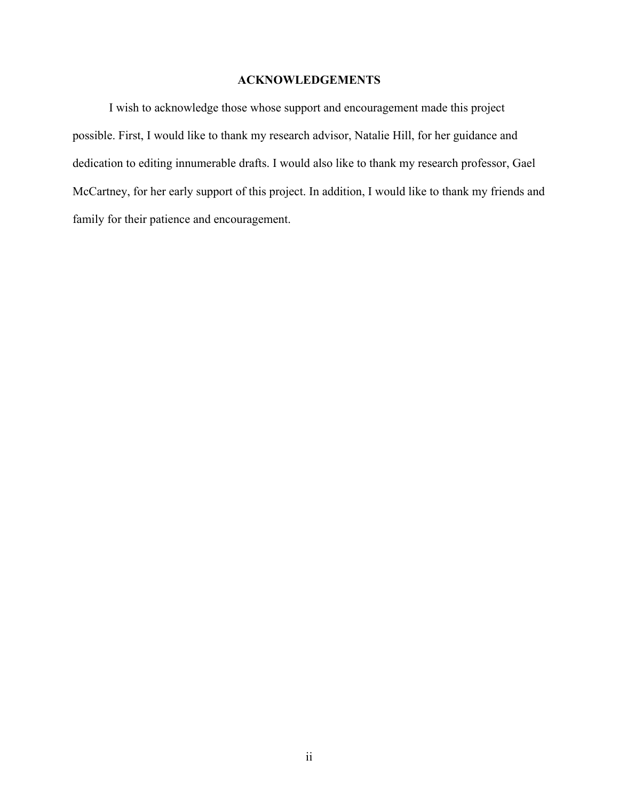#### **ACKNOWLEDGEMENTS**

I wish to acknowledge those whose support and encouragement made this project possible. First, I would like to thank my research advisor, Natalie Hill, for her guidance and dedication to editing innumerable drafts. I would also like to thank my research professor, Gael McCartney, for her early support of this project. In addition, I would like to thank my friends and family for their patience and encouragement.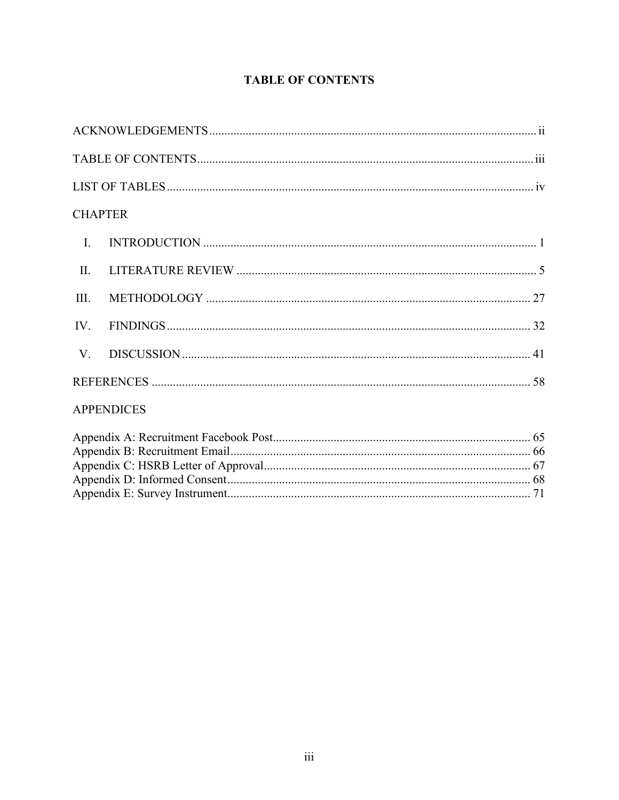## **TABLE OF CONTENTS**

|                | <b>CHAPTER</b>                                                   |  |
|----------------|------------------------------------------------------------------|--|
| $\mathbf{I}$ . |                                                                  |  |
| $\prod$        |                                                                  |  |
| III.           |                                                                  |  |
| IV.            |                                                                  |  |
|                |                                                                  |  |
|                |                                                                  |  |
|                | <b>APPENDICES</b>                                                |  |
|                | $\Lambda$ are an directed. Decomption and $\Gamma$ and $\Lambda$ |  |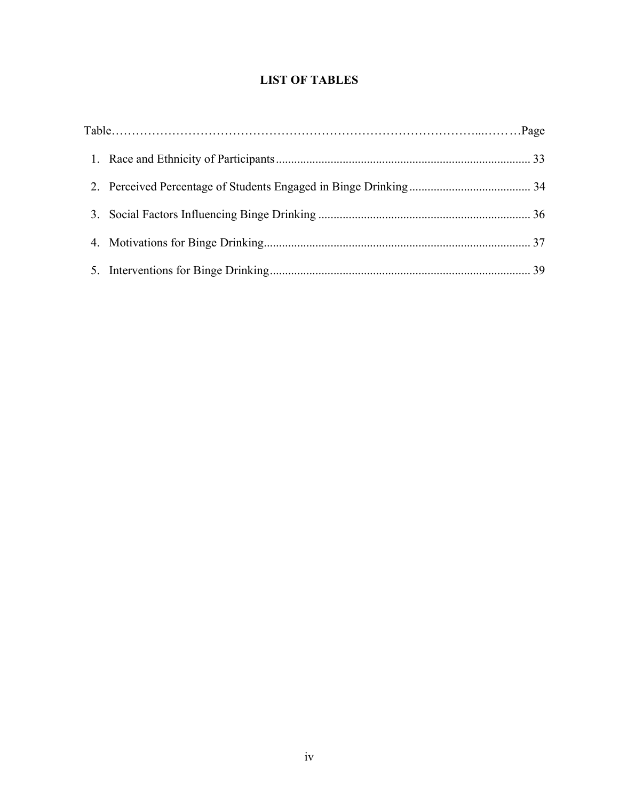### **LIST OF TABLES**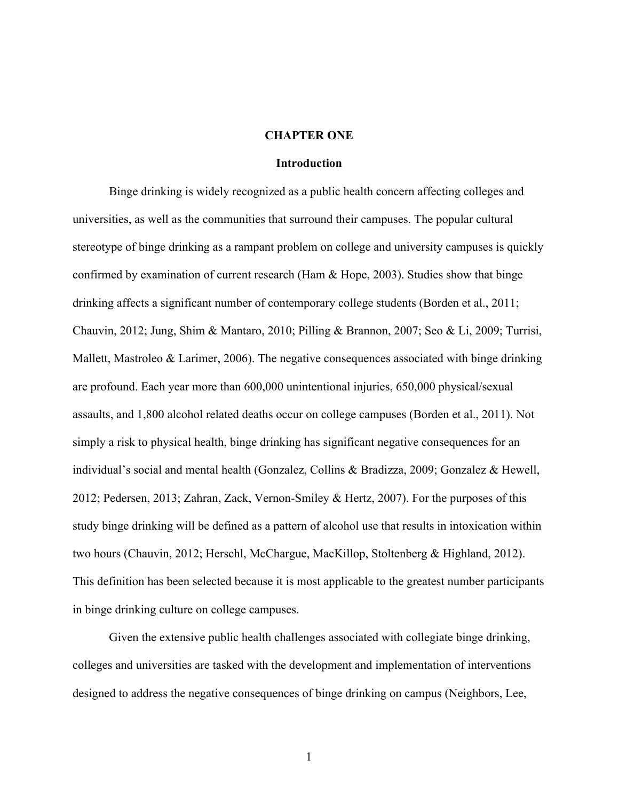#### **CHAPTER ONE**

#### **Introduction**

Binge drinking is widely recognized as a public health concern affecting colleges and universities, as well as the communities that surround their campuses. The popular cultural stereotype of binge drinking as a rampant problem on college and university campuses is quickly confirmed by examination of current research (Ham & Hope, 2003). Studies show that binge drinking affects a significant number of contemporary college students (Borden et al., 2011; Chauvin, 2012; Jung, Shim & Mantaro, 2010; Pilling & Brannon, 2007; Seo & Li, 2009; Turrisi, Mallett, Mastroleo & Larimer, 2006). The negative consequences associated with binge drinking are profound. Each year more than 600,000 unintentional injuries, 650,000 physical/sexual assaults, and 1,800 alcohol related deaths occur on college campuses (Borden et al., 2011). Not simply a risk to physical health, binge drinking has significant negative consequences for an individual's social and mental health (Gonzalez, Collins & Bradizza, 2009; Gonzalez & Hewell, 2012; Pedersen, 2013; Zahran, Zack, Vernon-Smiley & Hertz, 2007). For the purposes of this study binge drinking will be defined as a pattern of alcohol use that results in intoxication within two hours (Chauvin, 2012; Herschl, McChargue, MacKillop, Stoltenberg & Highland, 2012). This definition has been selected because it is most applicable to the greatest number participants in binge drinking culture on college campuses.

Given the extensive public health challenges associated with collegiate binge drinking, colleges and universities are tasked with the development and implementation of interventions designed to address the negative consequences of binge drinking on campus (Neighbors, Lee,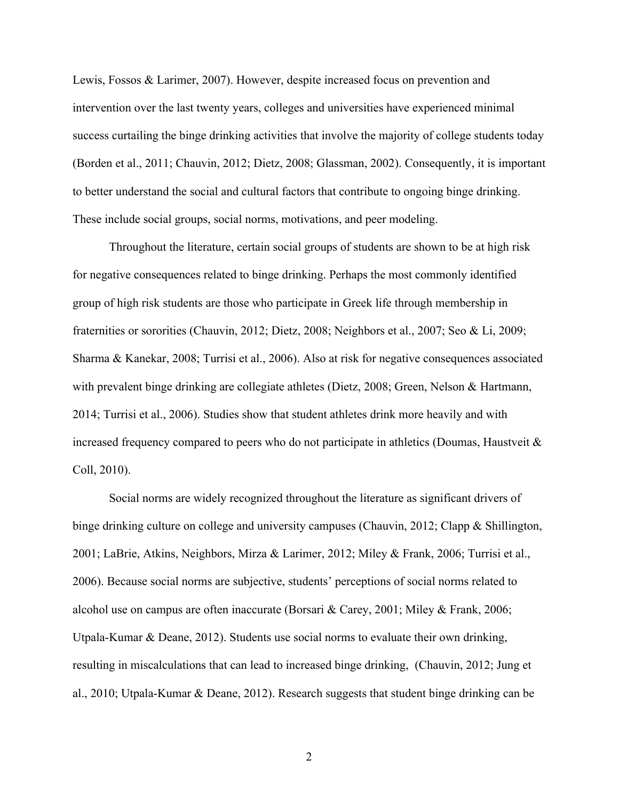Lewis, Fossos & Larimer, 2007). However, despite increased focus on prevention and intervention over the last twenty years, colleges and universities have experienced minimal success curtailing the binge drinking activities that involve the majority of college students today (Borden et al., 2011; Chauvin, 2012; Dietz, 2008; Glassman, 2002). Consequently, it is important to better understand the social and cultural factors that contribute to ongoing binge drinking. These include social groups, social norms, motivations, and peer modeling.

Throughout the literature, certain social groups of students are shown to be at high risk for negative consequences related to binge drinking. Perhaps the most commonly identified group of high risk students are those who participate in Greek life through membership in fraternities or sororities (Chauvin, 2012; Dietz, 2008; Neighbors et al., 2007; Seo & Li, 2009; Sharma & Kanekar, 2008; Turrisi et al., 2006). Also at risk for negative consequences associated with prevalent binge drinking are collegiate athletes (Dietz, 2008; Green, Nelson & Hartmann, 2014; Turrisi et al., 2006). Studies show that student athletes drink more heavily and with increased frequency compared to peers who do not participate in athletics (Doumas, Haustveit  $\&$ Coll, 2010).

Social norms are widely recognized throughout the literature as significant drivers of binge drinking culture on college and university campuses (Chauvin, 2012; Clapp & Shillington, 2001; LaBrie, Atkins, Neighbors, Mirza & Larimer, 2012; Miley & Frank, 2006; Turrisi et al., 2006). Because social norms are subjective, students' perceptions of social norms related to alcohol use on campus are often inaccurate (Borsari & Carey, 2001; Miley & Frank, 2006; Utpala-Kumar & Deane, 2012). Students use social norms to evaluate their own drinking, resulting in miscalculations that can lead to increased binge drinking, (Chauvin, 2012; Jung et al., 2010; Utpala-Kumar & Deane, 2012). Research suggests that student binge drinking can be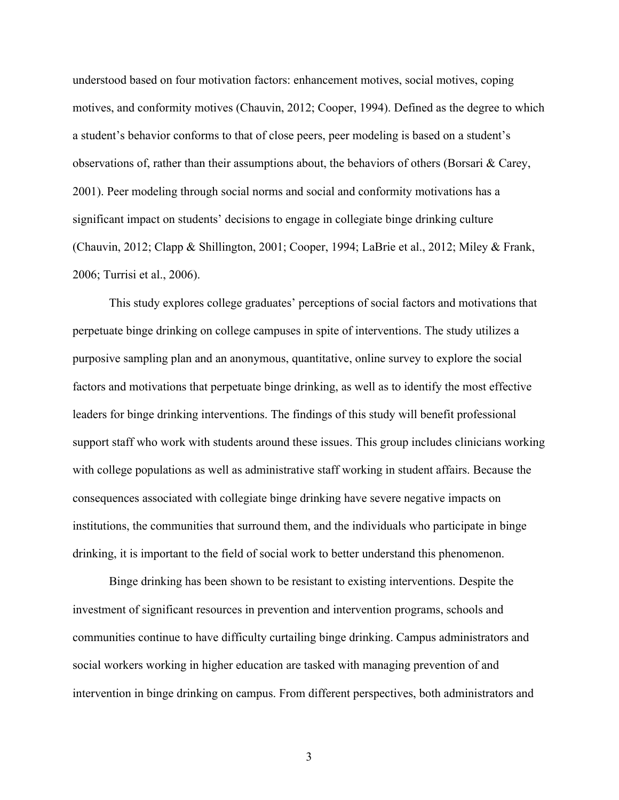understood based on four motivation factors: enhancement motives, social motives, coping motives, and conformity motives (Chauvin, 2012; Cooper, 1994). Defined as the degree to which a student's behavior conforms to that of close peers, peer modeling is based on a student's observations of, rather than their assumptions about, the behaviors of others (Borsari & Carey, 2001). Peer modeling through social norms and social and conformity motivations has a significant impact on students' decisions to engage in collegiate binge drinking culture (Chauvin, 2012; Clapp & Shillington, 2001; Cooper, 1994; LaBrie et al., 2012; Miley & Frank, 2006; Turrisi et al., 2006).

This study explores college graduates' perceptions of social factors and motivations that perpetuate binge drinking on college campuses in spite of interventions. The study utilizes a purposive sampling plan and an anonymous, quantitative, online survey to explore the social factors and motivations that perpetuate binge drinking, as well as to identify the most effective leaders for binge drinking interventions. The findings of this study will benefit professional support staff who work with students around these issues. This group includes clinicians working with college populations as well as administrative staff working in student affairs. Because the consequences associated with collegiate binge drinking have severe negative impacts on institutions, the communities that surround them, and the individuals who participate in binge drinking, it is important to the field of social work to better understand this phenomenon.

Binge drinking has been shown to be resistant to existing interventions. Despite the investment of significant resources in prevention and intervention programs, schools and communities continue to have difficulty curtailing binge drinking. Campus administrators and social workers working in higher education are tasked with managing prevention of and intervention in binge drinking on campus. From different perspectives, both administrators and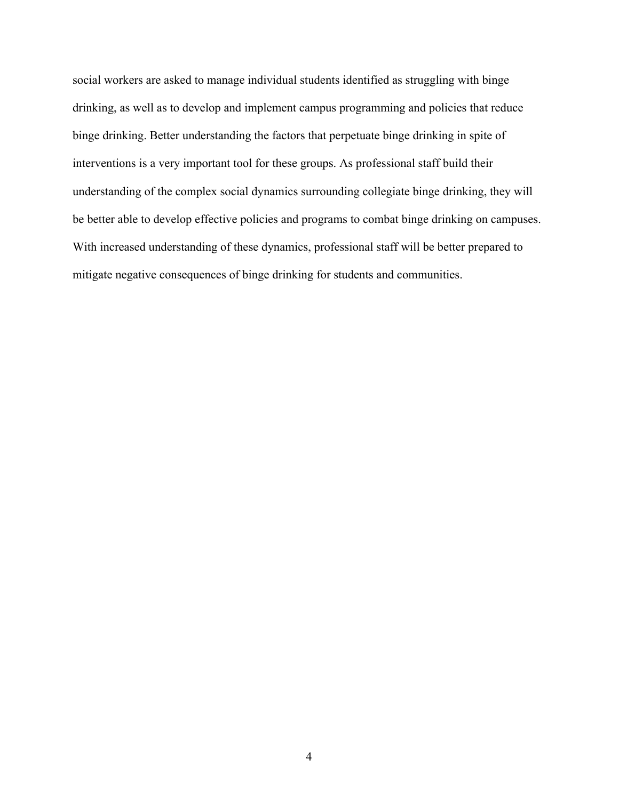social workers are asked to manage individual students identified as struggling with binge drinking, as well as to develop and implement campus programming and policies that reduce binge drinking. Better understanding the factors that perpetuate binge drinking in spite of interventions is a very important tool for these groups. As professional staff build their understanding of the complex social dynamics surrounding collegiate binge drinking, they will be better able to develop effective policies and programs to combat binge drinking on campuses. With increased understanding of these dynamics, professional staff will be better prepared to mitigate negative consequences of binge drinking for students and communities.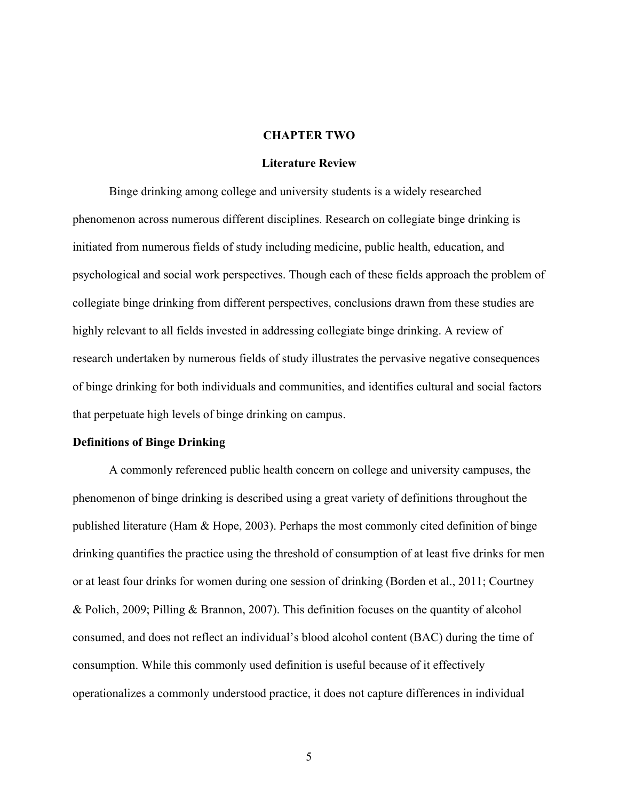#### **CHAPTER TWO**

#### **Literature Review**

Binge drinking among college and university students is a widely researched phenomenon across numerous different disciplines. Research on collegiate binge drinking is initiated from numerous fields of study including medicine, public health, education, and psychological and social work perspectives. Though each of these fields approach the problem of collegiate binge drinking from different perspectives, conclusions drawn from these studies are highly relevant to all fields invested in addressing collegiate binge drinking. A review of research undertaken by numerous fields of study illustrates the pervasive negative consequences of binge drinking for both individuals and communities, and identifies cultural and social factors that perpetuate high levels of binge drinking on campus.

#### **Definitions of Binge Drinking**

A commonly referenced public health concern on college and university campuses, the phenomenon of binge drinking is described using a great variety of definitions throughout the published literature (Ham & Hope, 2003). Perhaps the most commonly cited definition of binge drinking quantifies the practice using the threshold of consumption of at least five drinks for men or at least four drinks for women during one session of drinking (Borden et al., 2011; Courtney & Polich, 2009; Pilling & Brannon, 2007). This definition focuses on the quantity of alcohol consumed, and does not reflect an individual's blood alcohol content (BAC) during the time of consumption. While this commonly used definition is useful because of it effectively operationalizes a commonly understood practice, it does not capture differences in individual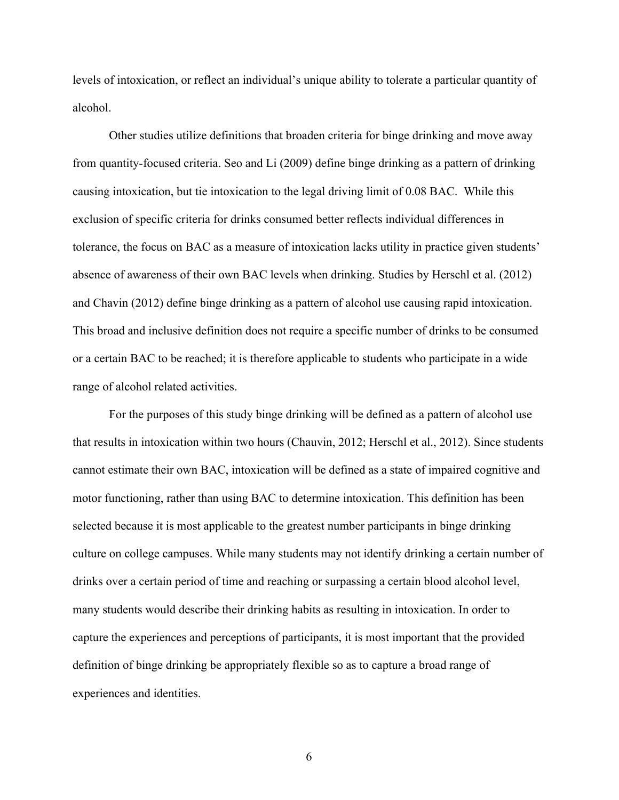levels of intoxication, or reflect an individual's unique ability to tolerate a particular quantity of alcohol.

Other studies utilize definitions that broaden criteria for binge drinking and move away from quantity-focused criteria. Seo and Li (2009) define binge drinking as a pattern of drinking causing intoxication, but tie intoxication to the legal driving limit of 0.08 BAC. While this exclusion of specific criteria for drinks consumed better reflects individual differences in tolerance, the focus on BAC as a measure of intoxication lacks utility in practice given students' absence of awareness of their own BAC levels when drinking. Studies by Herschl et al. (2012) and Chavin (2012) define binge drinking as a pattern of alcohol use causing rapid intoxication. This broad and inclusive definition does not require a specific number of drinks to be consumed or a certain BAC to be reached; it is therefore applicable to students who participate in a wide range of alcohol related activities.

For the purposes of this study binge drinking will be defined as a pattern of alcohol use that results in intoxication within two hours (Chauvin, 2012; Herschl et al., 2012). Since students cannot estimate their own BAC, intoxication will be defined as a state of impaired cognitive and motor functioning, rather than using BAC to determine intoxication. This definition has been selected because it is most applicable to the greatest number participants in binge drinking culture on college campuses. While many students may not identify drinking a certain number of drinks over a certain period of time and reaching or surpassing a certain blood alcohol level, many students would describe their drinking habits as resulting in intoxication. In order to capture the experiences and perceptions of participants, it is most important that the provided definition of binge drinking be appropriately flexible so as to capture a broad range of experiences and identities.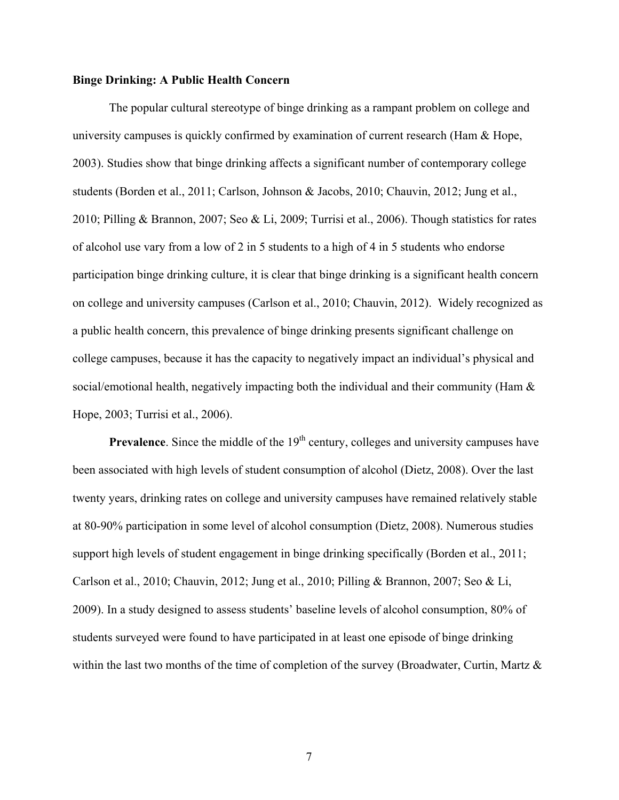#### **Binge Drinking: A Public Health Concern**

The popular cultural stereotype of binge drinking as a rampant problem on college and university campuses is quickly confirmed by examination of current research (Ham  $\&$  Hope, 2003). Studies show that binge drinking affects a significant number of contemporary college students (Borden et al., 2011; Carlson, Johnson & Jacobs, 2010; Chauvin, 2012; Jung et al., 2010; Pilling & Brannon, 2007; Seo & Li, 2009; Turrisi et al., 2006). Though statistics for rates of alcohol use vary from a low of 2 in 5 students to a high of 4 in 5 students who endorse participation binge drinking culture, it is clear that binge drinking is a significant health concern on college and university campuses (Carlson et al., 2010; Chauvin, 2012). Widely recognized as a public health concern, this prevalence of binge drinking presents significant challenge on college campuses, because it has the capacity to negatively impact an individual's physical and social/emotional health, negatively impacting both the individual and their community (Ham  $\&$ Hope, 2003; Turrisi et al., 2006).

**Prevalence**. Since the middle of the 19<sup>th</sup> century, colleges and university campuses have been associated with high levels of student consumption of alcohol (Dietz, 2008). Over the last twenty years, drinking rates on college and university campuses have remained relatively stable at 80-90% participation in some level of alcohol consumption (Dietz, 2008). Numerous studies support high levels of student engagement in binge drinking specifically (Borden et al., 2011; Carlson et al., 2010; Chauvin, 2012; Jung et al., 2010; Pilling & Brannon, 2007; Seo & Li, 2009). In a study designed to assess students' baseline levels of alcohol consumption, 80% of students surveyed were found to have participated in at least one episode of binge drinking within the last two months of the time of completion of the survey (Broadwater, Curtin, Martz &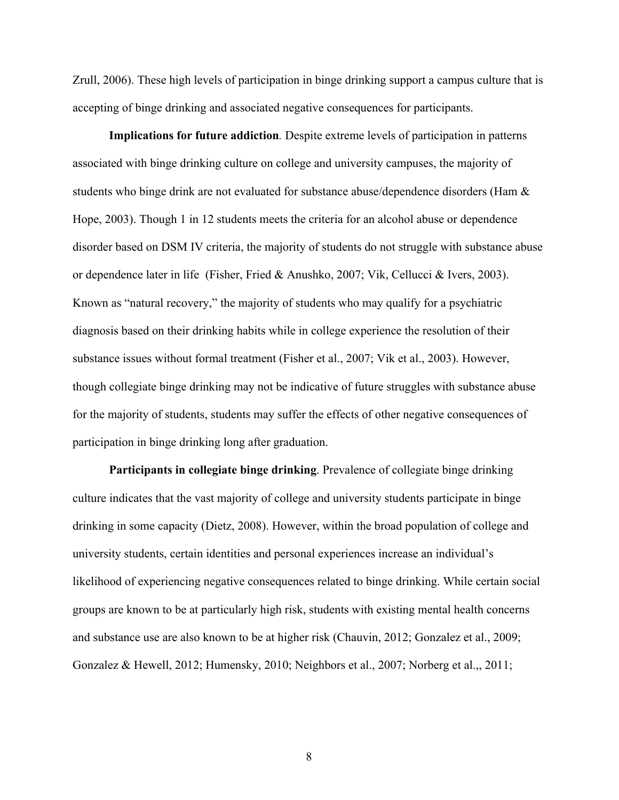Zrull, 2006). These high levels of participation in binge drinking support a campus culture that is accepting of binge drinking and associated negative consequences for participants.

**Implications for future addiction***.* Despite extreme levels of participation in patterns associated with binge drinking culture on college and university campuses, the majority of students who binge drink are not evaluated for substance abuse/dependence disorders (Ham & Hope, 2003). Though 1 in 12 students meets the criteria for an alcohol abuse or dependence disorder based on DSM IV criteria, the majority of students do not struggle with substance abuse or dependence later in life (Fisher, Fried & Anushko, 2007; Vik, Cellucci & Ivers, 2003). Known as "natural recovery," the majority of students who may qualify for a psychiatric diagnosis based on their drinking habits while in college experience the resolution of their substance issues without formal treatment (Fisher et al., 2007; Vik et al., 2003). However, though collegiate binge drinking may not be indicative of future struggles with substance abuse for the majority of students, students may suffer the effects of other negative consequences of participation in binge drinking long after graduation.

**Participants in collegiate binge drinking**. Prevalence of collegiate binge drinking culture indicates that the vast majority of college and university students participate in binge drinking in some capacity (Dietz, 2008). However, within the broad population of college and university students, certain identities and personal experiences increase an individual's likelihood of experiencing negative consequences related to binge drinking. While certain social groups are known to be at particularly high risk, students with existing mental health concerns and substance use are also known to be at higher risk (Chauvin, 2012; Gonzalez et al., 2009; Gonzalez & Hewell, 2012; Humensky, 2010; Neighbors et al., 2007; Norberg et al.,, 2011;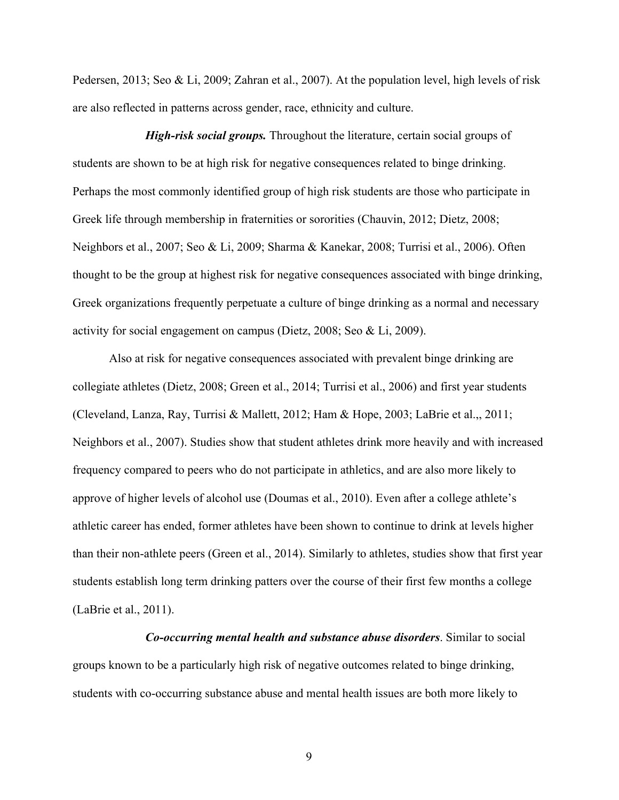Pedersen, 2013; Seo & Li, 2009; Zahran et al., 2007). At the population level, high levels of risk are also reflected in patterns across gender, race, ethnicity and culture.

*High-risk social groups.* Throughout the literature, certain social groups of students are shown to be at high risk for negative consequences related to binge drinking. Perhaps the most commonly identified group of high risk students are those who participate in Greek life through membership in fraternities or sororities (Chauvin, 2012; Dietz, 2008; Neighbors et al., 2007; Seo & Li, 2009; Sharma & Kanekar, 2008; Turrisi et al., 2006). Often thought to be the group at highest risk for negative consequences associated with binge drinking, Greek organizations frequently perpetuate a culture of binge drinking as a normal and necessary activity for social engagement on campus (Dietz, 2008; Seo & Li, 2009).

Also at risk for negative consequences associated with prevalent binge drinking are collegiate athletes (Dietz, 2008; Green et al., 2014; Turrisi et al., 2006) and first year students (Cleveland, Lanza, Ray, Turrisi & Mallett, 2012; Ham & Hope, 2003; LaBrie et al.,, 2011; Neighbors et al., 2007). Studies show that student athletes drink more heavily and with increased frequency compared to peers who do not participate in athletics, and are also more likely to approve of higher levels of alcohol use (Doumas et al., 2010). Even after a college athlete's athletic career has ended, former athletes have been shown to continue to drink at levels higher than their non-athlete peers (Green et al., 2014). Similarly to athletes, studies show that first year students establish long term drinking patters over the course of their first few months a college (LaBrie et al., 2011).

*Co-occurring mental health and substance abuse disorders*. Similar to social groups known to be a particularly high risk of negative outcomes related to binge drinking, students with co-occurring substance abuse and mental health issues are both more likely to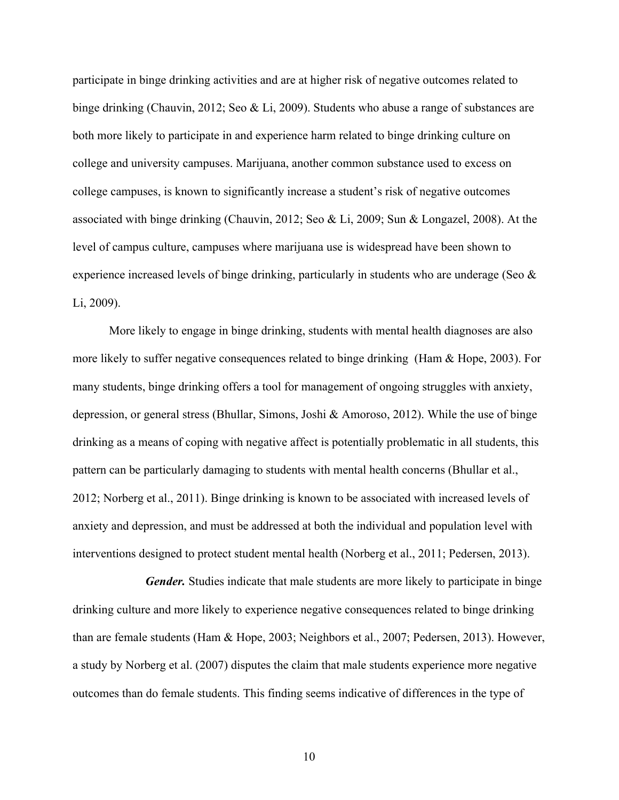participate in binge drinking activities and are at higher risk of negative outcomes related to binge drinking (Chauvin, 2012; Seo & Li, 2009). Students who abuse a range of substances are both more likely to participate in and experience harm related to binge drinking culture on college and university campuses. Marijuana, another common substance used to excess on college campuses, is known to significantly increase a student's risk of negative outcomes associated with binge drinking (Chauvin, 2012; Seo & Li, 2009; Sun & Longazel, 2008). At the level of campus culture, campuses where marijuana use is widespread have been shown to experience increased levels of binge drinking, particularly in students who are underage (Seo & Li, 2009).

More likely to engage in binge drinking, students with mental health diagnoses are also more likely to suffer negative consequences related to binge drinking (Ham  $\&$  Hope, 2003). For many students, binge drinking offers a tool for management of ongoing struggles with anxiety, depression, or general stress (Bhullar, Simons, Joshi & Amoroso, 2012). While the use of binge drinking as a means of coping with negative affect is potentially problematic in all students, this pattern can be particularly damaging to students with mental health concerns (Bhullar et al., 2012; Norberg et al., 2011). Binge drinking is known to be associated with increased levels of anxiety and depression, and must be addressed at both the individual and population level with interventions designed to protect student mental health (Norberg et al., 2011; Pedersen, 2013).

*Gender.* Studies indicate that male students are more likely to participate in binge drinking culture and more likely to experience negative consequences related to binge drinking than are female students (Ham & Hope, 2003; Neighbors et al., 2007; Pedersen, 2013). However, a study by Norberg et al. (2007) disputes the claim that male students experience more negative outcomes than do female students. This finding seems indicative of differences in the type of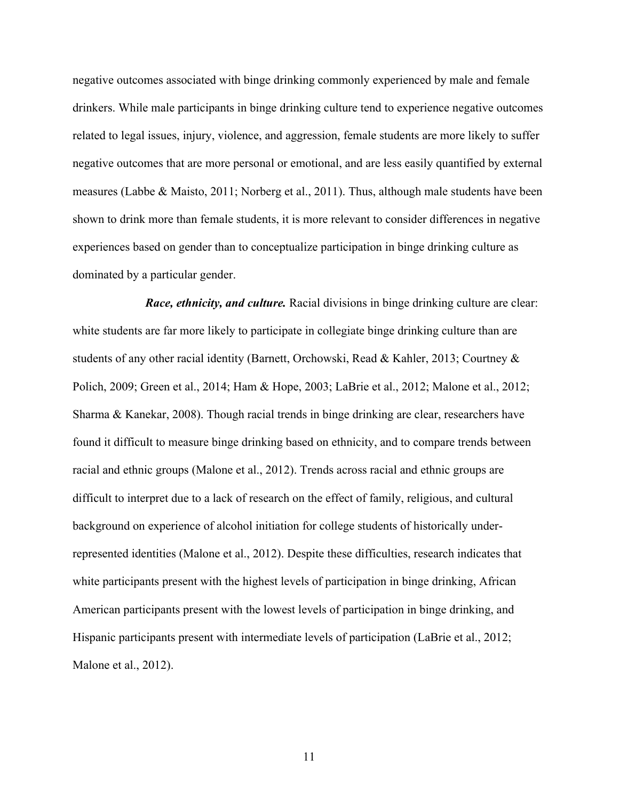negative outcomes associated with binge drinking commonly experienced by male and female drinkers. While male participants in binge drinking culture tend to experience negative outcomes related to legal issues, injury, violence, and aggression, female students are more likely to suffer negative outcomes that are more personal or emotional, and are less easily quantified by external measures (Labbe & Maisto, 2011; Norberg et al., 2011). Thus, although male students have been shown to drink more than female students, it is more relevant to consider differences in negative experiences based on gender than to conceptualize participation in binge drinking culture as dominated by a particular gender.

*Race, ethnicity, and culture.* Racial divisions in binge drinking culture are clear: white students are far more likely to participate in collegiate binge drinking culture than are students of any other racial identity (Barnett, Orchowski, Read & Kahler, 2013; Courtney & Polich, 2009; Green et al., 2014; Ham & Hope, 2003; LaBrie et al., 2012; Malone et al., 2012; Sharma & Kanekar, 2008). Though racial trends in binge drinking are clear, researchers have found it difficult to measure binge drinking based on ethnicity, and to compare trends between racial and ethnic groups (Malone et al., 2012). Trends across racial and ethnic groups are difficult to interpret due to a lack of research on the effect of family, religious, and cultural background on experience of alcohol initiation for college students of historically underrepresented identities (Malone et al., 2012). Despite these difficulties, research indicates that white participants present with the highest levels of participation in binge drinking, African American participants present with the lowest levels of participation in binge drinking, and Hispanic participants present with intermediate levels of participation (LaBrie et al., 2012; Malone et al., 2012).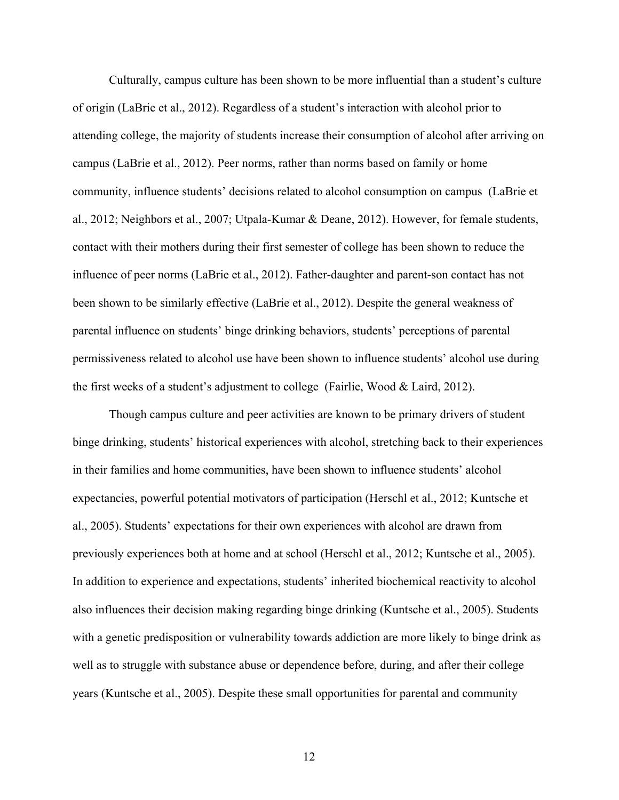Culturally, campus culture has been shown to be more influential than a student's culture of origin (LaBrie et al., 2012). Regardless of a student's interaction with alcohol prior to attending college, the majority of students increase their consumption of alcohol after arriving on campus (LaBrie et al., 2012). Peer norms, rather than norms based on family or home community, influence students' decisions related to alcohol consumption on campus (LaBrie et al., 2012; Neighbors et al., 2007; Utpala-Kumar & Deane, 2012). However, for female students, contact with their mothers during their first semester of college has been shown to reduce the influence of peer norms (LaBrie et al., 2012). Father-daughter and parent-son contact has not been shown to be similarly effective (LaBrie et al., 2012). Despite the general weakness of parental influence on students' binge drinking behaviors, students' perceptions of parental permissiveness related to alcohol use have been shown to influence students' alcohol use during the first weeks of a student's adjustment to college (Fairlie, Wood & Laird, 2012).

Though campus culture and peer activities are known to be primary drivers of student binge drinking, students' historical experiences with alcohol, stretching back to their experiences in their families and home communities, have been shown to influence students' alcohol expectancies, powerful potential motivators of participation (Herschl et al., 2012; Kuntsche et al., 2005). Students' expectations for their own experiences with alcohol are drawn from previously experiences both at home and at school (Herschl et al., 2012; Kuntsche et al., 2005). In addition to experience and expectations, students' inherited biochemical reactivity to alcohol also influences their decision making regarding binge drinking (Kuntsche et al., 2005). Students with a genetic predisposition or vulnerability towards addiction are more likely to binge drink as well as to struggle with substance abuse or dependence before, during, and after their college years (Kuntsche et al., 2005). Despite these small opportunities for parental and community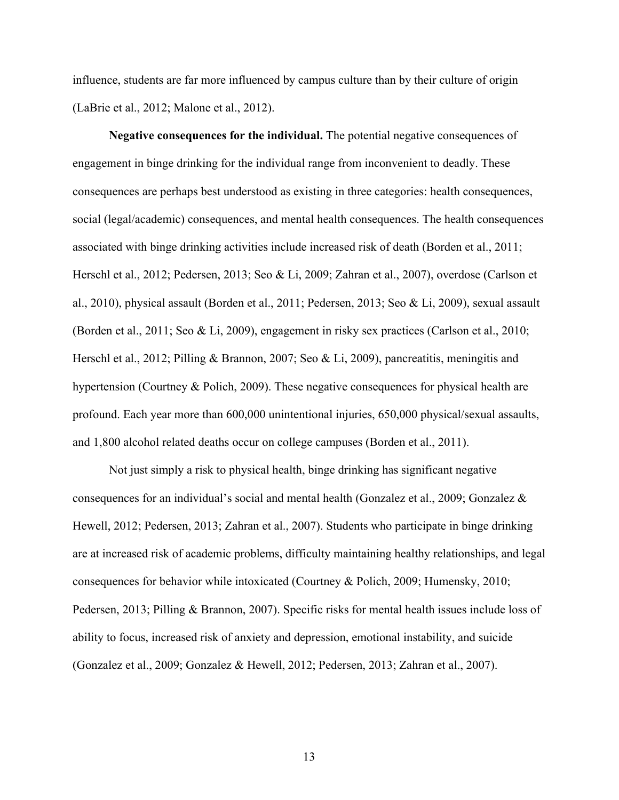influence, students are far more influenced by campus culture than by their culture of origin (LaBrie et al., 2012; Malone et al., 2012).

**Negative consequences for the individual.** The potential negative consequences of engagement in binge drinking for the individual range from inconvenient to deadly. These consequences are perhaps best understood as existing in three categories: health consequences, social (legal/academic) consequences, and mental health consequences. The health consequences associated with binge drinking activities include increased risk of death (Borden et al., 2011; Herschl et al., 2012; Pedersen, 2013; Seo & Li, 2009; Zahran et al., 2007), overdose (Carlson et al., 2010), physical assault (Borden et al., 2011; Pedersen, 2013; Seo & Li, 2009), sexual assault (Borden et al., 2011; Seo & Li, 2009), engagement in risky sex practices (Carlson et al., 2010; Herschl et al., 2012; Pilling & Brannon, 2007; Seo & Li, 2009), pancreatitis, meningitis and hypertension (Courtney & Polich, 2009). These negative consequences for physical health are profound. Each year more than 600,000 unintentional injuries, 650,000 physical/sexual assaults, and 1,800 alcohol related deaths occur on college campuses (Borden et al., 2011).

Not just simply a risk to physical health, binge drinking has significant negative consequences for an individual's social and mental health (Gonzalez et al., 2009; Gonzalez  $\&$ Hewell, 2012; Pedersen, 2013; Zahran et al., 2007). Students who participate in binge drinking are at increased risk of academic problems, difficulty maintaining healthy relationships, and legal consequences for behavior while intoxicated (Courtney & Polich, 2009; Humensky, 2010; Pedersen, 2013; Pilling & Brannon, 2007). Specific risks for mental health issues include loss of ability to focus, increased risk of anxiety and depression, emotional instability, and suicide (Gonzalez et al., 2009; Gonzalez & Hewell, 2012; Pedersen, 2013; Zahran et al., 2007).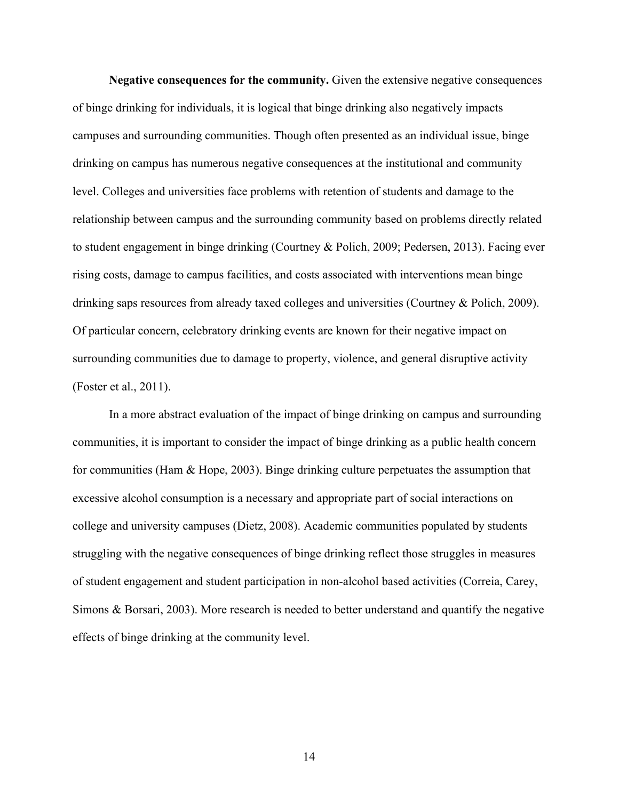**Negative consequences for the community.** Given the extensive negative consequences of binge drinking for individuals, it is logical that binge drinking also negatively impacts campuses and surrounding communities. Though often presented as an individual issue, binge drinking on campus has numerous negative consequences at the institutional and community level. Colleges and universities face problems with retention of students and damage to the relationship between campus and the surrounding community based on problems directly related to student engagement in binge drinking (Courtney & Polich, 2009; Pedersen, 2013). Facing ever rising costs, damage to campus facilities, and costs associated with interventions mean binge drinking saps resources from already taxed colleges and universities (Courtney & Polich, 2009). Of particular concern, celebratory drinking events are known for their negative impact on surrounding communities due to damage to property, violence, and general disruptive activity (Foster et al., 2011).

In a more abstract evaluation of the impact of binge drinking on campus and surrounding communities, it is important to consider the impact of binge drinking as a public health concern for communities (Ham & Hope, 2003). Binge drinking culture perpetuates the assumption that excessive alcohol consumption is a necessary and appropriate part of social interactions on college and university campuses (Dietz, 2008). Academic communities populated by students struggling with the negative consequences of binge drinking reflect those struggles in measures of student engagement and student participation in non-alcohol based activities (Correia, Carey, Simons & Borsari, 2003). More research is needed to better understand and quantify the negative effects of binge drinking at the community level.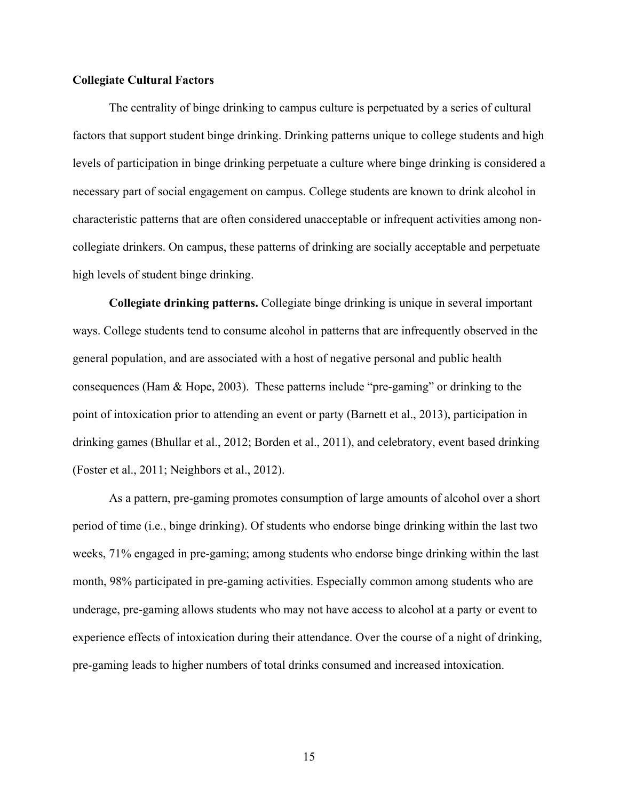#### **Collegiate Cultural Factors**

The centrality of binge drinking to campus culture is perpetuated by a series of cultural factors that support student binge drinking. Drinking patterns unique to college students and high levels of participation in binge drinking perpetuate a culture where binge drinking is considered a necessary part of social engagement on campus. College students are known to drink alcohol in characteristic patterns that are often considered unacceptable or infrequent activities among noncollegiate drinkers. On campus, these patterns of drinking are socially acceptable and perpetuate high levels of student binge drinking.

**Collegiate drinking patterns.** Collegiate binge drinking is unique in several important ways. College students tend to consume alcohol in patterns that are infrequently observed in the general population, and are associated with a host of negative personal and public health consequences (Ham & Hope, 2003). These patterns include "pre-gaming" or drinking to the point of intoxication prior to attending an event or party (Barnett et al., 2013), participation in drinking games (Bhullar et al., 2012; Borden et al., 2011), and celebratory, event based drinking (Foster et al., 2011; Neighbors et al., 2012).

As a pattern, pre-gaming promotes consumption of large amounts of alcohol over a short period of time (i.e., binge drinking). Of students who endorse binge drinking within the last two weeks, 71% engaged in pre-gaming; among students who endorse binge drinking within the last month, 98% participated in pre-gaming activities. Especially common among students who are underage, pre-gaming allows students who may not have access to alcohol at a party or event to experience effects of intoxication during their attendance. Over the course of a night of drinking, pre-gaming leads to higher numbers of total drinks consumed and increased intoxication.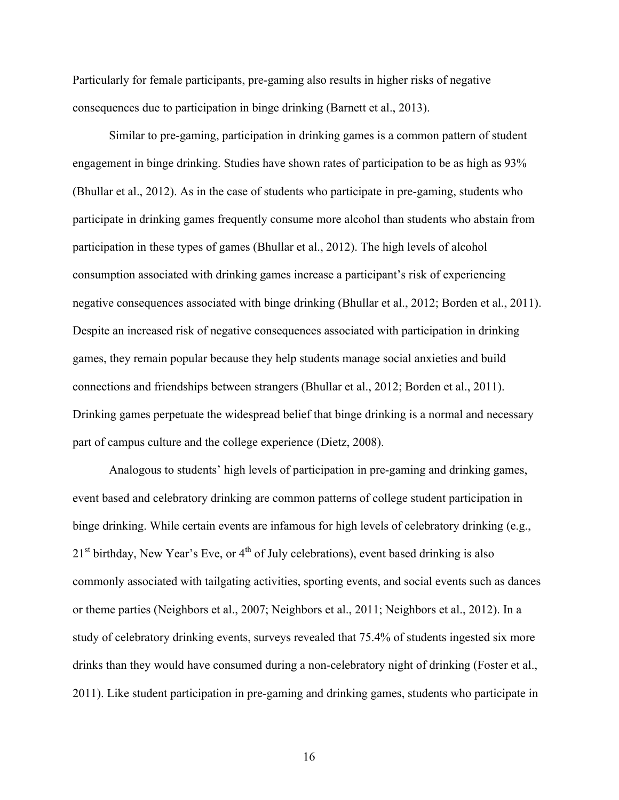Particularly for female participants, pre-gaming also results in higher risks of negative consequences due to participation in binge drinking (Barnett et al., 2013).

Similar to pre-gaming, participation in drinking games is a common pattern of student engagement in binge drinking. Studies have shown rates of participation to be as high as 93% (Bhullar et al., 2012). As in the case of students who participate in pre-gaming, students who participate in drinking games frequently consume more alcohol than students who abstain from participation in these types of games (Bhullar et al., 2012). The high levels of alcohol consumption associated with drinking games increase a participant's risk of experiencing negative consequences associated with binge drinking (Bhullar et al., 2012; Borden et al., 2011). Despite an increased risk of negative consequences associated with participation in drinking games, they remain popular because they help students manage social anxieties and build connections and friendships between strangers (Bhullar et al., 2012; Borden et al., 2011). Drinking games perpetuate the widespread belief that binge drinking is a normal and necessary part of campus culture and the college experience (Dietz, 2008).

Analogous to students' high levels of participation in pre-gaming and drinking games, event based and celebratory drinking are common patterns of college student participation in binge drinking. While certain events are infamous for high levels of celebratory drinking (e.g.,  $21<sup>st</sup>$  birthday, New Year's Eve, or  $4<sup>th</sup>$  of July celebrations), event based drinking is also commonly associated with tailgating activities, sporting events, and social events such as dances or theme parties (Neighbors et al., 2007; Neighbors et al., 2011; Neighbors et al., 2012). In a study of celebratory drinking events, surveys revealed that 75.4% of students ingested six more drinks than they would have consumed during a non-celebratory night of drinking (Foster et al., 2011). Like student participation in pre-gaming and drinking games, students who participate in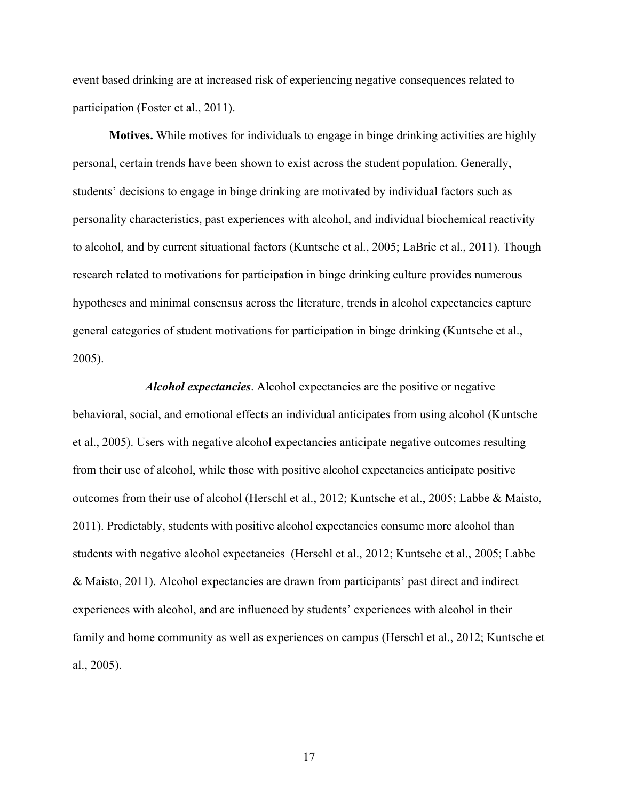event based drinking are at increased risk of experiencing negative consequences related to participation (Foster et al., 2011).

**Motives.** While motives for individuals to engage in binge drinking activities are highly personal, certain trends have been shown to exist across the student population. Generally, students' decisions to engage in binge drinking are motivated by individual factors such as personality characteristics, past experiences with alcohol, and individual biochemical reactivity to alcohol, and by current situational factors (Kuntsche et al., 2005; LaBrie et al., 2011). Though research related to motivations for participation in binge drinking culture provides numerous hypotheses and minimal consensus across the literature, trends in alcohol expectancies capture general categories of student motivations for participation in binge drinking (Kuntsche et al., 2005).

*Alcohol expectancies*. Alcohol expectancies are the positive or negative behavioral, social, and emotional effects an individual anticipates from using alcohol (Kuntsche et al., 2005). Users with negative alcohol expectancies anticipate negative outcomes resulting from their use of alcohol, while those with positive alcohol expectancies anticipate positive outcomes from their use of alcohol (Herschl et al., 2012; Kuntsche et al., 2005; Labbe & Maisto, 2011). Predictably, students with positive alcohol expectancies consume more alcohol than students with negative alcohol expectancies (Herschl et al., 2012; Kuntsche et al., 2005; Labbe & Maisto, 2011). Alcohol expectancies are drawn from participants' past direct and indirect experiences with alcohol, and are influenced by students' experiences with alcohol in their family and home community as well as experiences on campus (Herschl et al., 2012; Kuntsche et al., 2005).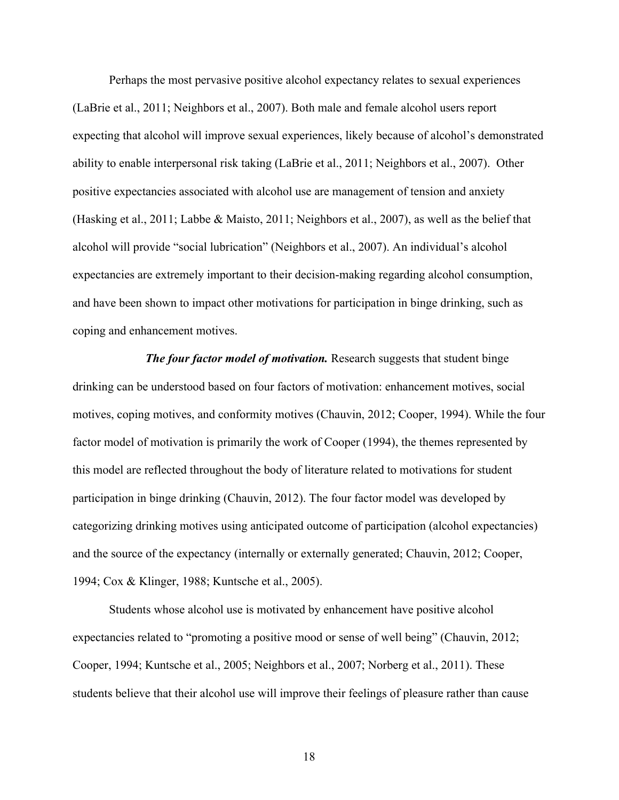Perhaps the most pervasive positive alcohol expectancy relates to sexual experiences (LaBrie et al., 2011; Neighbors et al., 2007). Both male and female alcohol users report expecting that alcohol will improve sexual experiences, likely because of alcohol's demonstrated ability to enable interpersonal risk taking (LaBrie et al., 2011; Neighbors et al., 2007). Other positive expectancies associated with alcohol use are management of tension and anxiety (Hasking et al., 2011; Labbe & Maisto, 2011; Neighbors et al., 2007), as well as the belief that alcohol will provide "social lubrication" (Neighbors et al., 2007). An individual's alcohol expectancies are extremely important to their decision-making regarding alcohol consumption, and have been shown to impact other motivations for participation in binge drinking, such as coping and enhancement motives.

*The four factor model of motivation.* Research suggests that student binge drinking can be understood based on four factors of motivation: enhancement motives, social motives, coping motives, and conformity motives (Chauvin, 2012; Cooper, 1994). While the four factor model of motivation is primarily the work of Cooper (1994), the themes represented by this model are reflected throughout the body of literature related to motivations for student participation in binge drinking (Chauvin, 2012). The four factor model was developed by categorizing drinking motives using anticipated outcome of participation (alcohol expectancies) and the source of the expectancy (internally or externally generated; Chauvin, 2012; Cooper, 1994; Cox & Klinger, 1988; Kuntsche et al., 2005).

Students whose alcohol use is motivated by enhancement have positive alcohol expectancies related to "promoting a positive mood or sense of well being" (Chauvin, 2012; Cooper, 1994; Kuntsche et al., 2005; Neighbors et al., 2007; Norberg et al., 2011). These students believe that their alcohol use will improve their feelings of pleasure rather than cause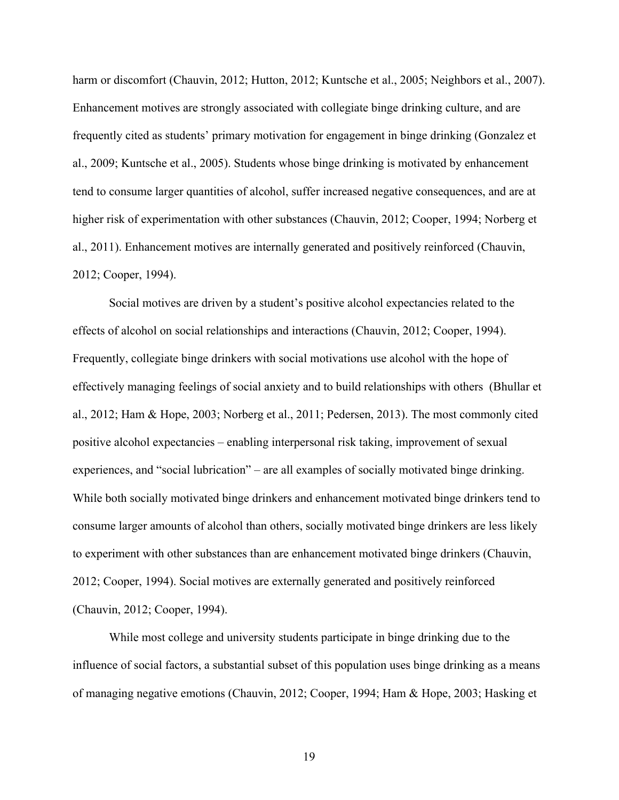harm or discomfort (Chauvin, 2012; Hutton, 2012; Kuntsche et al., 2005; Neighbors et al., 2007). Enhancement motives are strongly associated with collegiate binge drinking culture, and are frequently cited as students' primary motivation for engagement in binge drinking (Gonzalez et al., 2009; Kuntsche et al., 2005). Students whose binge drinking is motivated by enhancement tend to consume larger quantities of alcohol, suffer increased negative consequences, and are at higher risk of experimentation with other substances (Chauvin, 2012; Cooper, 1994; Norberg et al., 2011). Enhancement motives are internally generated and positively reinforced (Chauvin, 2012; Cooper, 1994).

Social motives are driven by a student's positive alcohol expectancies related to the effects of alcohol on social relationships and interactions (Chauvin, 2012; Cooper, 1994). Frequently, collegiate binge drinkers with social motivations use alcohol with the hope of effectively managing feelings of social anxiety and to build relationships with others (Bhullar et al., 2012; Ham & Hope, 2003; Norberg et al., 2011; Pedersen, 2013). The most commonly cited positive alcohol expectancies – enabling interpersonal risk taking, improvement of sexual experiences, and "social lubrication" – are all examples of socially motivated binge drinking. While both socially motivated binge drinkers and enhancement motivated binge drinkers tend to consume larger amounts of alcohol than others, socially motivated binge drinkers are less likely to experiment with other substances than are enhancement motivated binge drinkers (Chauvin, 2012; Cooper, 1994). Social motives are externally generated and positively reinforced (Chauvin, 2012; Cooper, 1994).

While most college and university students participate in binge drinking due to the influence of social factors, a substantial subset of this population uses binge drinking as a means of managing negative emotions (Chauvin, 2012; Cooper, 1994; Ham & Hope, 2003; Hasking et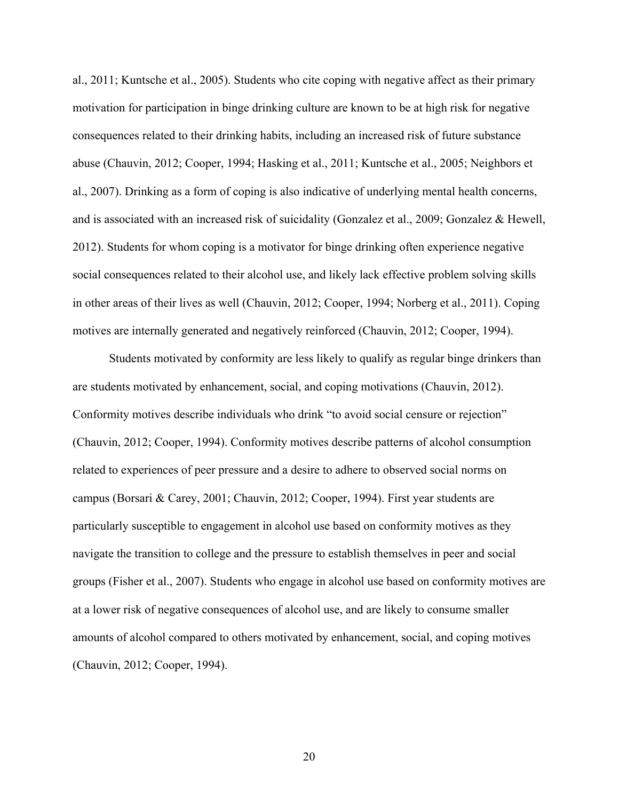al., 2011; Kuntsche et al., 2005). Students who cite coping with negative affect as their primary motivation for participation in binge drinking culture are known to be at high risk for negative consequences related to their drinking habits, including an increased risk of future substance abuse (Chauvin, 2012; Cooper, 1994; Hasking et al., 2011; Kuntsche et al., 2005; Neighbors et al., 2007). Drinking as a form of coping is also indicative of underlying mental health concerns, and is associated with an increased risk of suicidality (Gonzalez et al., 2009; Gonzalez & Hewell, 2012). Students for whom coping is a motivator for binge drinking often experience negative social consequences related to their alcohol use, and likely lack effective problem solving skills in other areas of their lives as well (Chauvin, 2012; Cooper, 1994; Norberg et al., 2011). Coping motives are internally generated and negatively reinforced (Chauvin, 2012; Cooper, 1994).

Students motivated by conformity are less likely to qualify as regular binge drinkers than are students motivated by enhancement, social, and coping motivations (Chauvin, 2012). Conformity motives describe individuals who drink "to avoid social censure or rejection" (Chauvin, 2012; Cooper, 1994). Conformity motives describe patterns of alcohol consumption related to experiences of peer pressure and a desire to adhere to observed social norms on campus (Borsari & Carey, 2001; Chauvin, 2012; Cooper, 1994). First year students are particularly susceptible to engagement in alcohol use based on conformity motives as they navigate the transition to college and the pressure to establish themselves in peer and social groups (Fisher et al., 2007). Students who engage in alcohol use based on conformity motives are at a lower risk of negative consequences of alcohol use, and are likely to consume smaller amounts of alcohol compared to others motivated by enhancement, social, and coping motives (Chauvin, 2012; Cooper, 1994).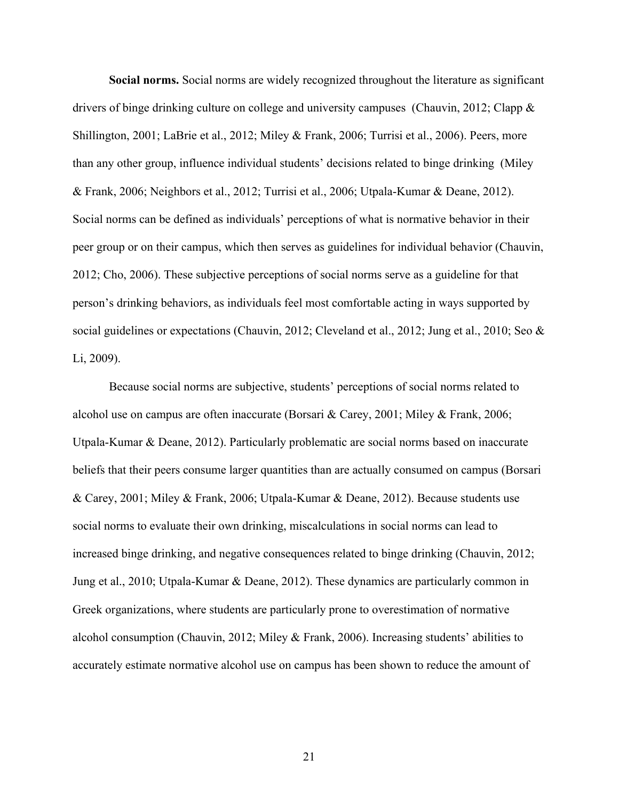**Social norms.** Social norms are widely recognized throughout the literature as significant drivers of binge drinking culture on college and university campuses (Chauvin, 2012; Clapp & Shillington, 2001; LaBrie et al., 2012; Miley & Frank, 2006; Turrisi et al., 2006). Peers, more than any other group, influence individual students' decisions related to binge drinking (Miley & Frank, 2006; Neighbors et al., 2012; Turrisi et al., 2006; Utpala-Kumar & Deane, 2012). Social norms can be defined as individuals' perceptions of what is normative behavior in their peer group or on their campus, which then serves as guidelines for individual behavior (Chauvin, 2012; Cho, 2006). These subjective perceptions of social norms serve as a guideline for that person's drinking behaviors, as individuals feel most comfortable acting in ways supported by social guidelines or expectations (Chauvin, 2012; Cleveland et al., 2012; Jung et al., 2010; Seo & Li, 2009).

Because social norms are subjective, students' perceptions of social norms related to alcohol use on campus are often inaccurate (Borsari & Carey, 2001; Miley & Frank, 2006; Utpala-Kumar & Deane, 2012). Particularly problematic are social norms based on inaccurate beliefs that their peers consume larger quantities than are actually consumed on campus (Borsari & Carey, 2001; Miley & Frank, 2006; Utpala-Kumar & Deane, 2012). Because students use social norms to evaluate their own drinking, miscalculations in social norms can lead to increased binge drinking, and negative consequences related to binge drinking (Chauvin, 2012; Jung et al., 2010; Utpala-Kumar & Deane, 2012). These dynamics are particularly common in Greek organizations, where students are particularly prone to overestimation of normative alcohol consumption (Chauvin, 2012; Miley & Frank, 2006). Increasing students' abilities to accurately estimate normative alcohol use on campus has been shown to reduce the amount of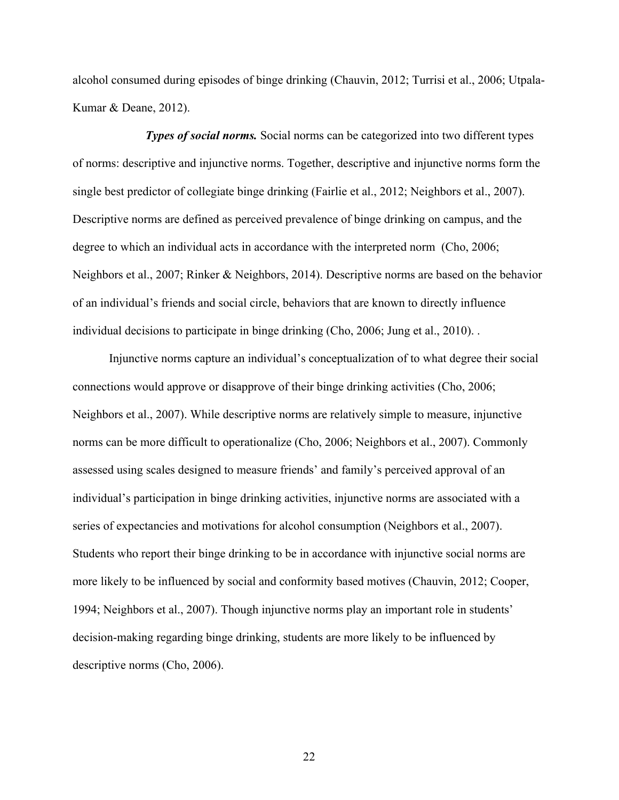alcohol consumed during episodes of binge drinking (Chauvin, 2012; Turrisi et al., 2006; Utpala-Kumar & Deane, 2012).

*Types of social norms.* Social norms can be categorized into two different types of norms: descriptive and injunctive norms. Together, descriptive and injunctive norms form the single best predictor of collegiate binge drinking (Fairlie et al., 2012; Neighbors et al., 2007). Descriptive norms are defined as perceived prevalence of binge drinking on campus, and the degree to which an individual acts in accordance with the interpreted norm (Cho, 2006; Neighbors et al., 2007; Rinker & Neighbors, 2014). Descriptive norms are based on the behavior of an individual's friends and social circle, behaviors that are known to directly influence individual decisions to participate in binge drinking (Cho, 2006; Jung et al., 2010). .

Injunctive norms capture an individual's conceptualization of to what degree their social connections would approve or disapprove of their binge drinking activities (Cho, 2006; Neighbors et al., 2007). While descriptive norms are relatively simple to measure, injunctive norms can be more difficult to operationalize (Cho, 2006; Neighbors et al., 2007). Commonly assessed using scales designed to measure friends' and family's perceived approval of an individual's participation in binge drinking activities, injunctive norms are associated with a series of expectancies and motivations for alcohol consumption (Neighbors et al., 2007). Students who report their binge drinking to be in accordance with injunctive social norms are more likely to be influenced by social and conformity based motives (Chauvin, 2012; Cooper, 1994; Neighbors et al., 2007). Though injunctive norms play an important role in students' decision-making regarding binge drinking, students are more likely to be influenced by descriptive norms (Cho, 2006).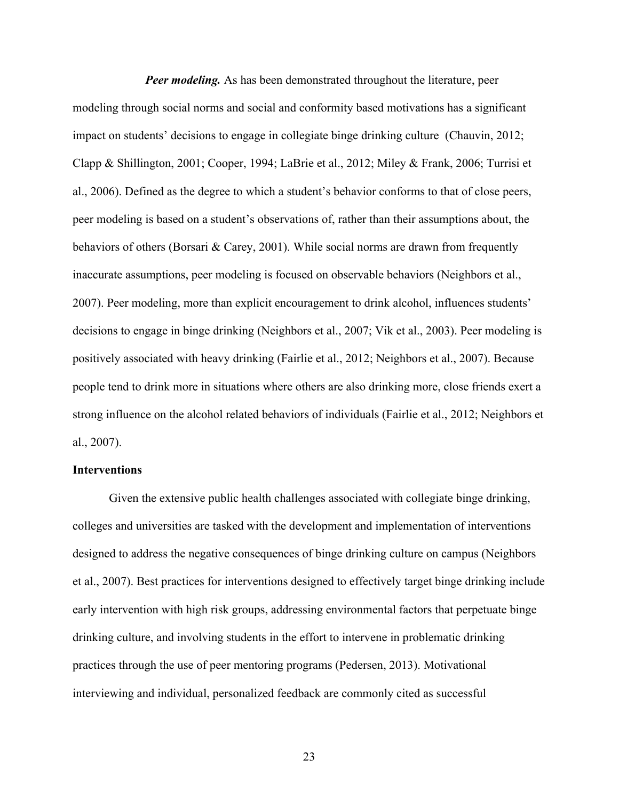*Peer modeling.* As has been demonstrated throughout the literature, peer modeling through social norms and social and conformity based motivations has a significant impact on students' decisions to engage in collegiate binge drinking culture (Chauvin, 2012; Clapp & Shillington, 2001; Cooper, 1994; LaBrie et al., 2012; Miley & Frank, 2006; Turrisi et al., 2006). Defined as the degree to which a student's behavior conforms to that of close peers, peer modeling is based on a student's observations of, rather than their assumptions about, the behaviors of others (Borsari & Carey, 2001). While social norms are drawn from frequently inaccurate assumptions, peer modeling is focused on observable behaviors (Neighbors et al., 2007). Peer modeling, more than explicit encouragement to drink alcohol, influences students' decisions to engage in binge drinking (Neighbors et al., 2007; Vik et al., 2003). Peer modeling is positively associated with heavy drinking (Fairlie et al., 2012; Neighbors et al., 2007). Because people tend to drink more in situations where others are also drinking more, close friends exert a strong influence on the alcohol related behaviors of individuals (Fairlie et al., 2012; Neighbors et al., 2007).

#### **Interventions**

Given the extensive public health challenges associated with collegiate binge drinking, colleges and universities are tasked with the development and implementation of interventions designed to address the negative consequences of binge drinking culture on campus (Neighbors et al., 2007). Best practices for interventions designed to effectively target binge drinking include early intervention with high risk groups, addressing environmental factors that perpetuate binge drinking culture, and involving students in the effort to intervene in problematic drinking practices through the use of peer mentoring programs (Pedersen, 2013). Motivational interviewing and individual, personalized feedback are commonly cited as successful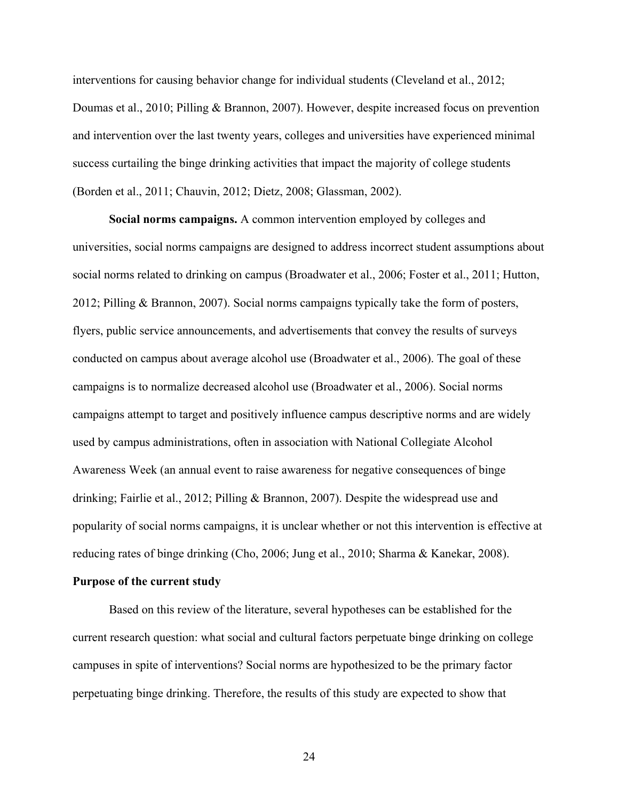interventions for causing behavior change for individual students (Cleveland et al., 2012; Doumas et al., 2010; Pilling & Brannon, 2007). However, despite increased focus on prevention and intervention over the last twenty years, colleges and universities have experienced minimal success curtailing the binge drinking activities that impact the majority of college students (Borden et al., 2011; Chauvin, 2012; Dietz, 2008; Glassman, 2002).

**Social norms campaigns.** A common intervention employed by colleges and universities, social norms campaigns are designed to address incorrect student assumptions about social norms related to drinking on campus (Broadwater et al., 2006; Foster et al., 2011; Hutton, 2012; Pilling & Brannon, 2007). Social norms campaigns typically take the form of posters, flyers, public service announcements, and advertisements that convey the results of surveys conducted on campus about average alcohol use (Broadwater et al., 2006). The goal of these campaigns is to normalize decreased alcohol use (Broadwater et al., 2006). Social norms campaigns attempt to target and positively influence campus descriptive norms and are widely used by campus administrations, often in association with National Collegiate Alcohol Awareness Week (an annual event to raise awareness for negative consequences of binge drinking; Fairlie et al., 2012; Pilling & Brannon, 2007). Despite the widespread use and popularity of social norms campaigns, it is unclear whether or not this intervention is effective at reducing rates of binge drinking (Cho, 2006; Jung et al., 2010; Sharma & Kanekar, 2008).

#### **Purpose of the current study**

Based on this review of the literature, several hypotheses can be established for the current research question: what social and cultural factors perpetuate binge drinking on college campuses in spite of interventions? Social norms are hypothesized to be the primary factor perpetuating binge drinking. Therefore, the results of this study are expected to show that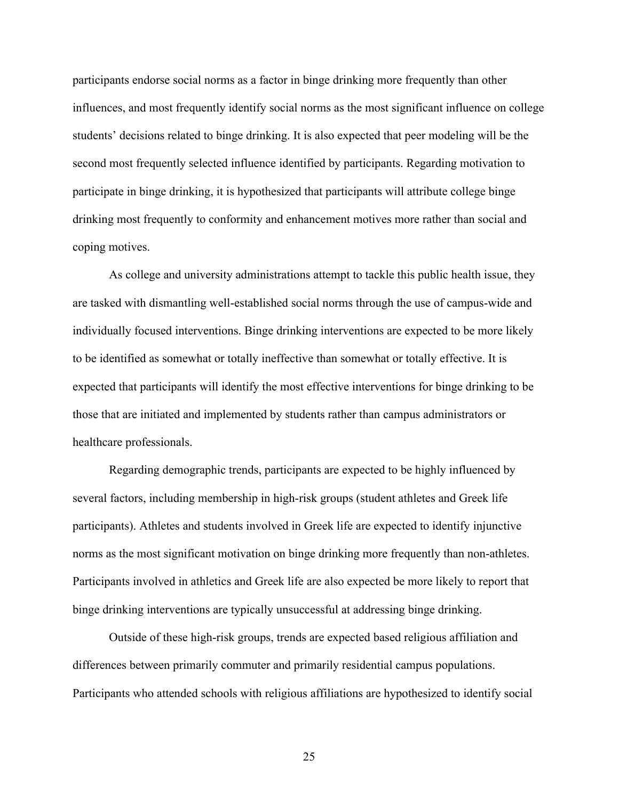participants endorse social norms as a factor in binge drinking more frequently than other influences, and most frequently identify social norms as the most significant influence on college students' decisions related to binge drinking. It is also expected that peer modeling will be the second most frequently selected influence identified by participants. Regarding motivation to participate in binge drinking, it is hypothesized that participants will attribute college binge drinking most frequently to conformity and enhancement motives more rather than social and coping motives.

As college and university administrations attempt to tackle this public health issue, they are tasked with dismantling well-established social norms through the use of campus-wide and individually focused interventions. Binge drinking interventions are expected to be more likely to be identified as somewhat or totally ineffective than somewhat or totally effective. It is expected that participants will identify the most effective interventions for binge drinking to be those that are initiated and implemented by students rather than campus administrators or healthcare professionals.

Regarding demographic trends, participants are expected to be highly influenced by several factors, including membership in high-risk groups (student athletes and Greek life participants). Athletes and students involved in Greek life are expected to identify injunctive norms as the most significant motivation on binge drinking more frequently than non-athletes. Participants involved in athletics and Greek life are also expected be more likely to report that binge drinking interventions are typically unsuccessful at addressing binge drinking.

Outside of these high-risk groups, trends are expected based religious affiliation and differences between primarily commuter and primarily residential campus populations. Participants who attended schools with religious affiliations are hypothesized to identify social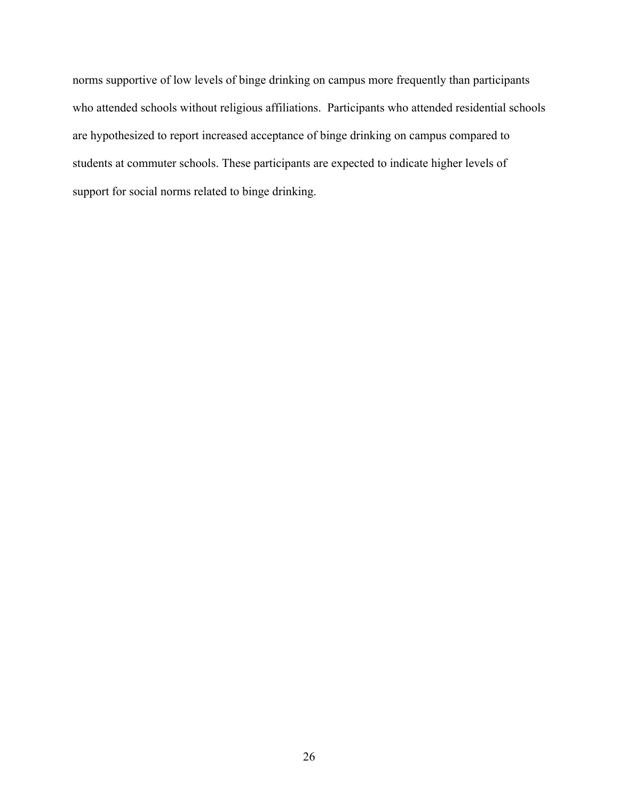norms supportive of low levels of binge drinking on campus more frequently than participants who attended schools without religious affiliations. Participants who attended residential schools are hypothesized to report increased acceptance of binge drinking on campus compared to students at commuter schools. These participants are expected to indicate higher levels of support for social norms related to binge drinking.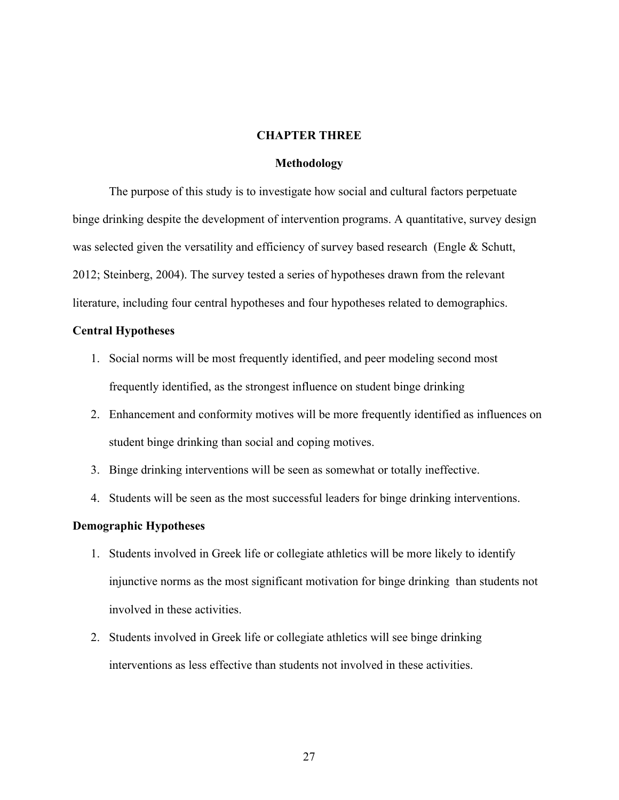#### **CHAPTER THREE**

#### **Methodology**

The purpose of this study is to investigate how social and cultural factors perpetuate binge drinking despite the development of intervention programs. A quantitative, survey design was selected given the versatility and efficiency of survey based research (Engle & Schutt, 2012; Steinberg, 2004). The survey tested a series of hypotheses drawn from the relevant literature, including four central hypotheses and four hypotheses related to demographics.

#### **Central Hypotheses**

- 1. Social norms will be most frequently identified, and peer modeling second most frequently identified, as the strongest influence on student binge drinking
- 2. Enhancement and conformity motives will be more frequently identified as influences on student binge drinking than social and coping motives.
- 3. Binge drinking interventions will be seen as somewhat or totally ineffective.
- 4. Students will be seen as the most successful leaders for binge drinking interventions.

#### **Demographic Hypotheses**

- 1. Students involved in Greek life or collegiate athletics will be more likely to identify injunctive norms as the most significant motivation for binge drinking than students not involved in these activities.
- 2. Students involved in Greek life or collegiate athletics will see binge drinking interventions as less effective than students not involved in these activities.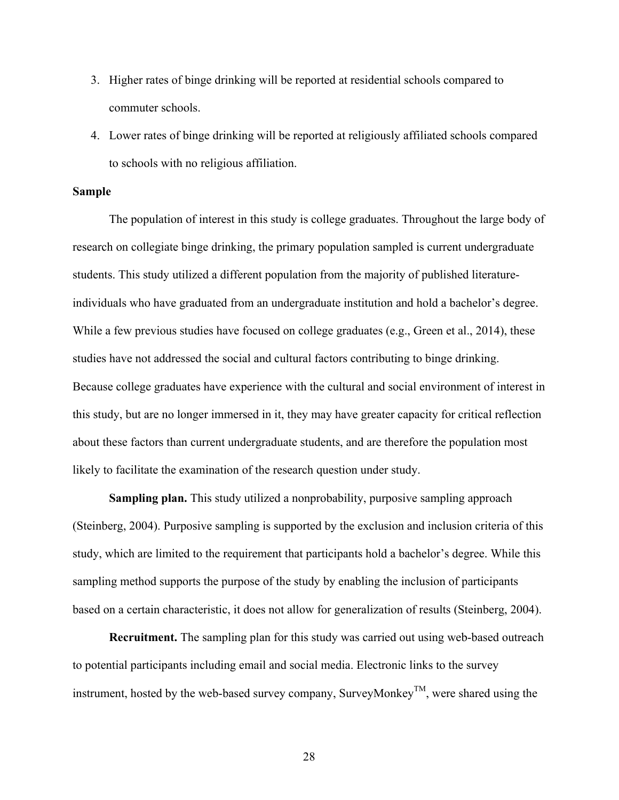- 3. Higher rates of binge drinking will be reported at residential schools compared to commuter schools.
- 4. Lower rates of binge drinking will be reported at religiously affiliated schools compared to schools with no religious affiliation.

#### **Sample**

The population of interest in this study is college graduates. Throughout the large body of research on collegiate binge drinking, the primary population sampled is current undergraduate students. This study utilized a different population from the majority of published literatureindividuals who have graduated from an undergraduate institution and hold a bachelor's degree. While a few previous studies have focused on college graduates (e.g., Green et al., 2014), these studies have not addressed the social and cultural factors contributing to binge drinking. Because college graduates have experience with the cultural and social environment of interest in this study, but are no longer immersed in it, they may have greater capacity for critical reflection about these factors than current undergraduate students, and are therefore the population most likely to facilitate the examination of the research question under study.

**Sampling plan.** This study utilized a nonprobability, purposive sampling approach (Steinberg, 2004). Purposive sampling is supported by the exclusion and inclusion criteria of this study, which are limited to the requirement that participants hold a bachelor's degree. While this sampling method supports the purpose of the study by enabling the inclusion of participants based on a certain characteristic, it does not allow for generalization of results (Steinberg, 2004).

**Recruitment.** The sampling plan for this study was carried out using web-based outreach to potential participants including email and social media. Electronic links to the survey instrument, hosted by the web-based survey company, SurveyMonkey<sup>TM</sup>, were shared using the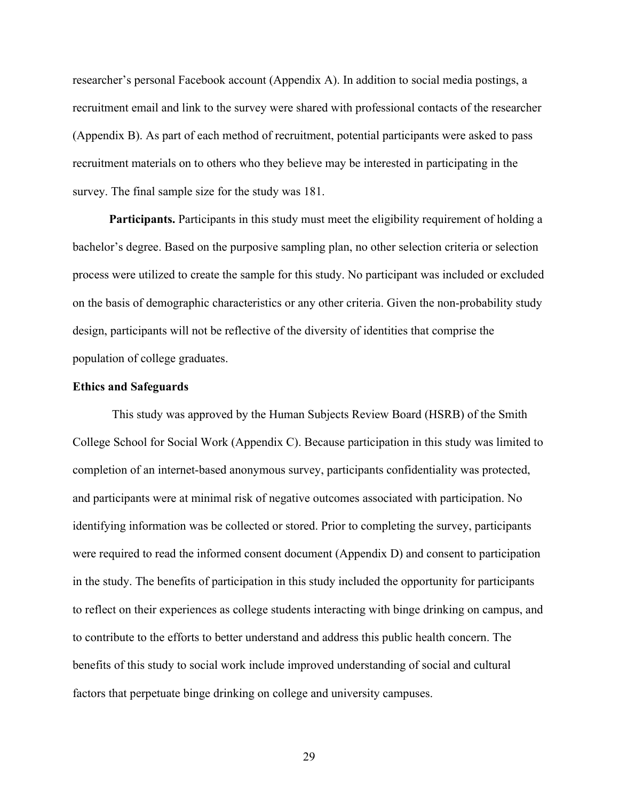researcher's personal Facebook account (Appendix A). In addition to social media postings, a recruitment email and link to the survey were shared with professional contacts of the researcher (Appendix B). As part of each method of recruitment, potential participants were asked to pass recruitment materials on to others who they believe may be interested in participating in the survey. The final sample size for the study was 181.

**Participants.** Participants in this study must meet the eligibility requirement of holding a bachelor's degree. Based on the purposive sampling plan, no other selection criteria or selection process were utilized to create the sample for this study. No participant was included or excluded on the basis of demographic characteristics or any other criteria. Given the non-probability study design, participants will not be reflective of the diversity of identities that comprise the population of college graduates.

#### **Ethics and Safeguards**

This study was approved by the Human Subjects Review Board (HSRB) of the Smith College School for Social Work (Appendix C). Because participation in this study was limited to completion of an internet-based anonymous survey, participants confidentiality was protected, and participants were at minimal risk of negative outcomes associated with participation. No identifying information was be collected or stored. Prior to completing the survey, participants were required to read the informed consent document (Appendix D) and consent to participation in the study. The benefits of participation in this study included the opportunity for participants to reflect on their experiences as college students interacting with binge drinking on campus, and to contribute to the efforts to better understand and address this public health concern. The benefits of this study to social work include improved understanding of social and cultural factors that perpetuate binge drinking on college and university campuses.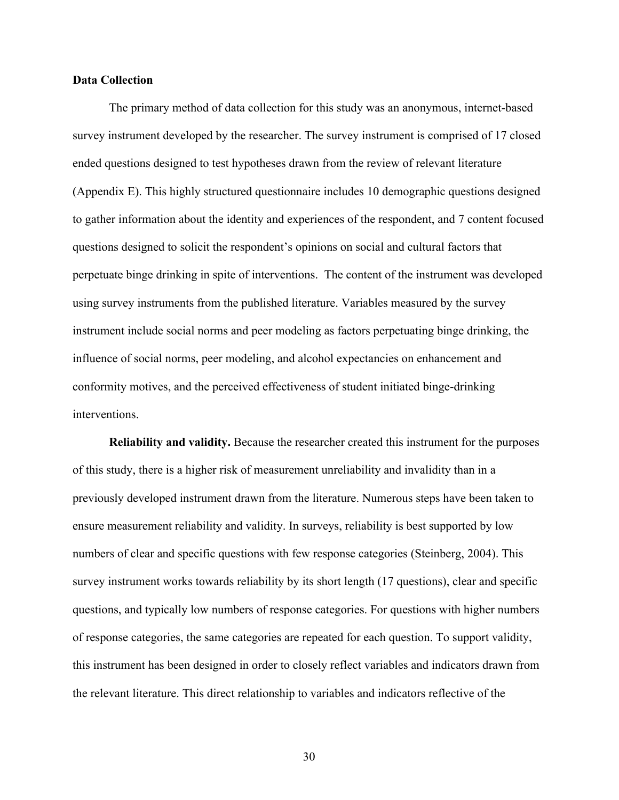#### **Data Collection**

The primary method of data collection for this study was an anonymous, internet-based survey instrument developed by the researcher. The survey instrument is comprised of 17 closed ended questions designed to test hypotheses drawn from the review of relevant literature (Appendix E). This highly structured questionnaire includes 10 demographic questions designed to gather information about the identity and experiences of the respondent, and 7 content focused questions designed to solicit the respondent's opinions on social and cultural factors that perpetuate binge drinking in spite of interventions. The content of the instrument was developed using survey instruments from the published literature. Variables measured by the survey instrument include social norms and peer modeling as factors perpetuating binge drinking, the influence of social norms, peer modeling, and alcohol expectancies on enhancement and conformity motives, and the perceived effectiveness of student initiated binge-drinking interventions.

**Reliability and validity.** Because the researcher created this instrument for the purposes of this study, there is a higher risk of measurement unreliability and invalidity than in a previously developed instrument drawn from the literature. Numerous steps have been taken to ensure measurement reliability and validity. In surveys, reliability is best supported by low numbers of clear and specific questions with few response categories (Steinberg, 2004). This survey instrument works towards reliability by its short length (17 questions), clear and specific questions, and typically low numbers of response categories. For questions with higher numbers of response categories, the same categories are repeated for each question. To support validity, this instrument has been designed in order to closely reflect variables and indicators drawn from the relevant literature. This direct relationship to variables and indicators reflective of the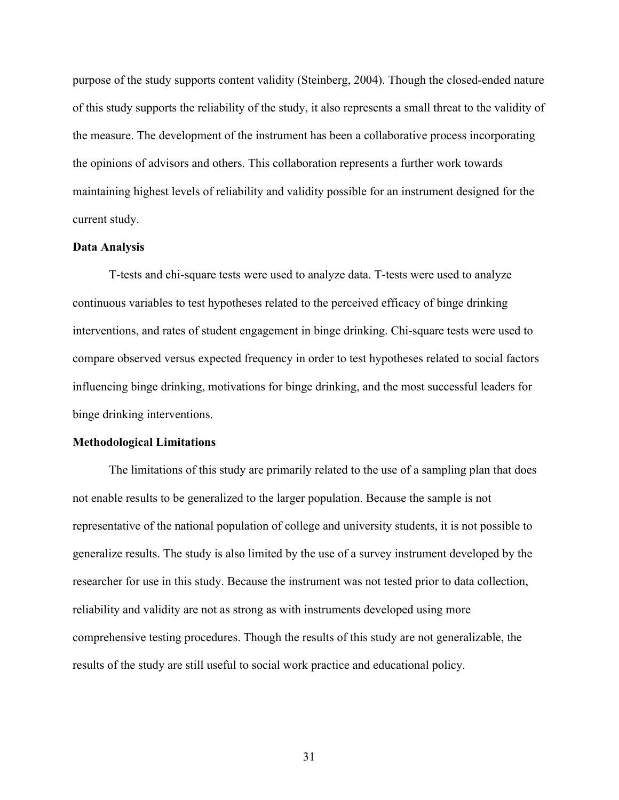purpose of the study supports content validity (Steinberg, 2004). Though the closed-ended nature of this study supports the reliability of the study, it also represents a small threat to the validity of the measure. The development of the instrument has been a collaborative process incorporating the opinions of advisors and others. This collaboration represents a further work towards maintaining highest levels of reliability and validity possible for an instrument designed for the current study.

### **Data Analysis**

T-tests and chi-square tests were used to analyze data. T-tests were used to analyze continuous variables to test hypotheses related to the perceived efficacy of binge drinking interventions, and rates of student engagement in binge drinking. Chi-square tests were used to compare observed versus expected frequency in order to test hypotheses related to social factors influencing binge drinking, motivations for binge drinking, and the most successful leaders for binge drinking interventions.

### **Methodological Limitations**

The limitations of this study are primarily related to the use of a sampling plan that does not enable results to be generalized to the larger population. Because the sample is not representative of the national population of college and university students, it is not possible to generalize results. The study is also limited by the use of a survey instrument developed by the researcher for use in this study. Because the instrument was not tested prior to data collection, reliability and validity are not as strong as with instruments developed using more comprehensive testing procedures. Though the results of this study are not generalizable, the results of the study are still useful to social work practice and educational policy.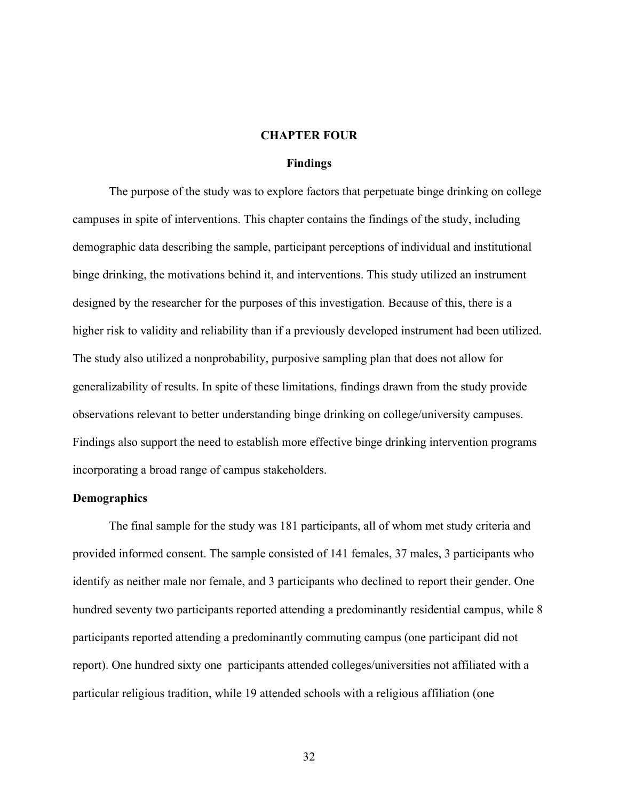# **CHAPTER FOUR**

#### **Findings**

The purpose of the study was to explore factors that perpetuate binge drinking on college campuses in spite of interventions. This chapter contains the findings of the study, including demographic data describing the sample, participant perceptions of individual and institutional binge drinking, the motivations behind it, and interventions. This study utilized an instrument designed by the researcher for the purposes of this investigation. Because of this, there is a higher risk to validity and reliability than if a previously developed instrument had been utilized. The study also utilized a nonprobability, purposive sampling plan that does not allow for generalizability of results. In spite of these limitations, findings drawn from the study provide observations relevant to better understanding binge drinking on college/university campuses. Findings also support the need to establish more effective binge drinking intervention programs incorporating a broad range of campus stakeholders.

#### **Demographics**

The final sample for the study was 181 participants, all of whom met study criteria and provided informed consent. The sample consisted of 141 females, 37 males, 3 participants who identify as neither male nor female, and 3 participants who declined to report their gender. One hundred seventy two participants reported attending a predominantly residential campus, while 8 participants reported attending a predominantly commuting campus (one participant did not report). One hundred sixty one participants attended colleges/universities not affiliated with a particular religious tradition, while 19 attended schools with a religious affiliation (one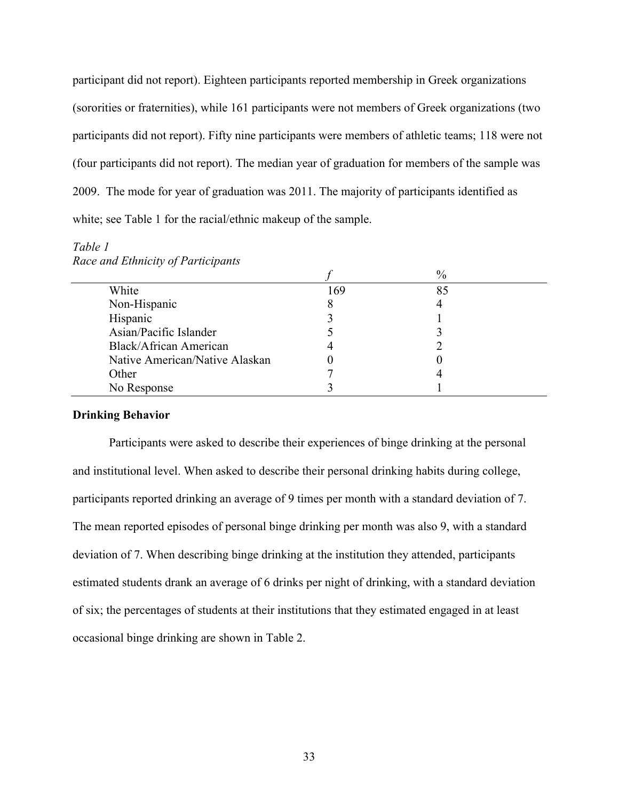participant did not report). Eighteen participants reported membership in Greek organizations (sororities or fraternities), while 161 participants were not members of Greek organizations (two participants did not report). Fifty nine participants were members of athletic teams; 118 were not (four participants did not report). The median year of graduation for members of the sample was 2009. The mode for year of graduation was 2011. The majority of participants identified as white; see Table 1 for the racial/ethnic makeup of the sample.

# *Table 1*

| ັ<br><b>I</b>                  |     | $\frac{0}{0}$ |  |
|--------------------------------|-----|---------------|--|
| White                          | 169 | 85            |  |
| Non-Hispanic                   |     |               |  |
| Hispanic                       |     |               |  |
| Asian/Pacific Islander         |     |               |  |
| <b>Black/African American</b>  |     |               |  |
| Native American/Native Alaskan |     |               |  |
| Other                          |     |               |  |
| No Response                    |     |               |  |

*Race and Ethnicity of Participants*

# **Drinking Behavior**

Participants were asked to describe their experiences of binge drinking at the personal and institutional level. When asked to describe their personal drinking habits during college, participants reported drinking an average of 9 times per month with a standard deviation of 7. The mean reported episodes of personal binge drinking per month was also 9, with a standard deviation of 7. When describing binge drinking at the institution they attended, participants estimated students drank an average of 6 drinks per night of drinking, with a standard deviation of six; the percentages of students at their institutions that they estimated engaged in at least occasional binge drinking are shown in Table 2.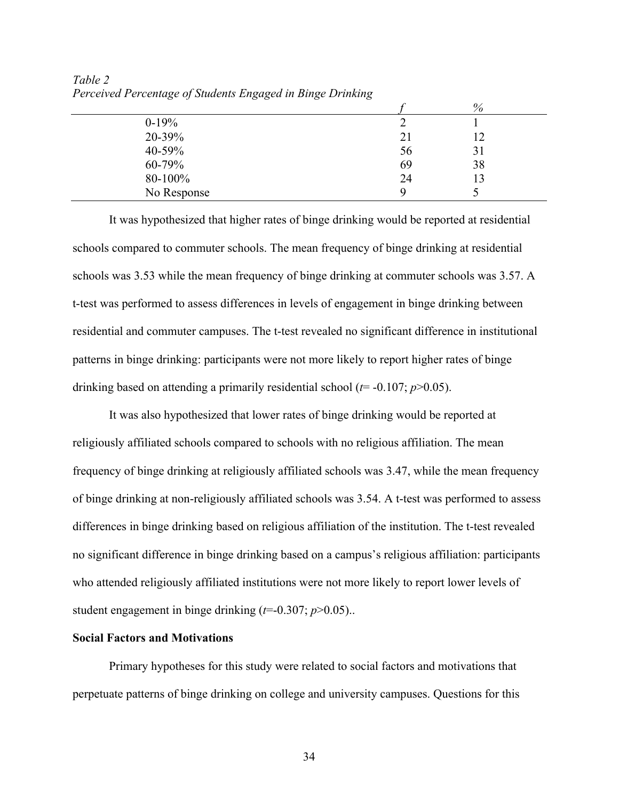|             |    | $\%$ |  |
|-------------|----|------|--|
| $0-19%$     |    |      |  |
| 20-39%      | 21 | 12   |  |
| 40-59%      | 56 | 31   |  |
| 60-79%      | 69 | 38   |  |
| 80-100%     | 24 |      |  |
| No Response |    |      |  |

*Table 2 Perceived Percentage of Students Engaged in Binge Drinking*

It was hypothesized that higher rates of binge drinking would be reported at residential schools compared to commuter schools. The mean frequency of binge drinking at residential schools was 3.53 while the mean frequency of binge drinking at commuter schools was 3.57. A t-test was performed to assess differences in levels of engagement in binge drinking between residential and commuter campuses. The t-test revealed no significant difference in institutional patterns in binge drinking: participants were not more likely to report higher rates of binge drinking based on attending a primarily residential school ( $t$ = -0.107;  $p$ >0.05).

It was also hypothesized that lower rates of binge drinking would be reported at religiously affiliated schools compared to schools with no religious affiliation. The mean frequency of binge drinking at religiously affiliated schools was 3.47, while the mean frequency of binge drinking at non-religiously affiliated schools was 3.54. A t-test was performed to assess differences in binge drinking based on religious affiliation of the institution. The t-test revealed no significant difference in binge drinking based on a campus's religious affiliation: participants who attended religiously affiliated institutions were not more likely to report lower levels of student engagement in binge drinking (*t*=-0.307; *p*>0.05)..

### **Social Factors and Motivations**

Primary hypotheses for this study were related to social factors and motivations that perpetuate patterns of binge drinking on college and university campuses. Questions for this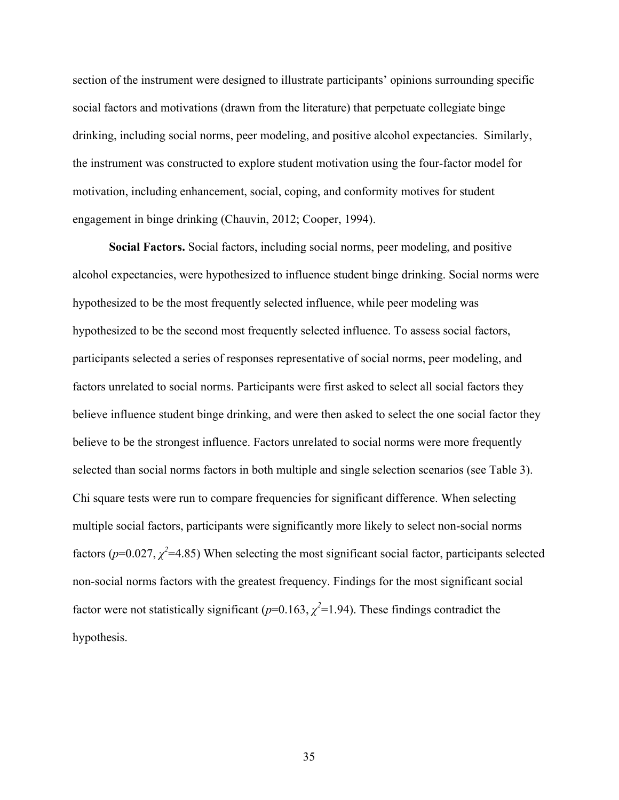section of the instrument were designed to illustrate participants' opinions surrounding specific social factors and motivations (drawn from the literature) that perpetuate collegiate binge drinking, including social norms, peer modeling, and positive alcohol expectancies. Similarly, the instrument was constructed to explore student motivation using the four-factor model for motivation, including enhancement, social, coping, and conformity motives for student engagement in binge drinking (Chauvin, 2012; Cooper, 1994).

**Social Factors.** Social factors, including social norms, peer modeling, and positive alcohol expectancies, were hypothesized to influence student binge drinking. Social norms were hypothesized to be the most frequently selected influence, while peer modeling was hypothesized to be the second most frequently selected influence. To assess social factors, participants selected a series of responses representative of social norms, peer modeling, and factors unrelated to social norms. Participants were first asked to select all social factors they believe influence student binge drinking, and were then asked to select the one social factor they believe to be the strongest influence. Factors unrelated to social norms were more frequently selected than social norms factors in both multiple and single selection scenarios (see Table 3). Chi square tests were run to compare frequencies for significant difference. When selecting multiple social factors, participants were significantly more likely to select non-social norms factors ( $p=0.027$ ,  $\chi^2=4.85$ ) When selecting the most significant social factor, participants selected non-social norms factors with the greatest frequency. Findings for the most significant social factor were not statistically significant ( $p=0.163$ ,  $\chi^2=1.94$ ). These findings contradict the hypothesis.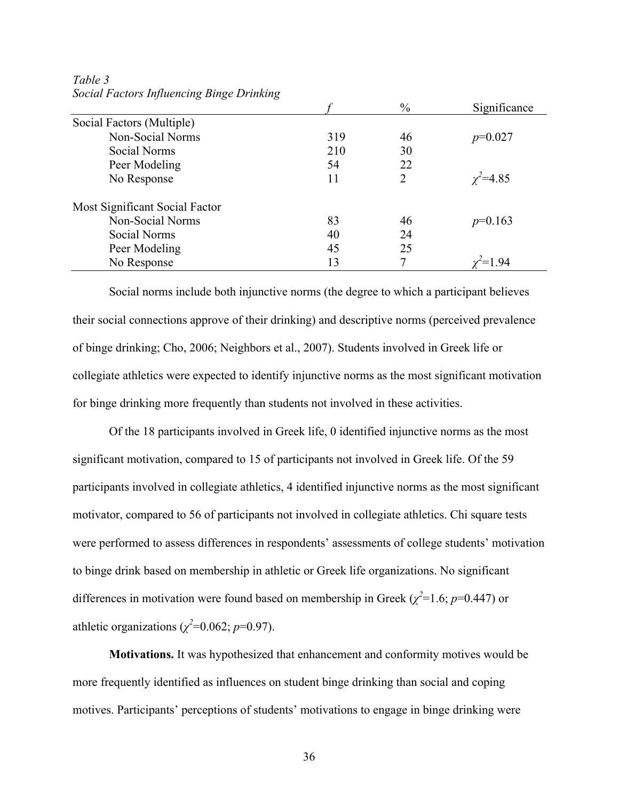|                                |     | $\frac{0}{0}$  | Significance   |
|--------------------------------|-----|----------------|----------------|
| Social Factors (Multiple)      |     |                |                |
| Non-Social Norms               | 319 | 46             | $p=0.027$      |
| Social Norms                   | 210 | 30             |                |
| Peer Modeling                  | 54  | 22             |                |
| No Response                    | 11  | $\overline{2}$ | $\chi^2$ =4.85 |
| Most Significant Social Factor |     |                |                |
| Non-Social Norms               | 83  | 46             | $p=0.163$      |
| Social Norms                   | 40  | 24             |                |
| Peer Modeling                  | 45  | 25             |                |
| No Response                    | 13  | 7              |                |

*Table 3 Social Factors Influencing Binge Drinking*

Social norms include both injunctive norms (the degree to which a participant believes their social connections approve of their drinking) and descriptive norms (perceived prevalence of binge drinking; Cho, 2006; Neighbors et al., 2007). Students involved in Greek life or collegiate athletics were expected to identify injunctive norms as the most significant motivation for binge drinking more frequently than students not involved in these activities.

Of the 18 participants involved in Greek life, 0 identified injunctive norms as the most significant motivation, compared to 15 of participants not involved in Greek life. Of the 59 participants involved in collegiate athletics, 4 identified injunctive norms as the most significant motivator, compared to 56 of participants not involved in collegiate athletics. Chi square tests were performed to assess differences in respondents' assessments of college students' motivation to binge drink based on membership in athletic or Greek life organizations. No significant differences in motivation were found based on membership in Greek ( $\chi^2$ =1.6; *p*=0.447) or athletic organizations ( $\chi^2$ =0.062; *p*=0.97).

**Motivations.** It was hypothesized that enhancement and conformity motives would be more frequently identified as influences on student binge drinking than social and coping motives. Participants' perceptions of students' motivations to engage in binge drinking were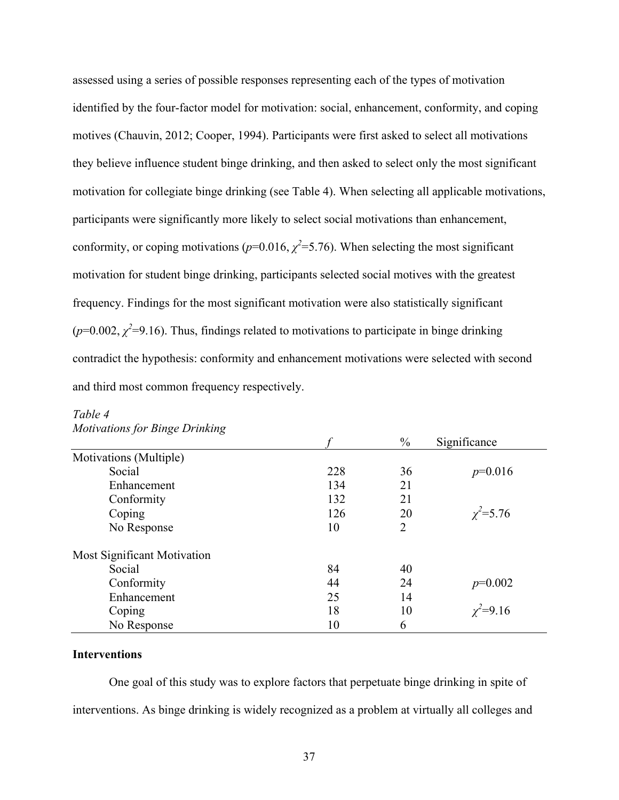assessed using a series of possible responses representing each of the types of motivation identified by the four-factor model for motivation: social, enhancement, conformity, and coping motives (Chauvin, 2012; Cooper, 1994). Participants were first asked to select all motivations they believe influence student binge drinking, and then asked to select only the most significant motivation for collegiate binge drinking (see Table 4). When selecting all applicable motivations, participants were significantly more likely to select social motivations than enhancement, conformity, or coping motivations ( $p=0.016$ ,  $\chi^2=5.76$ ). When selecting the most significant motivation for student binge drinking, participants selected social motives with the greatest frequency. Findings for the most significant motivation were also statistically significant  $(p=0.002, \chi^2=9.16)$ . Thus, findings related to motivations to participate in binge drinking contradict the hypothesis: conformity and enhancement motivations were selected with second and third most common frequency respectively.

| $\check{ }$<br>ັ                   |     | $\frac{0}{0}$  | Significance    |
|------------------------------------|-----|----------------|-----------------|
| Motivations (Multiple)             |     |                |                 |
| Social                             | 228 | 36             | $p=0.016$       |
| Enhancement                        | 134 | 21             |                 |
| Conformity                         | 132 | 21             |                 |
| Coping                             | 126 | 20             | $\chi^2 = 5.76$ |
| No Response                        | 10  | $\overline{2}$ |                 |
| <b>Most Significant Motivation</b> |     |                |                 |
| Social                             | 84  | 40             |                 |
| Conformity                         | 44  | 24             | $p=0.002$       |
| Enhancement                        | 25  | 14             |                 |
| Coping                             | 18  | 10             | $\chi^2 = 9.16$ |
| No Response                        | 10  | 6              |                 |

### *Table 4 Motivations for Binge Drinking*

### **Interventions**

One goal of this study was to explore factors that perpetuate binge drinking in spite of interventions. As binge drinking is widely recognized as a problem at virtually all colleges and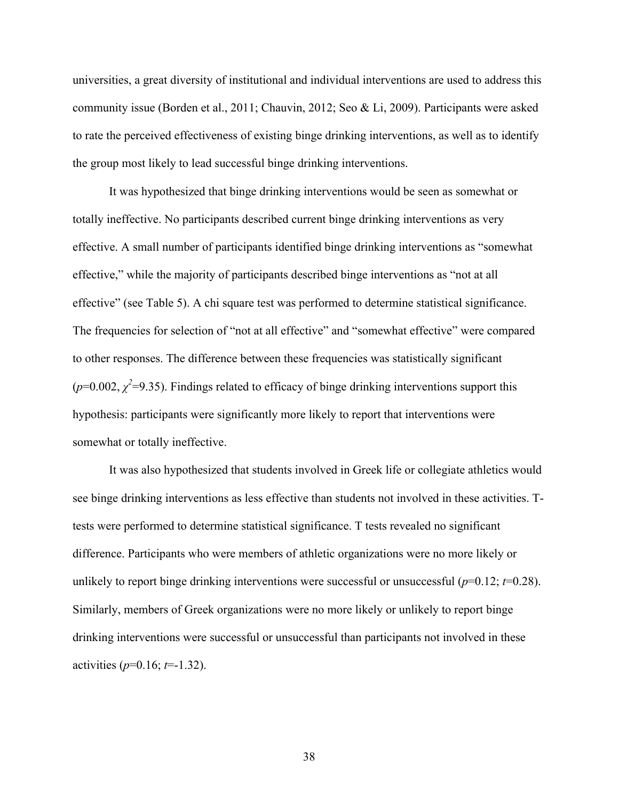universities, a great diversity of institutional and individual interventions are used to address this community issue (Borden et al., 2011; Chauvin, 2012; Seo & Li, 2009). Participants were asked to rate the perceived effectiveness of existing binge drinking interventions, as well as to identify the group most likely to lead successful binge drinking interventions.

It was hypothesized that binge drinking interventions would be seen as somewhat or totally ineffective. No participants described current binge drinking interventions as very effective. A small number of participants identified binge drinking interventions as "somewhat effective," while the majority of participants described binge interventions as "not at all effective" (see Table 5). A chi square test was performed to determine statistical significance. The frequencies for selection of "not at all effective" and "somewhat effective" were compared to other responses. The difference between these frequencies was statistically significant  $(p=0.002, \chi^2=9.35)$ . Findings related to efficacy of binge drinking interventions support this hypothesis: participants were significantly more likely to report that interventions were somewhat or totally ineffective.

It was also hypothesized that students involved in Greek life or collegiate athletics would see binge drinking interventions as less effective than students not involved in these activities. Ttests were performed to determine statistical significance. T tests revealed no significant difference. Participants who were members of athletic organizations were no more likely or unlikely to report binge drinking interventions were successful or unsuccessful ( $p=0.12$ ;  $t=0.28$ ). Similarly, members of Greek organizations were no more likely or unlikely to report binge drinking interventions were successful or unsuccessful than participants not involved in these activities (*p*=0.16; *t*=-1.32).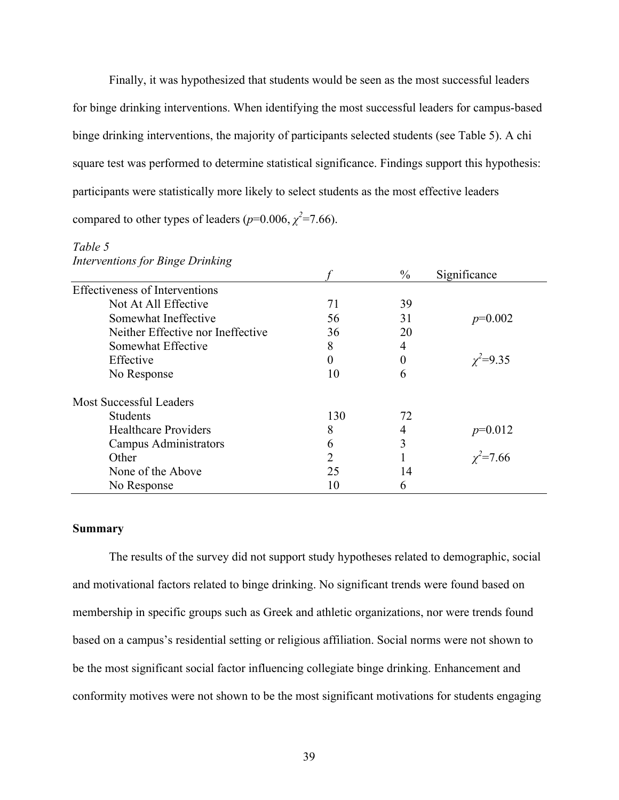Finally, it was hypothesized that students would be seen as the most successful leaders for binge drinking interventions. When identifying the most successful leaders for campus-based binge drinking interventions, the majority of participants selected students (see Table 5). A chi square test was performed to determine statistical significance. Findings support this hypothesis: participants were statistically more likely to select students as the most effective leaders compared to other types of leaders ( $p=0.006$ ,  $\chi^2=7.66$ ).

# *Table 5*

| <b>Interventions for Binge Drinking</b> |  |  |  |
|-----------------------------------------|--|--|--|
|-----------------------------------------|--|--|--|

|                                       |                | $\%$ | Significance    |
|---------------------------------------|----------------|------|-----------------|
| <b>Effectiveness of Interventions</b> |                |      |                 |
| Not At All Effective                  | 71             | 39   |                 |
| Somewhat Ineffective                  | 56             | 31   | $p=0.002$       |
| Neither Effective nor Ineffective     | 36             | 20   |                 |
| Somewhat Effective                    | 8              | 4    |                 |
| Effective                             | 0              | 0    | $\chi^2 = 9.35$ |
| No Response                           | 10             | 6    |                 |
| <b>Most Successful Leaders</b>        |                |      |                 |
| <b>Students</b>                       | 130            | 72   |                 |
| <b>Healthcare Providers</b>           | 8              | 4    | $p=0.012$       |
| Campus Administrators                 | 6              | 3    |                 |
| Other                                 | $\overline{2}$ |      | $\chi^2$ =7.66  |
| None of the Above                     | 25             | 14   |                 |
| No Response                           | 10             | 6    |                 |

### **Summary**

The results of the survey did not support study hypotheses related to demographic, social and motivational factors related to binge drinking. No significant trends were found based on membership in specific groups such as Greek and athletic organizations, nor were trends found based on a campus's residential setting or religious affiliation. Social norms were not shown to be the most significant social factor influencing collegiate binge drinking. Enhancement and conformity motives were not shown to be the most significant motivations for students engaging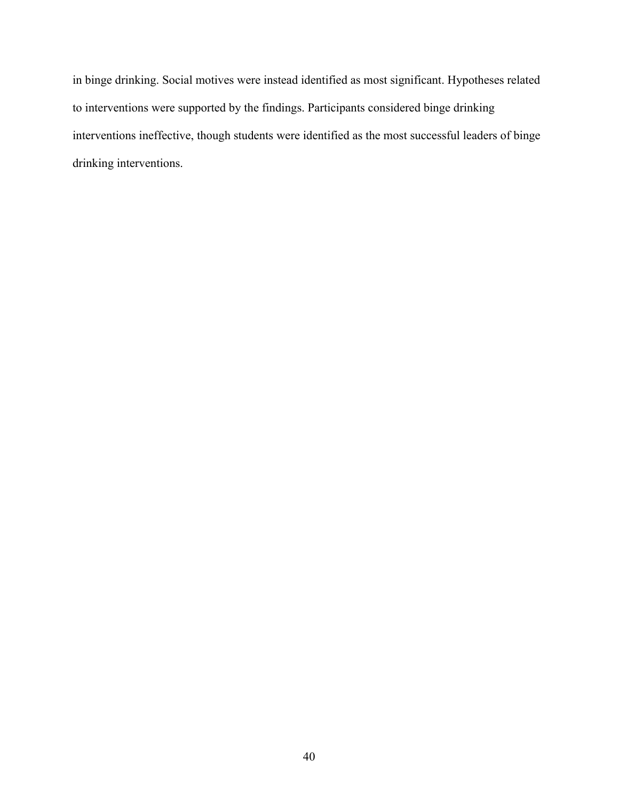in binge drinking. Social motives were instead identified as most significant. Hypotheses related to interventions were supported by the findings. Participants considered binge drinking interventions ineffective, though students were identified as the most successful leaders of binge drinking interventions.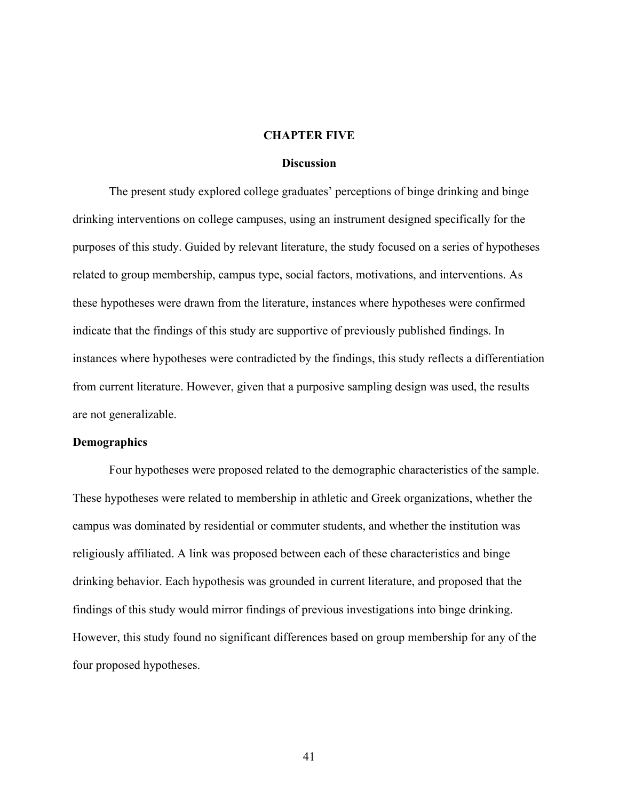### **CHAPTER FIVE**

#### **Discussion**

The present study explored college graduates' perceptions of binge drinking and binge drinking interventions on college campuses, using an instrument designed specifically for the purposes of this study. Guided by relevant literature, the study focused on a series of hypotheses related to group membership, campus type, social factors, motivations, and interventions. As these hypotheses were drawn from the literature, instances where hypotheses were confirmed indicate that the findings of this study are supportive of previously published findings. In instances where hypotheses were contradicted by the findings, this study reflects a differentiation from current literature. However, given that a purposive sampling design was used, the results are not generalizable.

### **Demographics**

Four hypotheses were proposed related to the demographic characteristics of the sample. These hypotheses were related to membership in athletic and Greek organizations, whether the campus was dominated by residential or commuter students, and whether the institution was religiously affiliated. A link was proposed between each of these characteristics and binge drinking behavior. Each hypothesis was grounded in current literature, and proposed that the findings of this study would mirror findings of previous investigations into binge drinking. However, this study found no significant differences based on group membership for any of the four proposed hypotheses.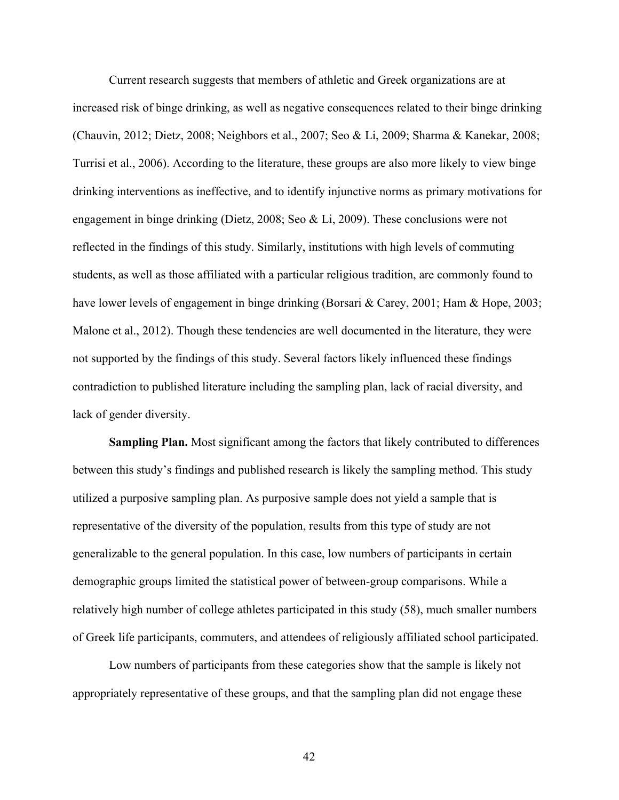Current research suggests that members of athletic and Greek organizations are at increased risk of binge drinking, as well as negative consequences related to their binge drinking (Chauvin, 2012; Dietz, 2008; Neighbors et al., 2007; Seo & Li, 2009; Sharma & Kanekar, 2008; Turrisi et al., 2006). According to the literature, these groups are also more likely to view binge drinking interventions as ineffective, and to identify injunctive norms as primary motivations for engagement in binge drinking (Dietz, 2008; Seo & Li, 2009). These conclusions were not reflected in the findings of this study. Similarly, institutions with high levels of commuting students, as well as those affiliated with a particular religious tradition, are commonly found to have lower levels of engagement in binge drinking (Borsari & Carey, 2001; Ham & Hope, 2003; Malone et al., 2012). Though these tendencies are well documented in the literature, they were not supported by the findings of this study. Several factors likely influenced these findings contradiction to published literature including the sampling plan, lack of racial diversity, and lack of gender diversity.

**Sampling Plan.** Most significant among the factors that likely contributed to differences between this study's findings and published research is likely the sampling method. This study utilized a purposive sampling plan. As purposive sample does not yield a sample that is representative of the diversity of the population, results from this type of study are not generalizable to the general population. In this case, low numbers of participants in certain demographic groups limited the statistical power of between-group comparisons. While a relatively high number of college athletes participated in this study (58), much smaller numbers of Greek life participants, commuters, and attendees of religiously affiliated school participated.

Low numbers of participants from these categories show that the sample is likely not appropriately representative of these groups, and that the sampling plan did not engage these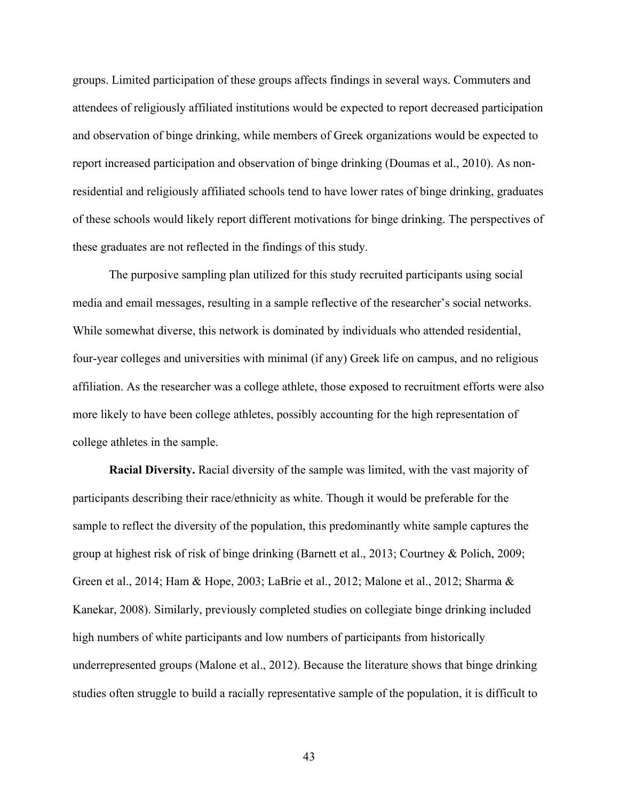groups. Limited participation of these groups affects findings in several ways. Commuters and attendees of religiously affiliated institutions would be expected to report decreased participation and observation of binge drinking, while members of Greek organizations would be expected to report increased participation and observation of binge drinking (Doumas et al., 2010). As nonresidential and religiously affiliated schools tend to have lower rates of binge drinking, graduates of these schools would likely report different motivations for binge drinking. The perspectives of these graduates are not reflected in the findings of this study.

The purposive sampling plan utilized for this study recruited participants using social media and email messages, resulting in a sample reflective of the researcher's social networks. While somewhat diverse, this network is dominated by individuals who attended residential, four-year colleges and universities with minimal (if any) Greek life on campus, and no religious affiliation. As the researcher was a college athlete, those exposed to recruitment efforts were also more likely to have been college athletes, possibly accounting for the high representation of college athletes in the sample.

**Racial Diversity.** Racial diversity of the sample was limited, with the vast majority of participants describing their race/ethnicity as white. Though it would be preferable for the sample to reflect the diversity of the population, this predominantly white sample captures the group at highest risk of risk of binge drinking (Barnett et al., 2013; Courtney & Polich, 2009; Green et al., 2014; Ham & Hope, 2003; LaBrie et al., 2012; Malone et al., 2012; Sharma & Kanekar, 2008). Similarly, previously completed studies on collegiate binge drinking included high numbers of white participants and low numbers of participants from historically underrepresented groups (Malone et al., 2012). Because the literature shows that binge drinking studies often struggle to build a racially representative sample of the population, it is difficult to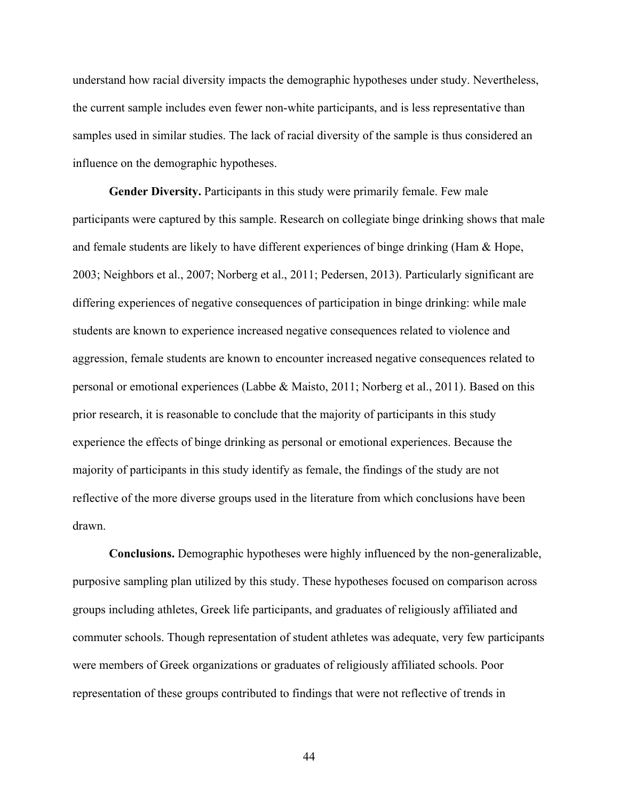understand how racial diversity impacts the demographic hypotheses under study. Nevertheless, the current sample includes even fewer non-white participants, and is less representative than samples used in similar studies. The lack of racial diversity of the sample is thus considered an influence on the demographic hypotheses.

**Gender Diversity.** Participants in this study were primarily female. Few male participants were captured by this sample. Research on collegiate binge drinking shows that male and female students are likely to have different experiences of binge drinking (Ham & Hope, 2003; Neighbors et al., 2007; Norberg et al., 2011; Pedersen, 2013). Particularly significant are differing experiences of negative consequences of participation in binge drinking: while male students are known to experience increased negative consequences related to violence and aggression, female students are known to encounter increased negative consequences related to personal or emotional experiences (Labbe & Maisto, 2011; Norberg et al., 2011). Based on this prior research, it is reasonable to conclude that the majority of participants in this study experience the effects of binge drinking as personal or emotional experiences. Because the majority of participants in this study identify as female, the findings of the study are not reflective of the more diverse groups used in the literature from which conclusions have been drawn.

**Conclusions.** Demographic hypotheses were highly influenced by the non-generalizable, purposive sampling plan utilized by this study. These hypotheses focused on comparison across groups including athletes, Greek life participants, and graduates of religiously affiliated and commuter schools. Though representation of student athletes was adequate, very few participants were members of Greek organizations or graduates of religiously affiliated schools. Poor representation of these groups contributed to findings that were not reflective of trends in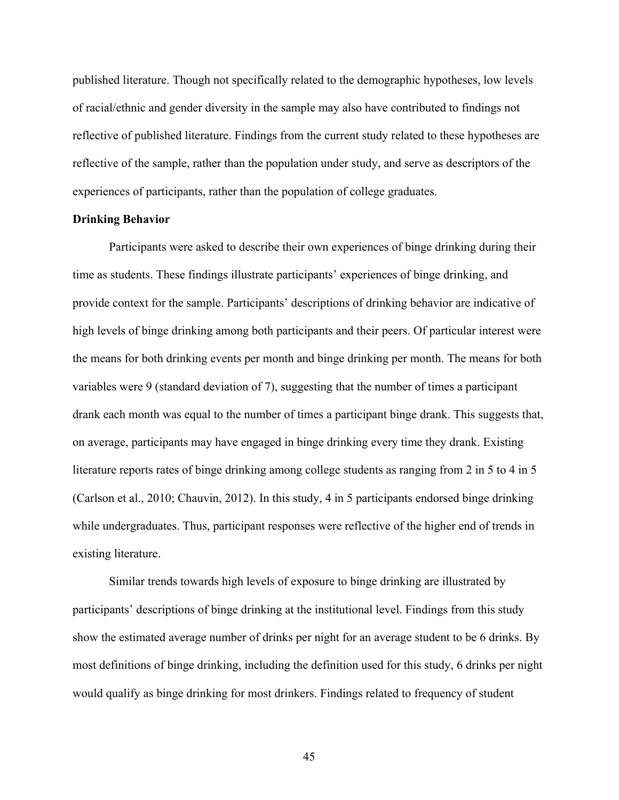published literature. Though not specifically related to the demographic hypotheses, low levels of racial/ethnic and gender diversity in the sample may also have contributed to findings not reflective of published literature. Findings from the current study related to these hypotheses are reflective of the sample, rather than the population under study, and serve as descriptors of the experiences of participants, rather than the population of college graduates.

### **Drinking Behavior**

Participants were asked to describe their own experiences of binge drinking during their time as students. These findings illustrate participants' experiences of binge drinking, and provide context for the sample. Participants' descriptions of drinking behavior are indicative of high levels of binge drinking among both participants and their peers. Of particular interest were the means for both drinking events per month and binge drinking per month. The means for both variables were 9 (standard deviation of 7), suggesting that the number of times a participant drank each month was equal to the number of times a participant binge drank. This suggests that, on average, participants may have engaged in binge drinking every time they drank. Existing literature reports rates of binge drinking among college students as ranging from 2 in 5 to 4 in 5 (Carlson et al., 2010; Chauvin, 2012). In this study, 4 in 5 participants endorsed binge drinking while undergraduates. Thus, participant responses were reflective of the higher end of trends in existing literature.

Similar trends towards high levels of exposure to binge drinking are illustrated by participants' descriptions of binge drinking at the institutional level. Findings from this study show the estimated average number of drinks per night for an average student to be 6 drinks. By most definitions of binge drinking, including the definition used for this study, 6 drinks per night would qualify as binge drinking for most drinkers. Findings related to frequency of student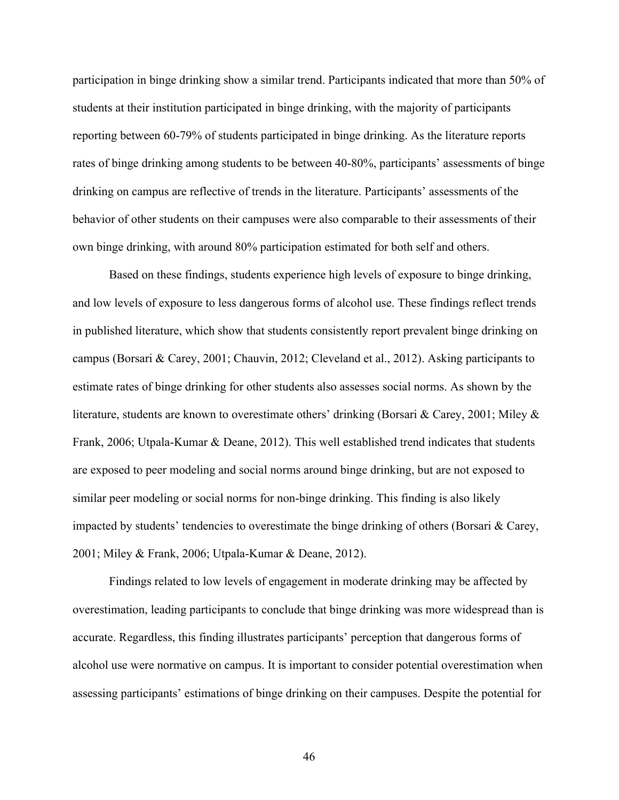participation in binge drinking show a similar trend. Participants indicated that more than 50% of students at their institution participated in binge drinking, with the majority of participants reporting between 60-79% of students participated in binge drinking. As the literature reports rates of binge drinking among students to be between 40-80%, participants' assessments of binge drinking on campus are reflective of trends in the literature. Participants' assessments of the behavior of other students on their campuses were also comparable to their assessments of their own binge drinking, with around 80% participation estimated for both self and others.

Based on these findings, students experience high levels of exposure to binge drinking, and low levels of exposure to less dangerous forms of alcohol use. These findings reflect trends in published literature, which show that students consistently report prevalent binge drinking on campus (Borsari & Carey, 2001; Chauvin, 2012; Cleveland et al., 2012). Asking participants to estimate rates of binge drinking for other students also assesses social norms. As shown by the literature, students are known to overestimate others' drinking (Borsari & Carey, 2001; Miley & Frank, 2006; Utpala-Kumar & Deane, 2012). This well established trend indicates that students are exposed to peer modeling and social norms around binge drinking, but are not exposed to similar peer modeling or social norms for non-binge drinking. This finding is also likely impacted by students' tendencies to overestimate the binge drinking of others (Borsari & Carey, 2001; Miley & Frank, 2006; Utpala-Kumar & Deane, 2012).

Findings related to low levels of engagement in moderate drinking may be affected by overestimation, leading participants to conclude that binge drinking was more widespread than is accurate. Regardless, this finding illustrates participants' perception that dangerous forms of alcohol use were normative on campus. It is important to consider potential overestimation when assessing participants' estimations of binge drinking on their campuses. Despite the potential for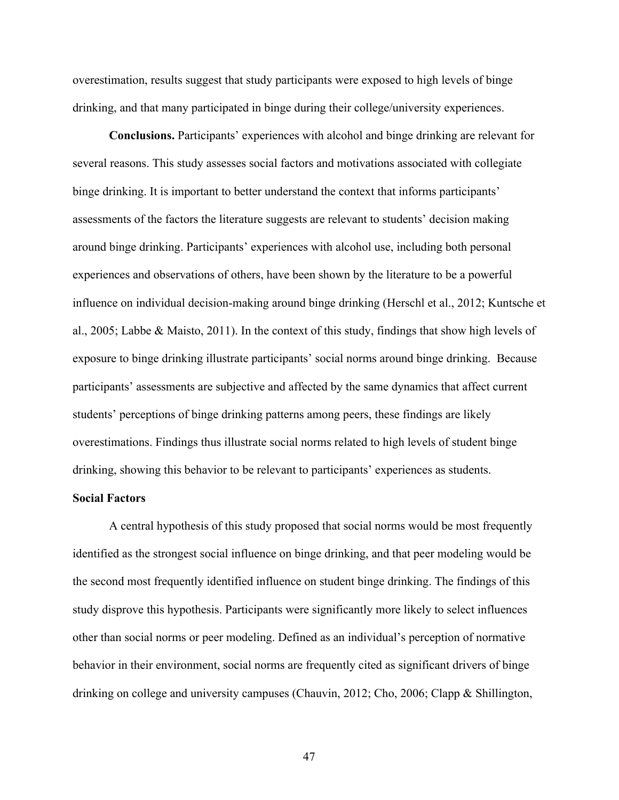overestimation, results suggest that study participants were exposed to high levels of binge drinking, and that many participated in binge during their college/university experiences.

**Conclusions.** Participants' experiences with alcohol and binge drinking are relevant for several reasons. This study assesses social factors and motivations associated with collegiate binge drinking. It is important to better understand the context that informs participants' assessments of the factors the literature suggests are relevant to students' decision making around binge drinking. Participants' experiences with alcohol use, including both personal experiences and observations of others, have been shown by the literature to be a powerful influence on individual decision-making around binge drinking (Herschl et al., 2012; Kuntsche et al., 2005; Labbe & Maisto, 2011). In the context of this study, findings that show high levels of exposure to binge drinking illustrate participants' social norms around binge drinking. Because participants' assessments are subjective and affected by the same dynamics that affect current students' perceptions of binge drinking patterns among peers, these findings are likely overestimations. Findings thus illustrate social norms related to high levels of student binge drinking, showing this behavior to be relevant to participants' experiences as students.

## **Social Factors**

A central hypothesis of this study proposed that social norms would be most frequently identified as the strongest social influence on binge drinking, and that peer modeling would be the second most frequently identified influence on student binge drinking. The findings of this study disprove this hypothesis. Participants were significantly more likely to select influences other than social norms or peer modeling. Defined as an individual's perception of normative behavior in their environment, social norms are frequently cited as significant drivers of binge drinking on college and university campuses (Chauvin, 2012; Cho, 2006; Clapp & Shillington,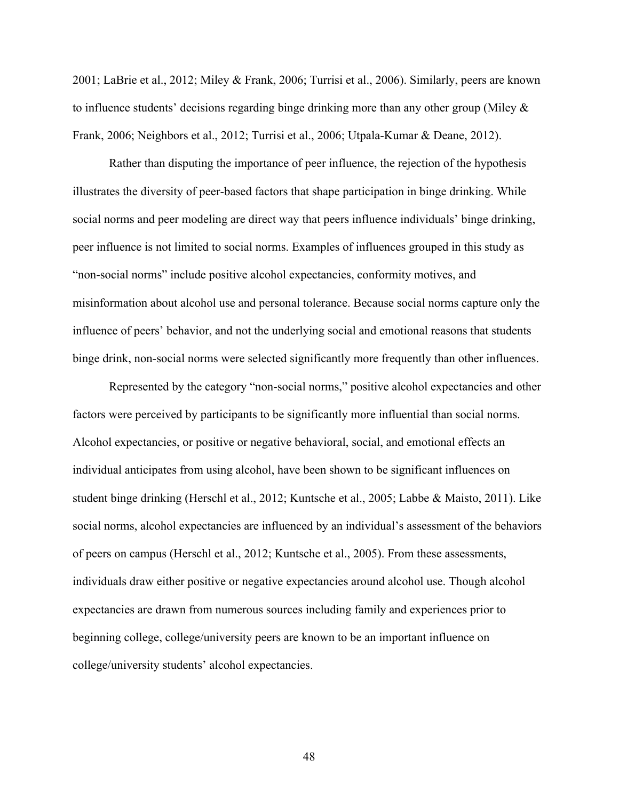2001; LaBrie et al., 2012; Miley & Frank, 2006; Turrisi et al., 2006). Similarly, peers are known to influence students' decisions regarding binge drinking more than any other group (Miley & Frank, 2006; Neighbors et al., 2012; Turrisi et al., 2006; Utpala-Kumar & Deane, 2012).

Rather than disputing the importance of peer influence, the rejection of the hypothesis illustrates the diversity of peer-based factors that shape participation in binge drinking. While social norms and peer modeling are direct way that peers influence individuals' binge drinking, peer influence is not limited to social norms. Examples of influences grouped in this study as "non-social norms" include positive alcohol expectancies, conformity motives, and misinformation about alcohol use and personal tolerance. Because social norms capture only the influence of peers' behavior, and not the underlying social and emotional reasons that students binge drink, non-social norms were selected significantly more frequently than other influences.

Represented by the category "non-social norms," positive alcohol expectancies and other factors were perceived by participants to be significantly more influential than social norms. Alcohol expectancies, or positive or negative behavioral, social, and emotional effects an individual anticipates from using alcohol, have been shown to be significant influences on student binge drinking (Herschl et al., 2012; Kuntsche et al., 2005; Labbe & Maisto, 2011). Like social norms, alcohol expectancies are influenced by an individual's assessment of the behaviors of peers on campus (Herschl et al., 2012; Kuntsche et al., 2005). From these assessments, individuals draw either positive or negative expectancies around alcohol use. Though alcohol expectancies are drawn from numerous sources including family and experiences prior to beginning college, college/university peers are known to be an important influence on college/university students' alcohol expectancies.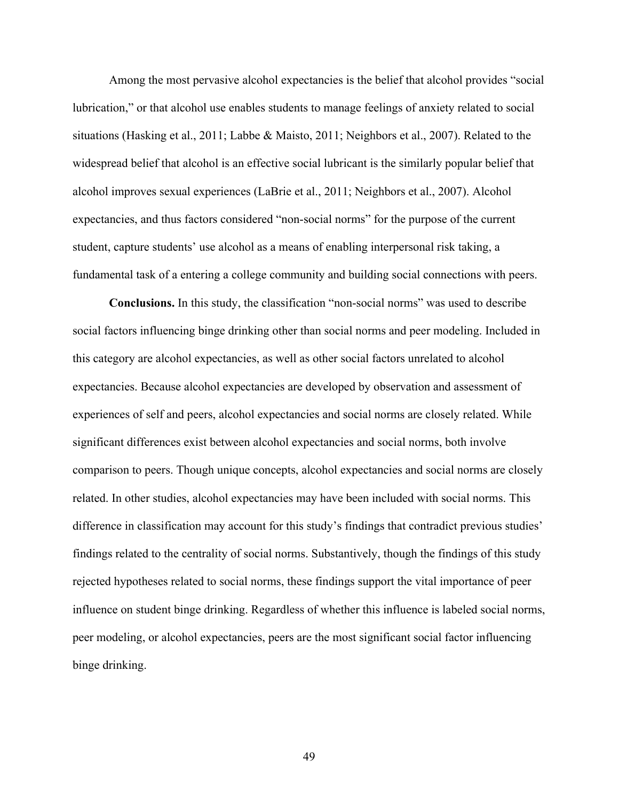Among the most pervasive alcohol expectancies is the belief that alcohol provides "social lubrication," or that alcohol use enables students to manage feelings of anxiety related to social situations (Hasking et al., 2011; Labbe & Maisto, 2011; Neighbors et al., 2007). Related to the widespread belief that alcohol is an effective social lubricant is the similarly popular belief that alcohol improves sexual experiences (LaBrie et al., 2011; Neighbors et al., 2007). Alcohol expectancies, and thus factors considered "non-social norms" for the purpose of the current student, capture students' use alcohol as a means of enabling interpersonal risk taking, a fundamental task of a entering a college community and building social connections with peers.

**Conclusions.** In this study, the classification "non-social norms" was used to describe social factors influencing binge drinking other than social norms and peer modeling. Included in this category are alcohol expectancies, as well as other social factors unrelated to alcohol expectancies. Because alcohol expectancies are developed by observation and assessment of experiences of self and peers, alcohol expectancies and social norms are closely related. While significant differences exist between alcohol expectancies and social norms, both involve comparison to peers. Though unique concepts, alcohol expectancies and social norms are closely related. In other studies, alcohol expectancies may have been included with social norms. This difference in classification may account for this study's findings that contradict previous studies' findings related to the centrality of social norms. Substantively, though the findings of this study rejected hypotheses related to social norms, these findings support the vital importance of peer influence on student binge drinking. Regardless of whether this influence is labeled social norms, peer modeling, or alcohol expectancies, peers are the most significant social factor influencing binge drinking.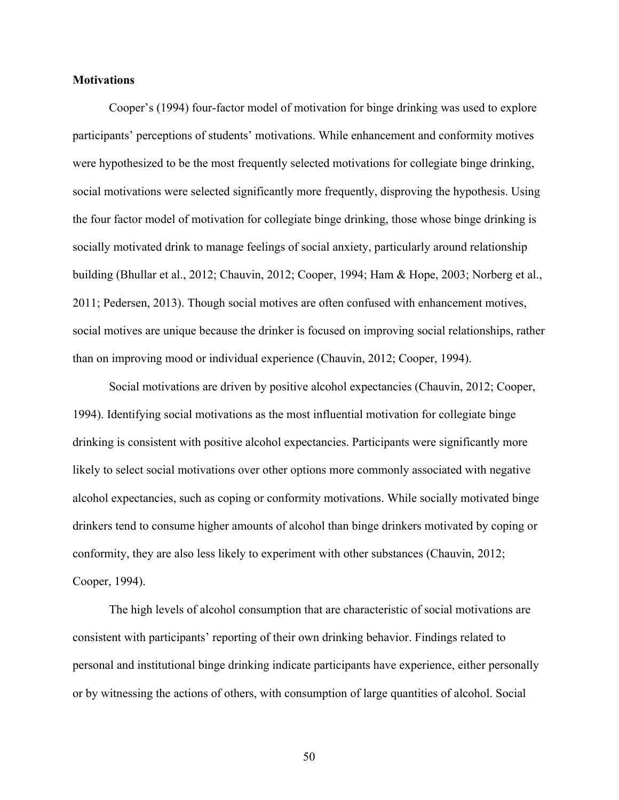### **Motivations**

Cooper's (1994) four-factor model of motivation for binge drinking was used to explore participants' perceptions of students' motivations. While enhancement and conformity motives were hypothesized to be the most frequently selected motivations for collegiate binge drinking, social motivations were selected significantly more frequently, disproving the hypothesis. Using the four factor model of motivation for collegiate binge drinking, those whose binge drinking is socially motivated drink to manage feelings of social anxiety, particularly around relationship building (Bhullar et al., 2012; Chauvin, 2012; Cooper, 1994; Ham & Hope, 2003; Norberg et al., 2011; Pedersen, 2013). Though social motives are often confused with enhancement motives, social motives are unique because the drinker is focused on improving social relationships, rather than on improving mood or individual experience (Chauvin, 2012; Cooper, 1994).

Social motivations are driven by positive alcohol expectancies (Chauvin, 2012; Cooper, 1994). Identifying social motivations as the most influential motivation for collegiate binge drinking is consistent with positive alcohol expectancies. Participants were significantly more likely to select social motivations over other options more commonly associated with negative alcohol expectancies, such as coping or conformity motivations. While socially motivated binge drinkers tend to consume higher amounts of alcohol than binge drinkers motivated by coping or conformity, they are also less likely to experiment with other substances (Chauvin, 2012; Cooper, 1994).

The high levels of alcohol consumption that are characteristic of social motivations are consistent with participants' reporting of their own drinking behavior. Findings related to personal and institutional binge drinking indicate participants have experience, either personally or by witnessing the actions of others, with consumption of large quantities of alcohol. Social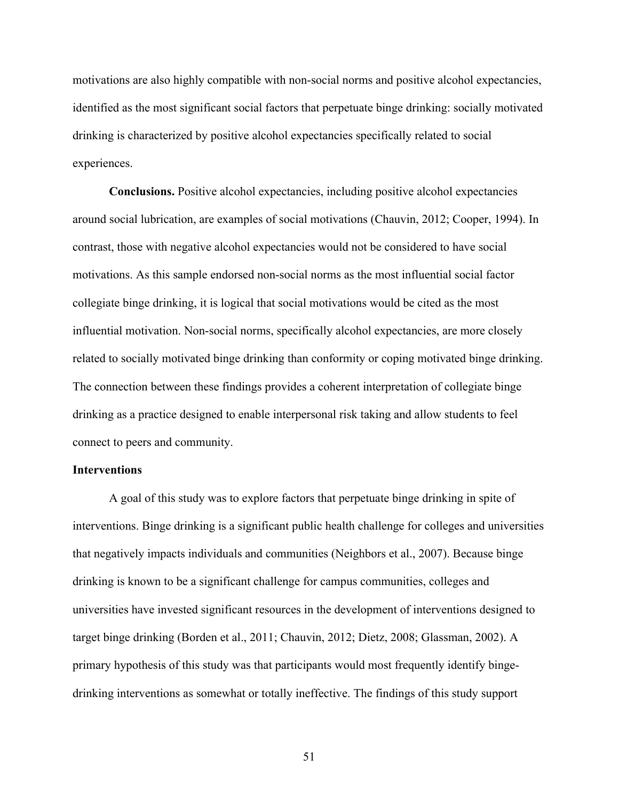motivations are also highly compatible with non-social norms and positive alcohol expectancies, identified as the most significant social factors that perpetuate binge drinking: socially motivated drinking is characterized by positive alcohol expectancies specifically related to social experiences.

**Conclusions.** Positive alcohol expectancies, including positive alcohol expectancies around social lubrication, are examples of social motivations (Chauvin, 2012; Cooper, 1994). In contrast, those with negative alcohol expectancies would not be considered to have social motivations. As this sample endorsed non-social norms as the most influential social factor collegiate binge drinking, it is logical that social motivations would be cited as the most influential motivation. Non-social norms, specifically alcohol expectancies, are more closely related to socially motivated binge drinking than conformity or coping motivated binge drinking. The connection between these findings provides a coherent interpretation of collegiate binge drinking as a practice designed to enable interpersonal risk taking and allow students to feel connect to peers and community.

### **Interventions**

A goal of this study was to explore factors that perpetuate binge drinking in spite of interventions. Binge drinking is a significant public health challenge for colleges and universities that negatively impacts individuals and communities (Neighbors et al., 2007). Because binge drinking is known to be a significant challenge for campus communities, colleges and universities have invested significant resources in the development of interventions designed to target binge drinking (Borden et al., 2011; Chauvin, 2012; Dietz, 2008; Glassman, 2002). A primary hypothesis of this study was that participants would most frequently identify bingedrinking interventions as somewhat or totally ineffective. The findings of this study support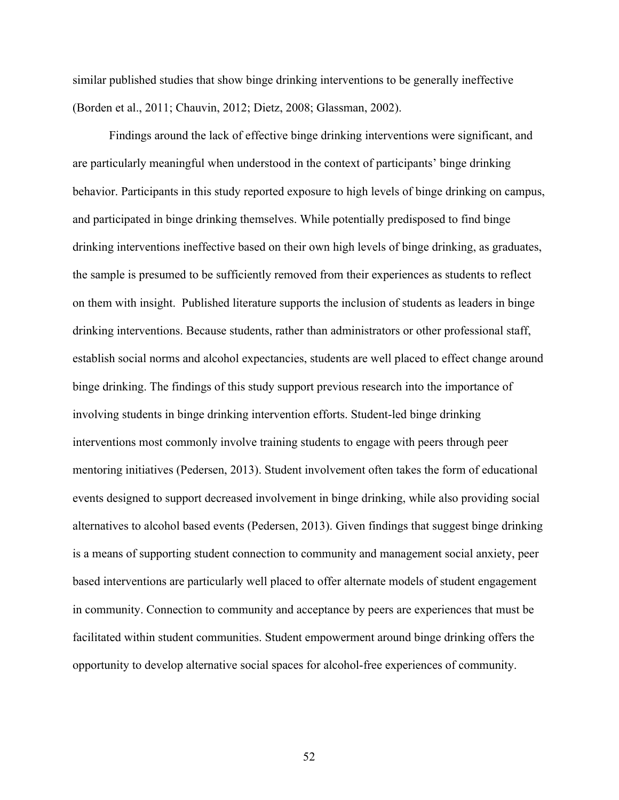similar published studies that show binge drinking interventions to be generally ineffective (Borden et al., 2011; Chauvin, 2012; Dietz, 2008; Glassman, 2002).

Findings around the lack of effective binge drinking interventions were significant, and are particularly meaningful when understood in the context of participants' binge drinking behavior. Participants in this study reported exposure to high levels of binge drinking on campus, and participated in binge drinking themselves. While potentially predisposed to find binge drinking interventions ineffective based on their own high levels of binge drinking, as graduates, the sample is presumed to be sufficiently removed from their experiences as students to reflect on them with insight. Published literature supports the inclusion of students as leaders in binge drinking interventions. Because students, rather than administrators or other professional staff, establish social norms and alcohol expectancies, students are well placed to effect change around binge drinking. The findings of this study support previous research into the importance of involving students in binge drinking intervention efforts. Student-led binge drinking interventions most commonly involve training students to engage with peers through peer mentoring initiatives (Pedersen, 2013). Student involvement often takes the form of educational events designed to support decreased involvement in binge drinking, while also providing social alternatives to alcohol based events (Pedersen, 2013). Given findings that suggest binge drinking is a means of supporting student connection to community and management social anxiety, peer based interventions are particularly well placed to offer alternate models of student engagement in community. Connection to community and acceptance by peers are experiences that must be facilitated within student communities. Student empowerment around binge drinking offers the opportunity to develop alternative social spaces for alcohol-free experiences of community.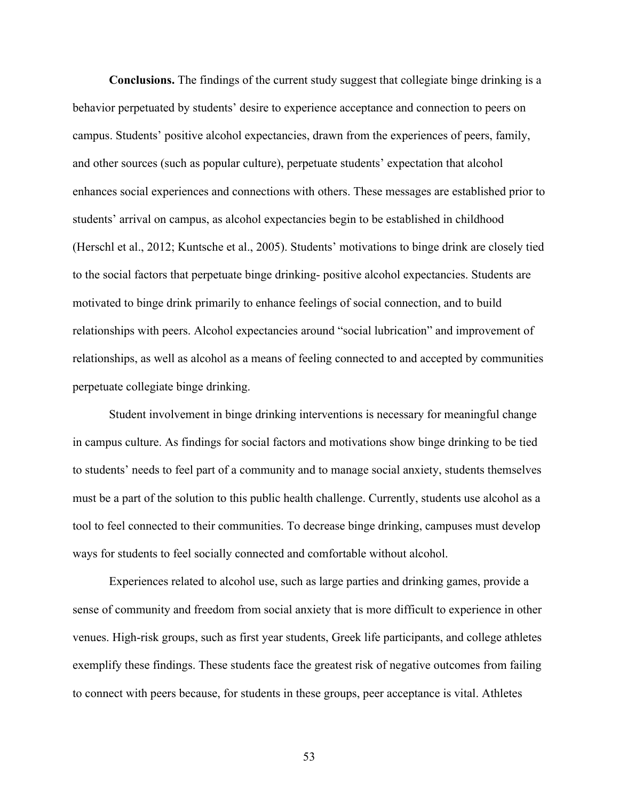**Conclusions.** The findings of the current study suggest that collegiate binge drinking is a behavior perpetuated by students' desire to experience acceptance and connection to peers on campus. Students' positive alcohol expectancies, drawn from the experiences of peers, family, and other sources (such as popular culture), perpetuate students' expectation that alcohol enhances social experiences and connections with others. These messages are established prior to students' arrival on campus, as alcohol expectancies begin to be established in childhood (Herschl et al., 2012; Kuntsche et al., 2005). Students' motivations to binge drink are closely tied to the social factors that perpetuate binge drinking- positive alcohol expectancies. Students are motivated to binge drink primarily to enhance feelings of social connection, and to build relationships with peers. Alcohol expectancies around "social lubrication" and improvement of relationships, as well as alcohol as a means of feeling connected to and accepted by communities perpetuate collegiate binge drinking.

Student involvement in binge drinking interventions is necessary for meaningful change in campus culture. As findings for social factors and motivations show binge drinking to be tied to students' needs to feel part of a community and to manage social anxiety, students themselves must be a part of the solution to this public health challenge. Currently, students use alcohol as a tool to feel connected to their communities. To decrease binge drinking, campuses must develop ways for students to feel socially connected and comfortable without alcohol.

Experiences related to alcohol use, such as large parties and drinking games, provide a sense of community and freedom from social anxiety that is more difficult to experience in other venues. High-risk groups, such as first year students, Greek life participants, and college athletes exemplify these findings. These students face the greatest risk of negative outcomes from failing to connect with peers because, for students in these groups, peer acceptance is vital. Athletes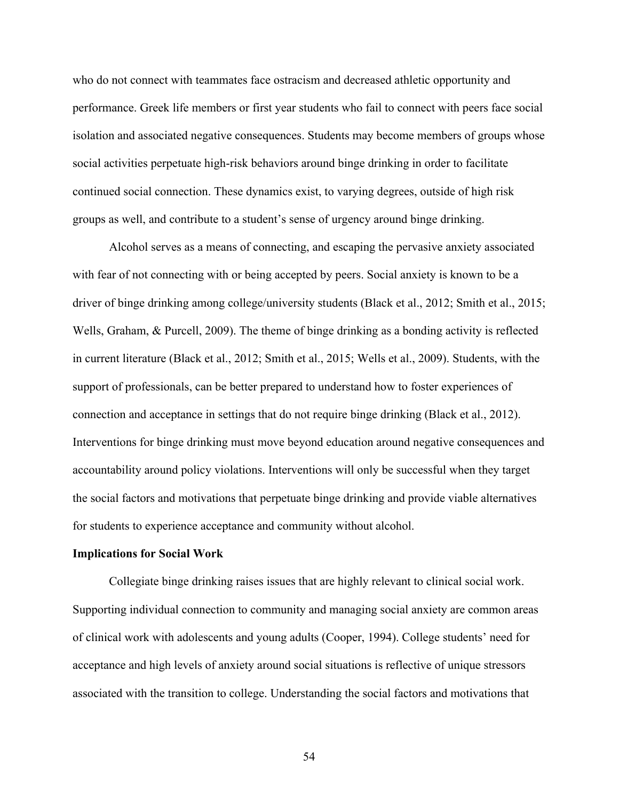who do not connect with teammates face ostracism and decreased athletic opportunity and performance. Greek life members or first year students who fail to connect with peers face social isolation and associated negative consequences. Students may become members of groups whose social activities perpetuate high-risk behaviors around binge drinking in order to facilitate continued social connection. These dynamics exist, to varying degrees, outside of high risk groups as well, and contribute to a student's sense of urgency around binge drinking.

Alcohol serves as a means of connecting, and escaping the pervasive anxiety associated with fear of not connecting with or being accepted by peers. Social anxiety is known to be a driver of binge drinking among college/university students (Black et al., 2012; Smith et al., 2015; Wells, Graham, & Purcell, 2009). The theme of binge drinking as a bonding activity is reflected in current literature (Black et al., 2012; Smith et al., 2015; Wells et al., 2009). Students, with the support of professionals, can be better prepared to understand how to foster experiences of connection and acceptance in settings that do not require binge drinking (Black et al., 2012). Interventions for binge drinking must move beyond education around negative consequences and accountability around policy violations. Interventions will only be successful when they target the social factors and motivations that perpetuate binge drinking and provide viable alternatives for students to experience acceptance and community without alcohol.

#### **Implications for Social Work**

Collegiate binge drinking raises issues that are highly relevant to clinical social work. Supporting individual connection to community and managing social anxiety are common areas of clinical work with adolescents and young adults (Cooper, 1994). College students' need for acceptance and high levels of anxiety around social situations is reflective of unique stressors associated with the transition to college. Understanding the social factors and motivations that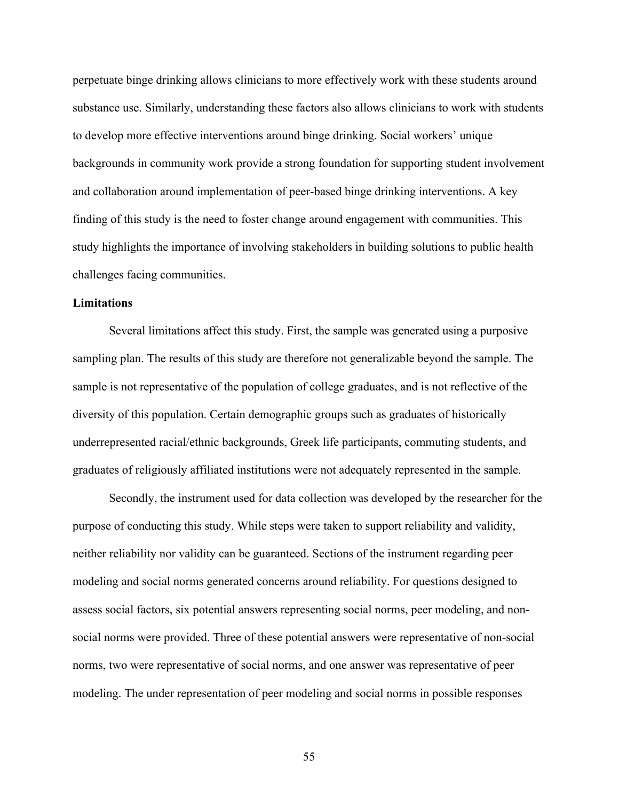perpetuate binge drinking allows clinicians to more effectively work with these students around substance use. Similarly, understanding these factors also allows clinicians to work with students to develop more effective interventions around binge drinking. Social workers' unique backgrounds in community work provide a strong foundation for supporting student involvement and collaboration around implementation of peer-based binge drinking interventions. A key finding of this study is the need to foster change around engagement with communities. This study highlights the importance of involving stakeholders in building solutions to public health challenges facing communities.

#### **Limitations**

Several limitations affect this study. First, the sample was generated using a purposive sampling plan. The results of this study are therefore not generalizable beyond the sample. The sample is not representative of the population of college graduates, and is not reflective of the diversity of this population. Certain demographic groups such as graduates of historically underrepresented racial/ethnic backgrounds, Greek life participants, commuting students, and graduates of religiously affiliated institutions were not adequately represented in the sample.

Secondly, the instrument used for data collection was developed by the researcher for the purpose of conducting this study. While steps were taken to support reliability and validity, neither reliability nor validity can be guaranteed. Sections of the instrument regarding peer modeling and social norms generated concerns around reliability. For questions designed to assess social factors, six potential answers representing social norms, peer modeling, and nonsocial norms were provided. Three of these potential answers were representative of non-social norms, two were representative of social norms, and one answer was representative of peer modeling. The under representation of peer modeling and social norms in possible responses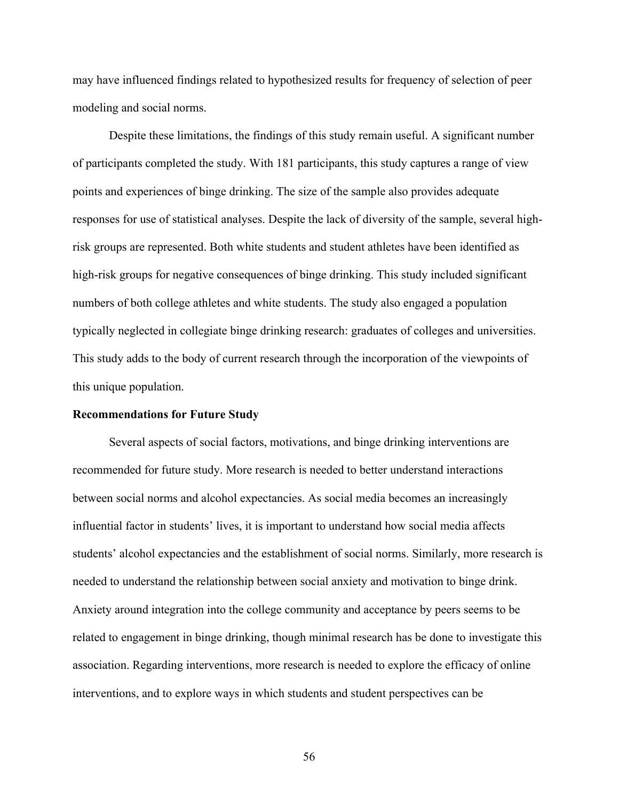may have influenced findings related to hypothesized results for frequency of selection of peer modeling and social norms.

Despite these limitations, the findings of this study remain useful. A significant number of participants completed the study. With 181 participants, this study captures a range of view points and experiences of binge drinking. The size of the sample also provides adequate responses for use of statistical analyses. Despite the lack of diversity of the sample, several highrisk groups are represented. Both white students and student athletes have been identified as high-risk groups for negative consequences of binge drinking. This study included significant numbers of both college athletes and white students. The study also engaged a population typically neglected in collegiate binge drinking research: graduates of colleges and universities. This study adds to the body of current research through the incorporation of the viewpoints of this unique population.

### **Recommendations for Future Study**

Several aspects of social factors, motivations, and binge drinking interventions are recommended for future study. More research is needed to better understand interactions between social norms and alcohol expectancies. As social media becomes an increasingly influential factor in students' lives, it is important to understand how social media affects students' alcohol expectancies and the establishment of social norms. Similarly, more research is needed to understand the relationship between social anxiety and motivation to binge drink. Anxiety around integration into the college community and acceptance by peers seems to be related to engagement in binge drinking, though minimal research has be done to investigate this association. Regarding interventions, more research is needed to explore the efficacy of online interventions, and to explore ways in which students and student perspectives can be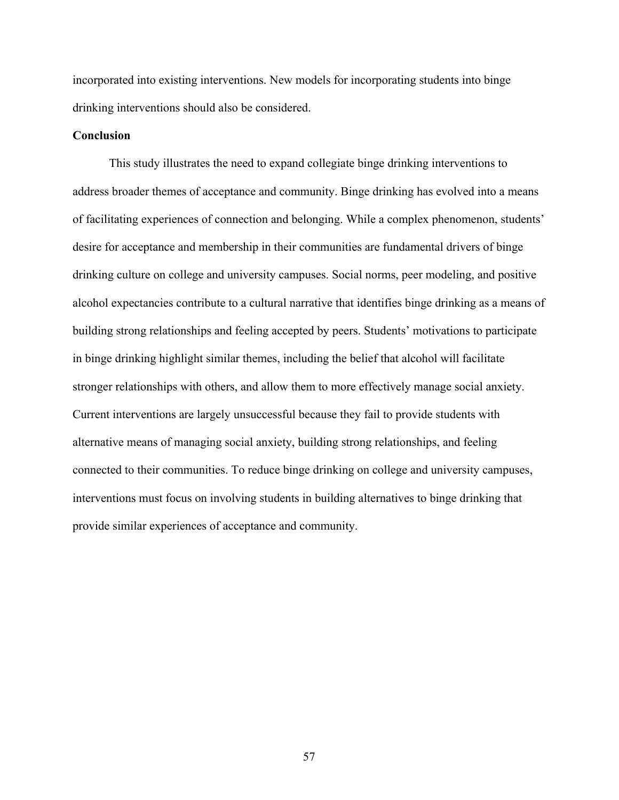incorporated into existing interventions. New models for incorporating students into binge drinking interventions should also be considered.

## **Conclusion**

This study illustrates the need to expand collegiate binge drinking interventions to address broader themes of acceptance and community. Binge drinking has evolved into a means of facilitating experiences of connection and belonging. While a complex phenomenon, students' desire for acceptance and membership in their communities are fundamental drivers of binge drinking culture on college and university campuses. Social norms, peer modeling, and positive alcohol expectancies contribute to a cultural narrative that identifies binge drinking as a means of building strong relationships and feeling accepted by peers. Students' motivations to participate in binge drinking highlight similar themes, including the belief that alcohol will facilitate stronger relationships with others, and allow them to more effectively manage social anxiety. Current interventions are largely unsuccessful because they fail to provide students with alternative means of managing social anxiety, building strong relationships, and feeling connected to their communities. To reduce binge drinking on college and university campuses, interventions must focus on involving students in building alternatives to binge drinking that provide similar experiences of acceptance and community.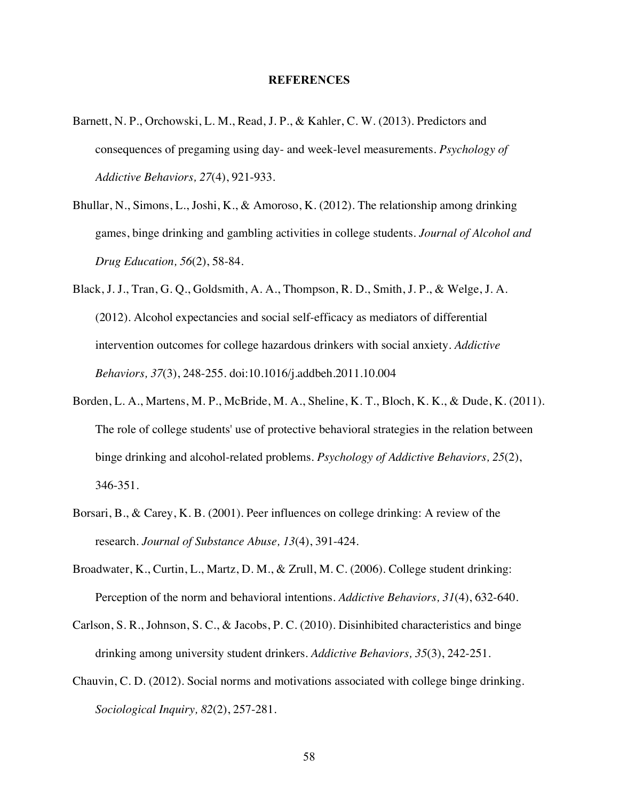#### **REFERENCES**

- Barnett, N. P., Orchowski, L. M., Read, J. P., & Kahler, C. W. (2013). Predictors and consequences of pregaming using day- and week-level measurements. *Psychology of Addictive Behaviors, 27*(4), 921-933.
- Bhullar, N., Simons, L., Joshi, K., & Amoroso, K. (2012). The relationship among drinking games, binge drinking and gambling activities in college students. *Journal of Alcohol and Drug Education, 56*(2), 58-84.
- Black, J. J., Tran, G. Q., Goldsmith, A. A., Thompson, R. D., Smith, J. P., & Welge, J. A. (2012). Alcohol expectancies and social self-efficacy as mediators of differential intervention outcomes for college hazardous drinkers with social anxiety. *Addictive Behaviors, 37*(3), 248-255. doi:10.1016/j.addbeh.2011.10.004
- Borden, L. A., Martens, M. P., McBride, M. A., Sheline, K. T., Bloch, K. K., & Dude, K. (2011). The role of college students' use of protective behavioral strategies in the relation between binge drinking and alcohol-related problems. *Psychology of Addictive Behaviors, 25*(2), 346-351.
- Borsari, B., & Carey, K. B. (2001). Peer influences on college drinking: A review of the research. *Journal of Substance Abuse, 13*(4), 391-424.
- Broadwater, K., Curtin, L., Martz, D. M., & Zrull, M. C. (2006). College student drinking: Perception of the norm and behavioral intentions. *Addictive Behaviors, 31*(4), 632-640.
- Carlson, S. R., Johnson, S. C., & Jacobs, P. C. (2010). Disinhibited characteristics and binge drinking among university student drinkers. *Addictive Behaviors, 35*(3), 242-251.
- Chauvin, C. D. (2012). Social norms and motivations associated with college binge drinking. *Sociological Inquiry, 82*(2), 257-281.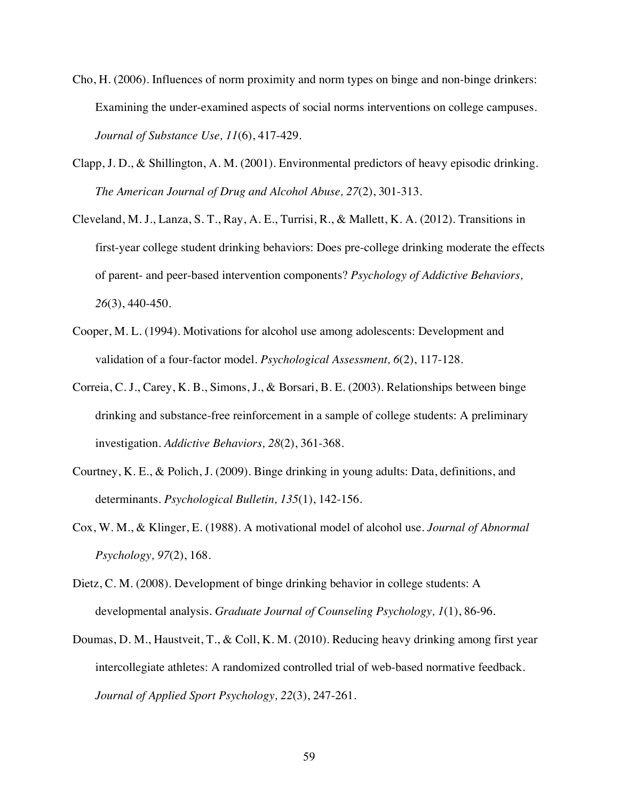- Cho, H. (2006). Influences of norm proximity and norm types on binge and non-binge drinkers: Examining the under-examined aspects of social norms interventions on college campuses. *Journal of Substance Use, 11*(6), 417-429.
- Clapp, J. D., & Shillington, A. M. (2001). Environmental predictors of heavy episodic drinking. *The American Journal of Drug and Alcohol Abuse, 27*(2), 301-313.
- Cleveland, M. J., Lanza, S. T., Ray, A. E., Turrisi, R., & Mallett, K. A. (2012). Transitions in first-year college student drinking behaviors: Does pre-college drinking moderate the effects of parent- and peer-based intervention components? *Psychology of Addictive Behaviors, 26*(3), 440-450.
- Cooper, M. L. (1994). Motivations for alcohol use among adolescents: Development and validation of a four-factor model. *Psychological Assessment, 6*(2), 117-128.
- Correia, C. J., Carey, K. B., Simons, J., & Borsari, B. E. (2003). Relationships between binge drinking and substance-free reinforcement in a sample of college students: A preliminary investigation. *Addictive Behaviors, 28*(2), 361-368.
- Courtney, K. E., & Polich, J. (2009). Binge drinking in young adults: Data, definitions, and determinants. *Psychological Bulletin, 135*(1), 142-156.
- Cox, W. M., & Klinger, E. (1988). A motivational model of alcohol use. *Journal of Abnormal Psychology, 97*(2), 168.
- Dietz, C. M. (2008). Development of binge drinking behavior in college students: A developmental analysis. *Graduate Journal of Counseling Psychology, 1*(1), 86-96.
- Doumas, D. M., Haustveit, T., & Coll, K. M. (2010). Reducing heavy drinking among first year intercollegiate athletes: A randomized controlled trial of web-based normative feedback. *Journal of Applied Sport Psychology, 22*(3), 247-261.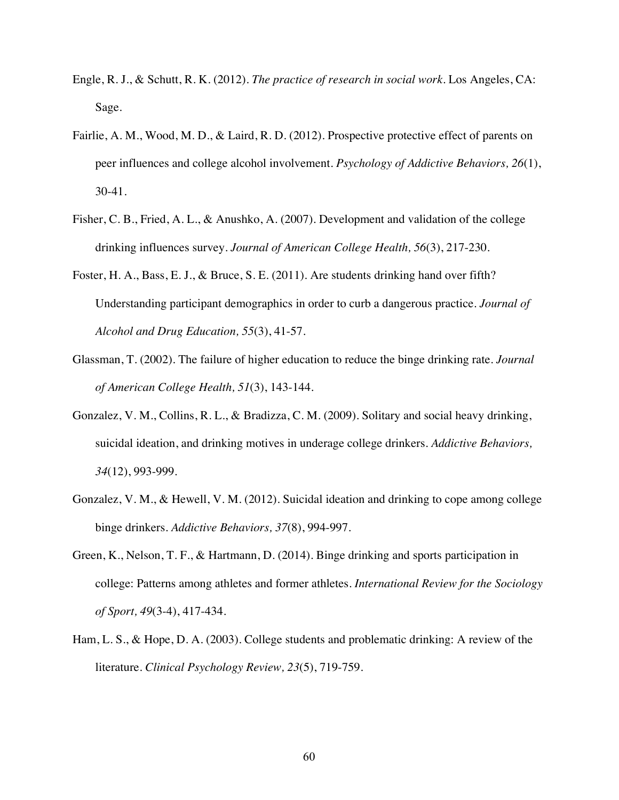- Engle, R. J., & Schutt, R. K. (2012). *The practice of research in social work*. Los Angeles, CA: Sage.
- Fairlie, A. M., Wood, M. D., & Laird, R. D. (2012). Prospective protective effect of parents on peer influences and college alcohol involvement. *Psychology of Addictive Behaviors, 26*(1), 30-41.
- Fisher, C. B., Fried, A. L., & Anushko, A. (2007). Development and validation of the college drinking influences survey. *Journal of American College Health, 56*(3), 217-230.
- Foster, H. A., Bass, E. J., & Bruce, S. E. (2011). Are students drinking hand over fifth? Understanding participant demographics in order to curb a dangerous practice. *Journal of Alcohol and Drug Education, 55*(3), 41-57.
- Glassman, T. (2002). The failure of higher education to reduce the binge drinking rate. *Journal of American College Health, 51*(3), 143-144.
- Gonzalez, V. M., Collins, R. L., & Bradizza, C. M. (2009). Solitary and social heavy drinking, suicidal ideation, and drinking motives in underage college drinkers. *Addictive Behaviors, 34*(12), 993-999.
- Gonzalez, V. M., & Hewell, V. M. (2012). Suicidal ideation and drinking to cope among college binge drinkers. *Addictive Behaviors, 37*(8), 994-997.
- Green, K., Nelson, T. F., & Hartmann, D. (2014). Binge drinking and sports participation in college: Patterns among athletes and former athletes. *International Review for the Sociology of Sport, 49*(3-4), 417-434.
- Ham, L. S., & Hope, D. A. (2003). College students and problematic drinking: A review of the literature. *Clinical Psychology Review, 23*(5), 719-759.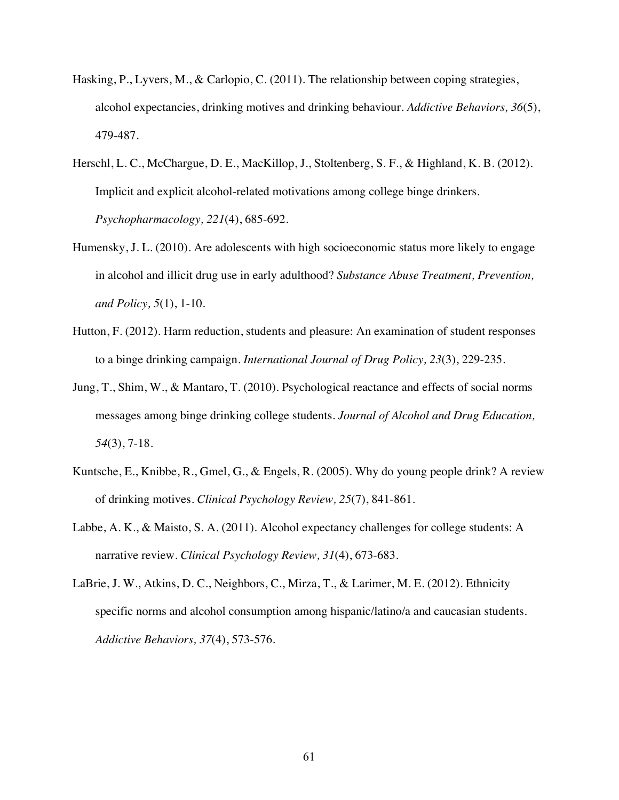- Hasking, P., Lyvers, M., & Carlopio, C. (2011). The relationship between coping strategies, alcohol expectancies, drinking motives and drinking behaviour. *Addictive Behaviors, 36*(5), 479-487.
- Herschl, L. C., McChargue, D. E., MacKillop, J., Stoltenberg, S. F., & Highland, K. B. (2012). Implicit and explicit alcohol-related motivations among college binge drinkers. *Psychopharmacology, 221*(4), 685-692.
- Humensky, J. L. (2010). Are adolescents with high socioeconomic status more likely to engage in alcohol and illicit drug use in early adulthood? *Substance Abuse Treatment, Prevention, and Policy, 5*(1), 1-10.
- Hutton, F. (2012). Harm reduction, students and pleasure: An examination of student responses to a binge drinking campaign. *International Journal of Drug Policy, 23*(3), 229-235.
- Jung, T., Shim, W., & Mantaro, T. (2010). Psychological reactance and effects of social norms messages among binge drinking college students. *Journal of Alcohol and Drug Education, 54*(3), 7-18.
- Kuntsche, E., Knibbe, R., Gmel, G., & Engels, R. (2005). Why do young people drink? A review of drinking motives. *Clinical Psychology Review, 25*(7), 841-861.
- Labbe, A. K., & Maisto, S. A. (2011). Alcohol expectancy challenges for college students: A narrative review. *Clinical Psychology Review, 31*(4), 673-683.
- LaBrie, J. W., Atkins, D. C., Neighbors, C., Mirza, T., & Larimer, M. E. (2012). Ethnicity specific norms and alcohol consumption among hispanic/latino/a and caucasian students. *Addictive Behaviors, 37*(4), 573-576.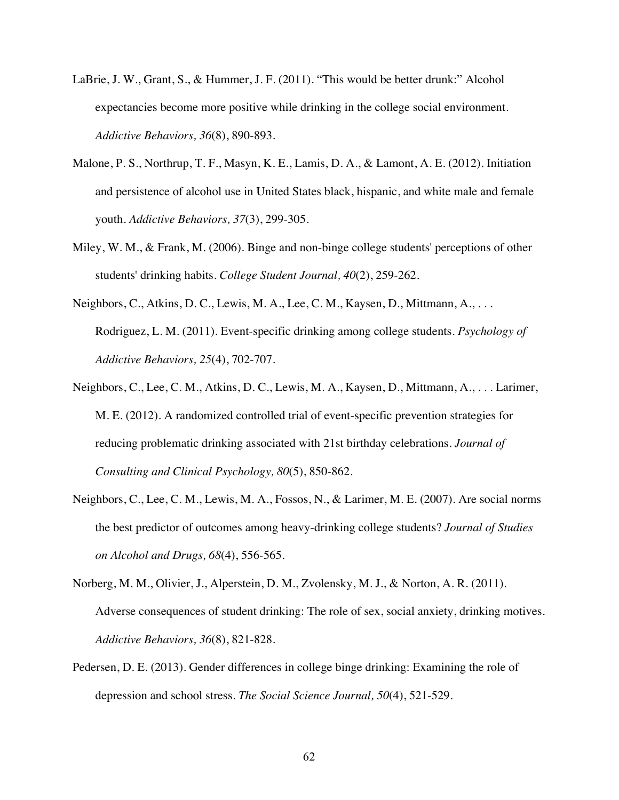- LaBrie, J. W., Grant, S., & Hummer, J. F. (2011). "This would be better drunk:" Alcohol expectancies become more positive while drinking in the college social environment. *Addictive Behaviors, 36*(8), 890-893.
- Malone, P. S., Northrup, T. F., Masyn, K. E., Lamis, D. A., & Lamont, A. E. (2012). Initiation and persistence of alcohol use in United States black, hispanic, and white male and female youth. *Addictive Behaviors, 37*(3), 299-305.
- Miley, W. M., & Frank, M. (2006). Binge and non-binge college students' perceptions of other students' drinking habits. *College Student Journal, 40*(2), 259-262.
- Neighbors, C., Atkins, D. C., Lewis, M. A., Lee, C. M., Kaysen, D., Mittmann, A., . . . Rodriguez, L. M. (2011). Event-specific drinking among college students. *Psychology of Addictive Behaviors, 25*(4), 702-707.
- Neighbors, C., Lee, C. M., Atkins, D. C., Lewis, M. A., Kaysen, D., Mittmann, A., . . . Larimer, M. E. (2012). A randomized controlled trial of event-specific prevention strategies for reducing problematic drinking associated with 21st birthday celebrations. *Journal of Consulting and Clinical Psychology, 80*(5), 850-862.
- Neighbors, C., Lee, C. M., Lewis, M. A., Fossos, N., & Larimer, M. E. (2007). Are social norms the best predictor of outcomes among heavy-drinking college students? *Journal of Studies on Alcohol and Drugs, 68*(4), 556-565.
- Norberg, M. M., Olivier, J., Alperstein, D. M., Zvolensky, M. J., & Norton, A. R. (2011). Adverse consequences of student drinking: The role of sex, social anxiety, drinking motives. *Addictive Behaviors, 36*(8), 821-828.
- Pedersen, D. E. (2013). Gender differences in college binge drinking: Examining the role of depression and school stress. *The Social Science Journal, 50*(4), 521-529.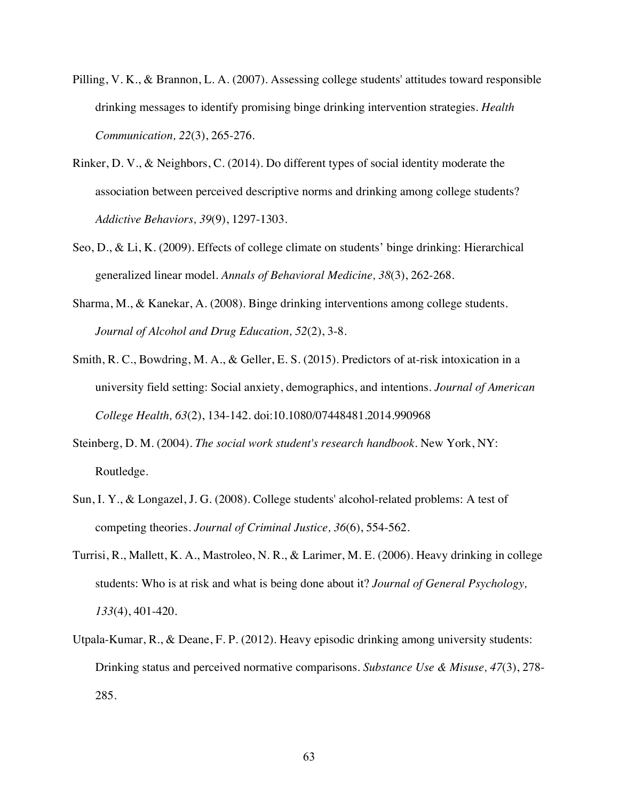- Pilling, V. K., & Brannon, L. A. (2007). Assessing college students' attitudes toward responsible drinking messages to identify promising binge drinking intervention strategies. *Health Communication, 22*(3), 265-276.
- Rinker, D. V., & Neighbors, C. (2014). Do different types of social identity moderate the association between perceived descriptive norms and drinking among college students? *Addictive Behaviors, 39*(9), 1297-1303.
- Seo, D., & Li, K. (2009). Effects of college climate on students' binge drinking: Hierarchical generalized linear model. *Annals of Behavioral Medicine, 38*(3), 262-268.
- Sharma, M., & Kanekar, A. (2008). Binge drinking interventions among college students. *Journal of Alcohol and Drug Education, 52*(2), 3-8.
- Smith, R. C., Bowdring, M. A., & Geller, E. S. (2015). Predictors of at-risk intoxication in a university field setting: Social anxiety, demographics, and intentions. *Journal of American College Health, 63*(2), 134-142. doi:10.1080/07448481.2014.990968
- Steinberg, D. M. (2004). *The social work student's research handbook*. New York, NY: Routledge.
- Sun, I. Y., & Longazel, J. G. (2008). College students' alcohol-related problems: A test of competing theories. *Journal of Criminal Justice, 36*(6), 554-562.
- Turrisi, R., Mallett, K. A., Mastroleo, N. R., & Larimer, M. E. (2006). Heavy drinking in college students: Who is at risk and what is being done about it? *Journal of General Psychology, 133*(4), 401-420.
- Utpala-Kumar, R., & Deane, F. P. (2012). Heavy episodic drinking among university students: Drinking status and perceived normative comparisons. *Substance Use & Misuse, 47*(3), 278- 285.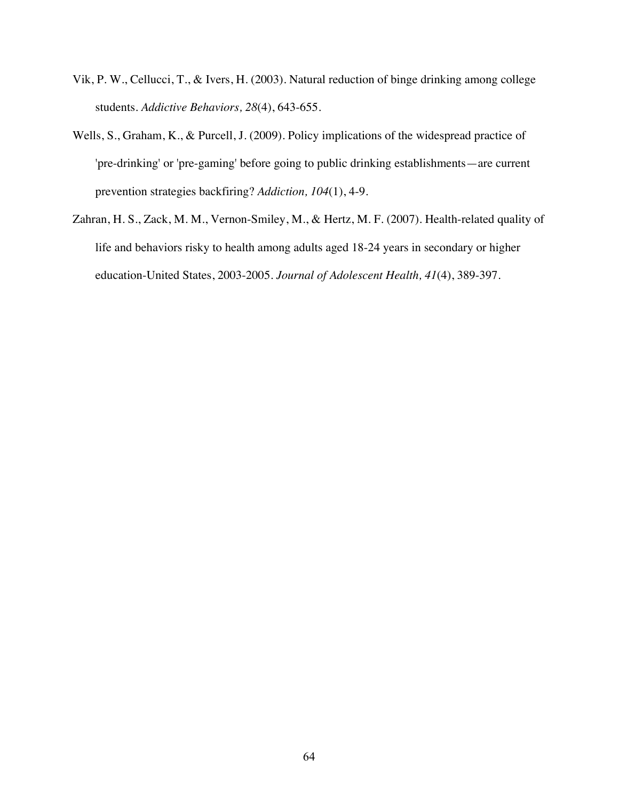- Vik, P. W., Cellucci, T., & Ivers, H. (2003). Natural reduction of binge drinking among college students. *Addictive Behaviors, 28*(4), 643-655.
- Wells, S., Graham, K., & Purcell, J. (2009). Policy implications of the widespread practice of 'pre-drinking' or 'pre-gaming' before going to public drinking establishments—are current prevention strategies backfiring? *Addiction, 104*(1), 4-9.
- Zahran, H. S., Zack, M. M., Vernon-Smiley, M., & Hertz, M. F. (2007). Health-related quality of life and behaviors risky to health among adults aged 18-24 years in secondary or higher education-United States, 2003-2005. *Journal of Adolescent Health, 41*(4), 389-397.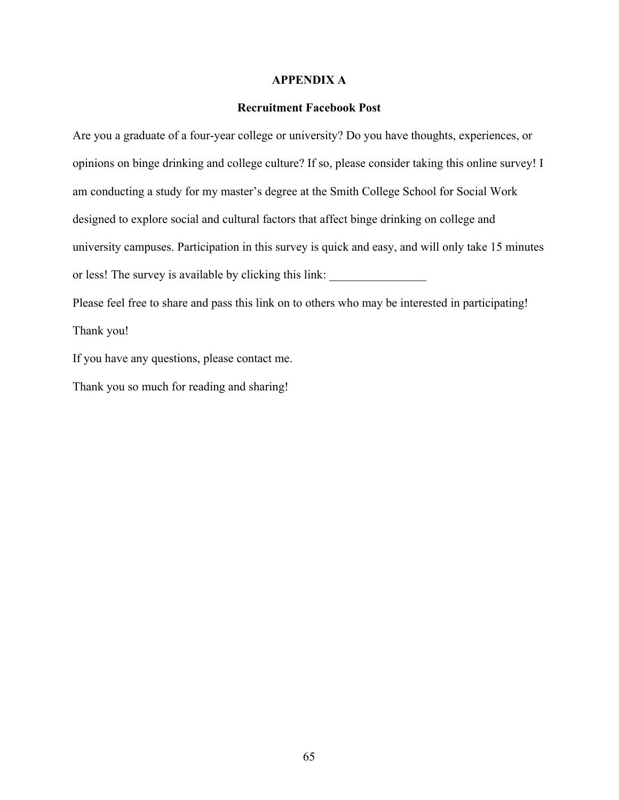### **APPENDIX A**

### **Recruitment Facebook Post**

Are you a graduate of a four-year college or university? Do you have thoughts, experiences, or opinions on binge drinking and college culture? If so, please consider taking this online survey! I am conducting a study for my master's degree at the Smith College School for Social Work designed to explore social and cultural factors that affect binge drinking on college and university campuses. Participation in this survey is quick and easy, and will only take 15 minutes or less! The survey is available by clicking this link:

Please feel free to share and pass this link on to others who may be interested in participating! Thank you!

If you have any questions, please contact me.

Thank you so much for reading and sharing!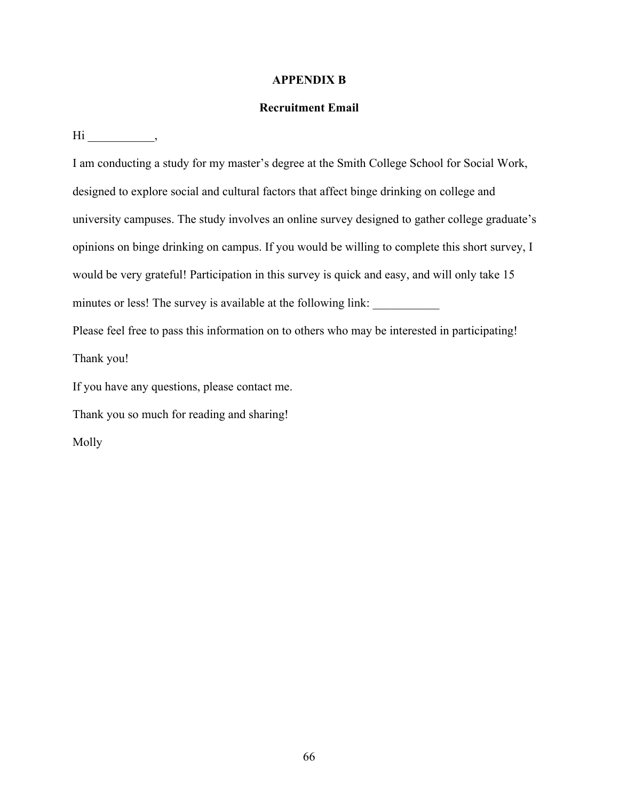# **APPENDIX B**

# **Recruitment Email**

 $\text{Hi}$  ,

I am conducting a study for my master's degree at the Smith College School for Social Work, designed to explore social and cultural factors that affect binge drinking on college and university campuses. The study involves an online survey designed to gather college graduate's opinions on binge drinking on campus. If you would be willing to complete this short survey, I would be very grateful! Participation in this survey is quick and easy, and will only take 15 minutes or less! The survey is available at the following link:

Please feel free to pass this information on to others who may be interested in participating! Thank you!

If you have any questions, please contact me.

Thank you so much for reading and sharing!

Molly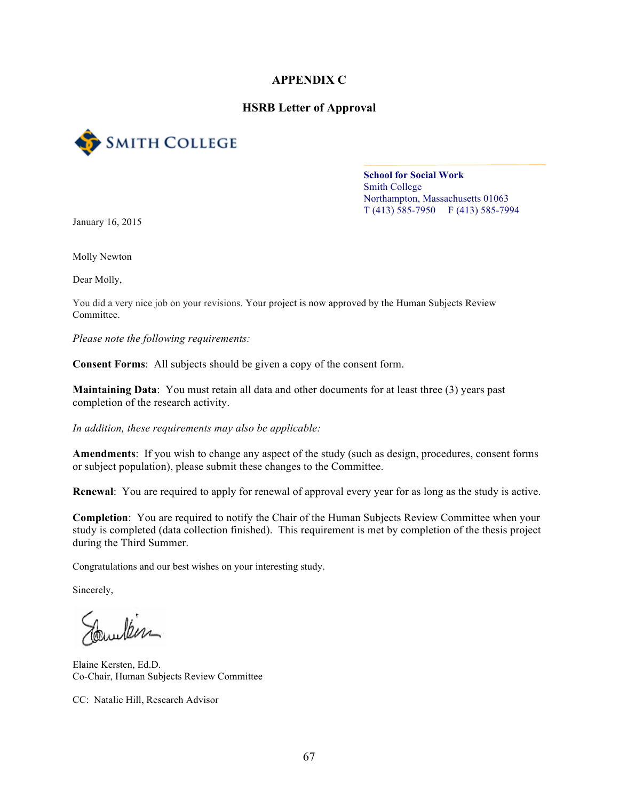### **APPENDIX C**

### **HSRB Letter of Approval**



**School for Social Work** Smith College Northampton, Massachusetts 01063  $T(413)$  585-7950 F (413) 585-7994

January 16, 2015

Molly Newton

Dear Molly,

You did a very nice job on your revisions. Your project is now approved by the Human Subjects Review Committee.

*Please note the following requirements:*

**Consent Forms**: All subjects should be given a copy of the consent form.

**Maintaining Data**: You must retain all data and other documents for at least three (3) years past completion of the research activity.

*In addition, these requirements may also be applicable:*

**Amendments**: If you wish to change any aspect of the study (such as design, procedures, consent forms or subject population), please submit these changes to the Committee.

**Renewal**: You are required to apply for renewal of approval every year for as long as the study is active.

**Completion**: You are required to notify the Chair of the Human Subjects Review Committee when your study is completed (data collection finished). This requirement is met by completion of the thesis project during the Third Summer.

Congratulations and our best wishes on your interesting study.

Sincerely,

... Iber

Elaine Kersten, Ed.D. Co-Chair, Human Subjects Review Committee

CC: Natalie Hill, Research Advisor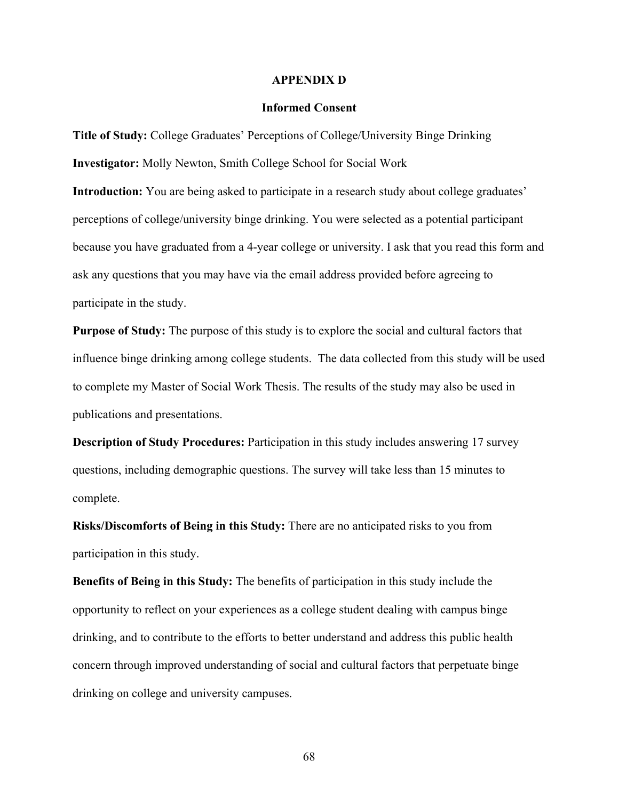#### **APPENDIX D**

#### **Informed Consent**

**Title of Study:** College Graduates' Perceptions of College/University Binge Drinking **Investigator:** Molly Newton, Smith College School for Social Work

**Introduction:** You are being asked to participate in a research study about college graduates' perceptions of college/university binge drinking. You were selected as a potential participant because you have graduated from a 4-year college or university. I ask that you read this form and ask any questions that you may have via the email address provided before agreeing to participate in the study.

**Purpose of Study:** The purpose of this study is to explore the social and cultural factors that influence binge drinking among college students. The data collected from this study will be used to complete my Master of Social Work Thesis. The results of the study may also be used in publications and presentations.

**Description of Study Procedures:** Participation in this study includes answering 17 survey questions, including demographic questions. The survey will take less than 15 minutes to complete.

**Risks/Discomforts of Being in this Study:** There are no anticipated risks to you from participation in this study.

**Benefits of Being in this Study:** The benefits of participation in this study include the opportunity to reflect on your experiences as a college student dealing with campus binge drinking, and to contribute to the efforts to better understand and address this public health concern through improved understanding of social and cultural factors that perpetuate binge drinking on college and university campuses.

68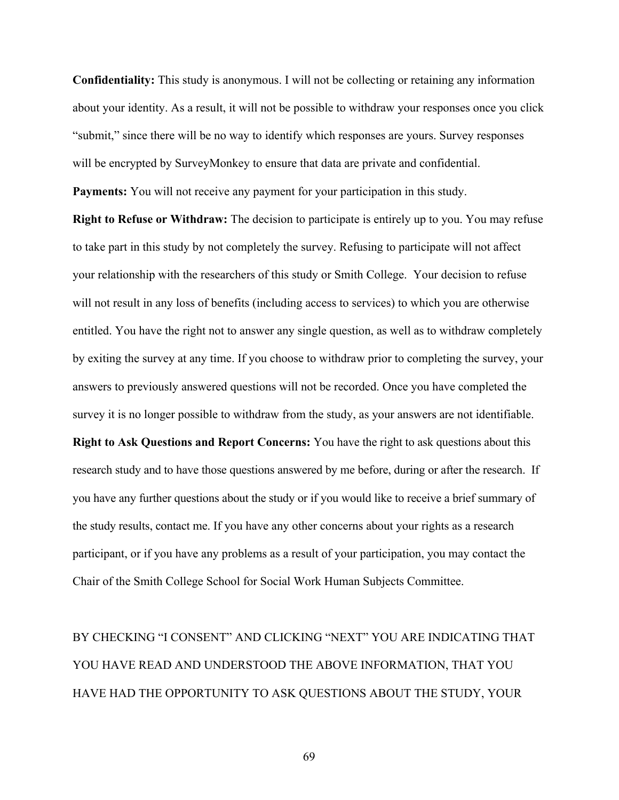**Confidentiality:** This study is anonymous. I will not be collecting or retaining any information about your identity. As a result, it will not be possible to withdraw your responses once you click "submit," since there will be no way to identify which responses are yours. Survey responses will be encrypted by SurveyMonkey to ensure that data are private and confidential. **Payments:** You will not receive any payment for your participation in this study.

**Right to Refuse or Withdraw:** The decision to participate is entirely up to you. You may refuse to take part in this study by not completely the survey. Refusing to participate will not affect your relationship with the researchers of this study or Smith College. Your decision to refuse will not result in any loss of benefits (including access to services) to which you are otherwise entitled. You have the right not to answer any single question, as well as to withdraw completely by exiting the survey at any time. If you choose to withdraw prior to completing the survey, your answers to previously answered questions will not be recorded. Once you have completed the survey it is no longer possible to withdraw from the study, as your answers are not identifiable.

**Right to Ask Questions and Report Concerns:** You have the right to ask questions about this research study and to have those questions answered by me before, during or after the research. If you have any further questions about the study or if you would like to receive a brief summary of the study results, contact me. If you have any other concerns about your rights as a research participant, or if you have any problems as a result of your participation, you may contact the Chair of the Smith College School for Social Work Human Subjects Committee.

BY CHECKING "I CONSENT" AND CLICKING "NEXT" YOU ARE INDICATING THAT YOU HAVE READ AND UNDERSTOOD THE ABOVE INFORMATION, THAT YOU HAVE HAD THE OPPORTUNITY TO ASK QUESTIONS ABOUT THE STUDY, YOUR

69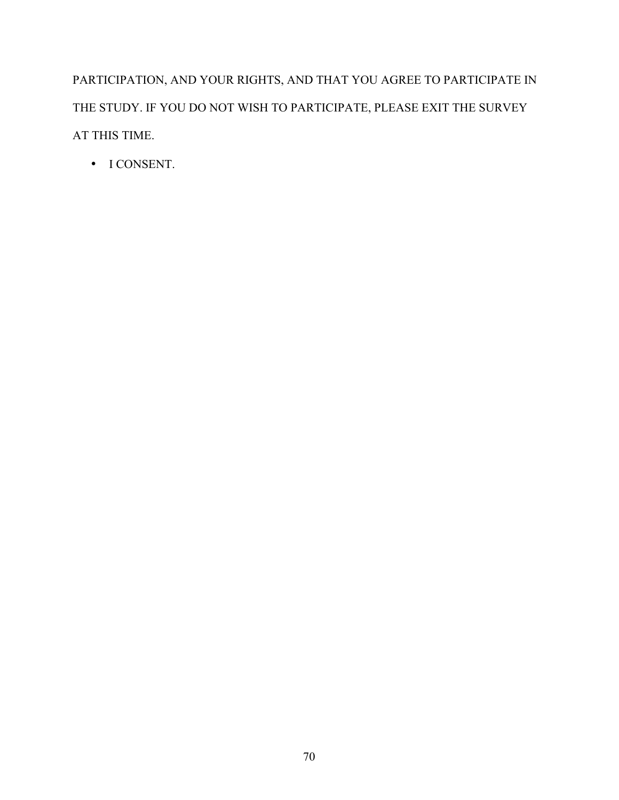PARTICIPATION, AND YOUR RIGHTS, AND THAT YOU AGREE TO PARTICIPATE IN THE STUDY. IF YOU DO NOT WISH TO PARTICIPATE, PLEASE EXIT THE SURVEY AT THIS TIME.

• I CONSENT.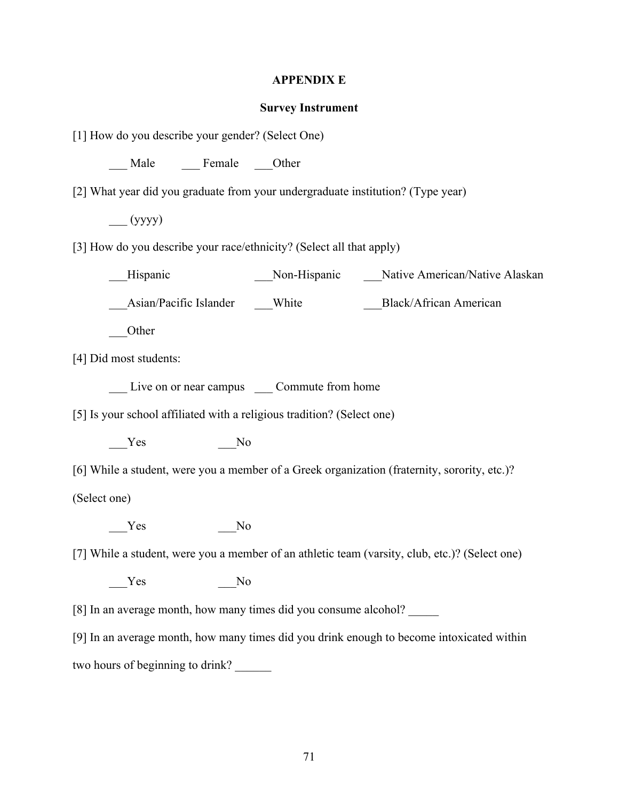# **APPENDIX E**

# **Survey Instrument**

| [1] How do you describe your gender? (Select One)                                              |
|------------------------------------------------------------------------------------------------|
| __ Male _____ Female ____Other                                                                 |
| [2] What year did you graduate from your undergraduate institution? (Type year)                |
| $\equiv$ (yyyy)                                                                                |
| [3] How do you describe your race/ethnicity? (Select all that apply)                           |
| Hispanic                                                                                       |
|                                                                                                |
| Other                                                                                          |
| [4] Did most students:                                                                         |
| Live on or near campus _____ Commute from home                                                 |
| [5] Is your school affiliated with a religious tradition? (Select one)                         |
| Yes<br>N <sub>0</sub>                                                                          |
| [6] While a student, were you a member of a Greek organization (fraternity, sorority, etc.)?   |
| (Select one)                                                                                   |
| Yes<br>No                                                                                      |
| [7] While a student, were you a member of an athletic team (varsity, club, etc.)? (Select one) |
| Yes<br>No                                                                                      |
| [8] In an average month, how many times did you consume alcohol?                               |
| [9] In an average month, how many times did you drink enough to become intoxicated within      |
| two hours of beginning to drink?                                                               |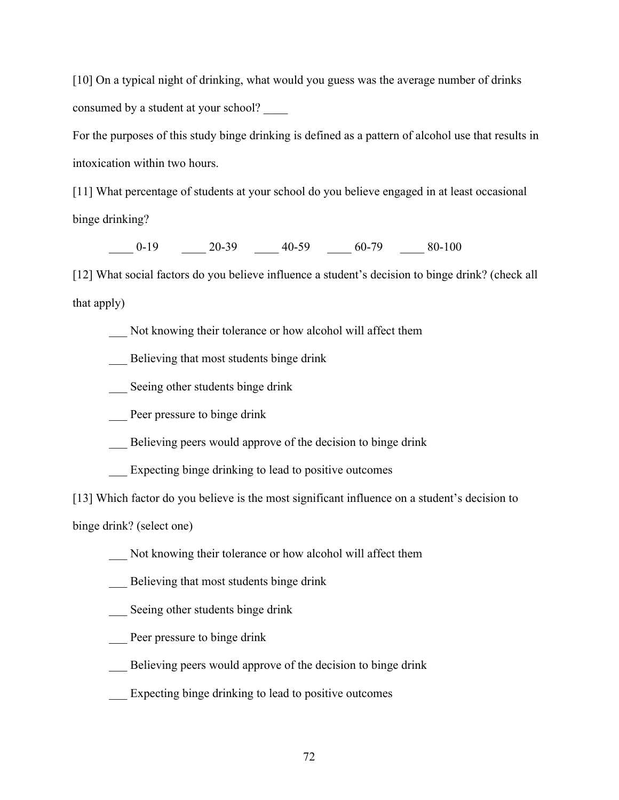[10] On a typical night of drinking, what would you guess was the average number of drinks consumed by a student at your school? \_\_\_\_

For the purposes of this study binge drinking is defined as a pattern of alcohol use that results in intoxication within two hours.

[11] What percentage of students at your school do you believe engaged in at least occasional binge drinking?

 $\underline{\hspace{1.5cm}} 0.19$   $\underline{\hspace{1.5cm}} 20.39$   $\underline{\hspace{1.5cm}} 40.59$   $\underline{\hspace{1.5cm}} 60.79$   $\underline{\hspace{1.5cm}} 80.100$ 

[12] What social factors do you believe influence a student's decision to binge drink? (check all that apply)

Not knowing their tolerance or how alcohol will affect them

- \_\_\_ Believing that most students binge drink
- \_\_\_ Seeing other students binge drink
- Peer pressure to binge drink
- Believing peers would approve of the decision to binge drink
- \_\_\_ Expecting binge drinking to lead to positive outcomes

[13] Which factor do you believe is the most significant influence on a student's decision to

binge drink? (select one)

- \_\_\_ Not knowing their tolerance or how alcohol will affect them
- \_\_\_ Believing that most students binge drink
- \_\_\_ Seeing other students binge drink
- Peer pressure to binge drink
- \_\_\_ Believing peers would approve of the decision to binge drink
- \_\_\_ Expecting binge drinking to lead to positive outcomes